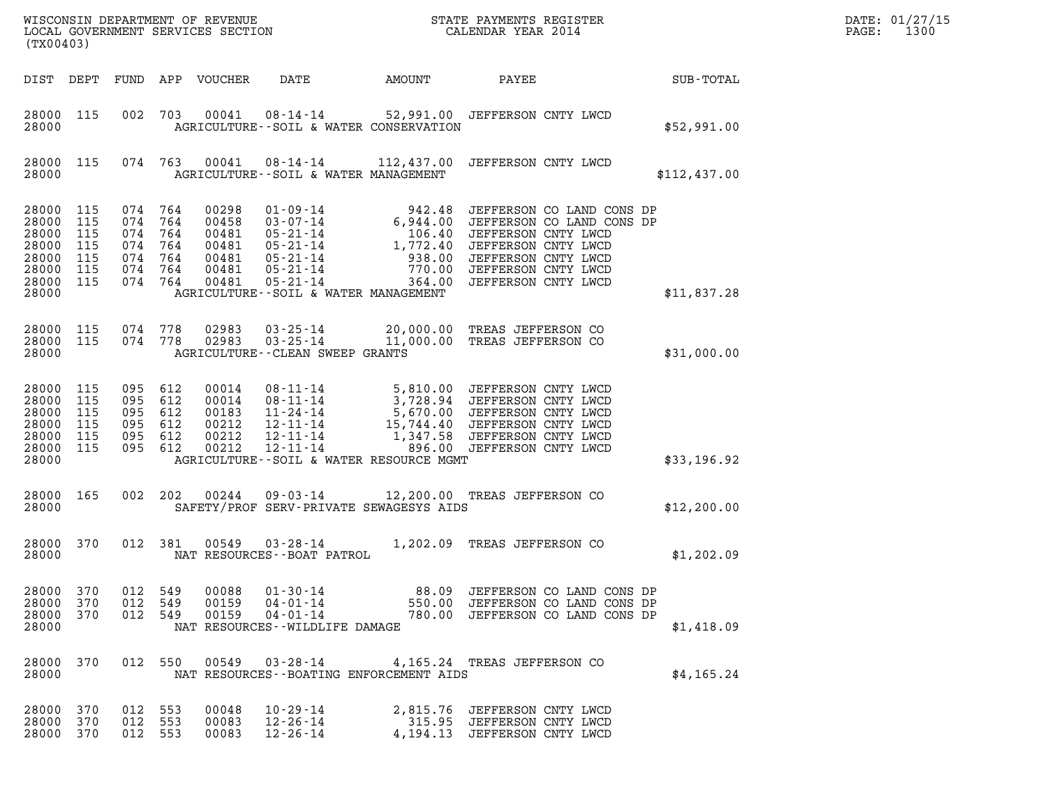| DATE: | 01/27/15 |
|-------|----------|
| PAGE: | 1300     |

| (TX00403)                                                            |                                               |                                                                       |                |                                                             | WISCONSIN DEPARTMENT OF REVENUE<br>LOCAL GOVERNMENT SERVICES SECTION                                                           |                            | STATE PAYMENTS REGISTER<br>CALENDAR YEAR 2014                                                                                                                                                             |              | DATE: 01/27/15<br>PAGE:<br>1300 |
|----------------------------------------------------------------------|-----------------------------------------------|-----------------------------------------------------------------------|----------------|-------------------------------------------------------------|--------------------------------------------------------------------------------------------------------------------------------|----------------------------|-----------------------------------------------------------------------------------------------------------------------------------------------------------------------------------------------------------|--------------|---------------------------------|
| DIST DEPT                                                            |                                               |                                                                       |                | FUND APP VOUCHER                                            | DATE                                                                                                                           | AMOUNT                     | PAYEE                                                                                                                                                                                                     | SUB-TOTAL    |                                 |
| 28000 115<br>28000                                                   |                                               | 002                                                                   | 703            | 00041                                                       | $08 - 14 - 14$<br>AGRICULTURE -- SOIL & WATER CONSERVATION                                                                     |                            | 52,991.00 JEFFERSON CNTY LWCD                                                                                                                                                                             | \$52,991.00  |                                 |
| 28000 115<br>28000                                                   |                                               |                                                                       | 074 763        | 00041                                                       | 08-14-14<br>AGRICULTURE--SOIL & WATER MANAGEMENT                                                                               |                            | 112,437.00 JEFFERSON CNTY LWCD                                                                                                                                                                            | \$112,437.00 |                                 |
| 28000<br>28000<br>28000<br>28000<br>28000<br>28000<br>28000<br>28000 | 115<br>115<br>115<br>115<br>115<br>115<br>115 | 074 764<br>074<br>074 764<br>074 764<br>074 764<br>074 764<br>074 764 | 764            | 00298<br>00458<br>00481<br>00481<br>00481<br>00481<br>00481 | 01-09-14<br>03-07-14<br>05-21-14<br>05-21-14<br>05-21-14<br>05-21-14<br>$05 - 21 - 14$<br>AGRICULTURE--SOIL & WATER MANAGEMENT | 938.00<br>770.00<br>364.00 | 942.48 JEFFERSON CO LAND CONS DP<br>6,944.00 JEFFERSON CO LAND CONS DP<br>106.40 JEFFERSON CNTY LWCD<br>1,772.40 JEFFERSON CNTY LWCD<br>JEFFERSON CNTY LWCD<br>JEFFERSON CNTY LWCD<br>JEFFERSON CNTY LWCD | \$11,837.28  |                                 |
| 28000 115<br>28000<br>28000                                          | 115                                           | 074 778<br>074 778                                                    |                | 02983<br>02983                                              | $03 - 25 - 14$<br>$03 - 25 - 14$<br>AGRICULTURE--CLEAN SWEEP GRANTS                                                            | 20,000.00<br>11,000.00     | TREAS JEFFERSON CO<br>TREAS JEFFERSON CO                                                                                                                                                                  | \$31,000.00  |                                 |
| 28000<br>28000<br>28000<br>28000<br>28000<br>28000<br>28000          | 115<br>115<br>115<br>115<br>115<br>115        | 095<br>095 612<br>095 612<br>095 612<br>095 612                       | 612<br>095 612 | 00014<br>00014<br>00183<br>00212<br>00212<br>00212          | 08-11-14<br>08-11-14<br>11-24-14<br>12-11-14<br>12-11-14<br>12-11-14<br>AGRICULTURE--SOIL & WATER RESOURCE MGMT                | 1,347.58<br>896.00         | 5,810.00 JEFFERSON CNTY LWCD<br>3,728.94 JEFFERSON CNTY LWCD<br>5,670.00 JEFFERSON CNTY LWCD<br>15,744.40 JEFFERSON CNTY LWCD<br>JEFFERSON CNTY LWCD<br>JEFFERSON CNTY LWCD                               | \$33,196.92  |                                 |
| 28000 165<br>28000                                                   |                                               | 002                                                                   | 202            | 00244                                                       | 09-03-14<br>SAFETY/PROF SERV-PRIVATE SEWAGESYS AIDS                                                                            |                            | 12,200.00 TREAS JEFFERSON CO                                                                                                                                                                              | \$12, 200.00 |                                 |
| 28000<br>28000                                                       | 370                                           |                                                                       | 012 381        | 00549                                                       | 03-28-14<br>NAT RESOURCES--BOAT PATROL                                                                                         |                            | 1,202.09 TREAS JEFFERSON CO                                                                                                                                                                               | \$1,202.09   |                                 |
| 28000 370<br>28000<br>28000<br>28000                                 | 370<br>370                                    | 012 549<br>012 549<br>012 549                                         |                | 00088<br>00159<br>00159                                     | $01 - 30 - 14$<br>NAT RESOURCES--WILDLIFE DAMAGE                                                                               |                            | 88.09 JEFFERSON CO LAND CONS DP<br>04-01-14 550.00 JEFFERSON CO LAND CONS DP<br>04-01-14 780.00 JEFFERSON CO LAND CONS DP                                                                                 | \$1,418.09   |                                 |
| 28000 370<br>28000                                                   |                                               |                                                                       | 012 550        | 00549                                                       | NAT RESOURCES - - BOATING ENFORCEMENT AIDS                                                                                     |                            | 03-28-14 4,165.24 TREAS JEFFERSON CO                                                                                                                                                                      | \$4,165.24   |                                 |
| 28000 370<br>28000<br>28000                                          | 370<br>370                                    | 012 553<br>012 553<br>012 553                                         |                | 00048<br>00083<br>00083                                     | 10-29-14<br>12-26-14<br>$12 - 26 - 14$                                                                                         |                            | 2,815.76 JEFFERSON CNTY LWCD<br>315.95 JEFFERSON CNTY LWCD<br>4,194.13 JEFFERSON CNTY LWCD                                                                                                                |              |                                 |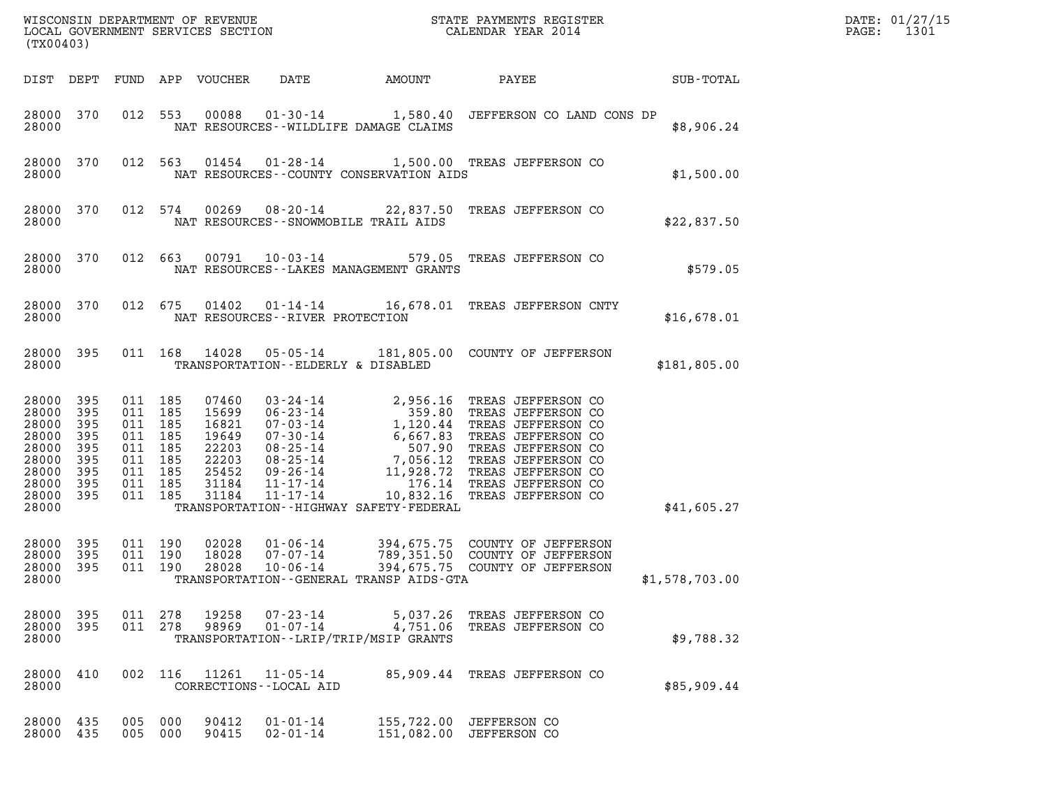| (TX00403)                                                                                  |                                                        |                                                                                                 |         |                                                                               |                                             |                                             | %WISCONSIN DEPARTMENT OF REVENUE $$\tt STATE$ PAYMENTS REGISTER LOCAL GOVERNMENT SERVICES SECTION $$\tt CALEINDAR$ YEAR 2014                                                                                                                           |                | DATE: 01/27/15<br>1301<br>$\mathtt{PAGE}$ : |
|--------------------------------------------------------------------------------------------|--------------------------------------------------------|-------------------------------------------------------------------------------------------------|---------|-------------------------------------------------------------------------------|---------------------------------------------|---------------------------------------------|--------------------------------------------------------------------------------------------------------------------------------------------------------------------------------------------------------------------------------------------------------|----------------|---------------------------------------------|
|                                                                                            |                                                        |                                                                                                 |         | DIST DEPT FUND APP VOUCHER                                                    | DATE                                        | AMOUNT                                      | PAYEE                                                                                                                                                                                                                                                  | SUB-TOTAL      |                                             |
| 28000 370<br>28000                                                                         |                                                        |                                                                                                 | 012 553 | 00088                                                                         | $01 - 30 - 14$                              | NAT RESOURCES - WILDLIFE DAMAGE CLAIMS      | 1,580.40 JEFFERSON CO LAND CONS DP                                                                                                                                                                                                                     | \$8,906.24     |                                             |
| 28000 370<br>28000                                                                         |                                                        | 012 563                                                                                         |         |                                                                               |                                             | NAT RESOURCES - COUNTY CONSERVATION AIDS    | 01454  01-28-14  1,500.00 TREAS JEFFERSON CO                                                                                                                                                                                                           | \$1,500.00     |                                             |
| 28000 370<br>28000                                                                         |                                                        |                                                                                                 | 012 574 | 00269                                                                         |                                             | NAT RESOURCES - - SNOWMOBILE TRAIL AIDS     | 08-20-14 22,837.50 TREAS JEFFERSON CO                                                                                                                                                                                                                  | \$22,837.50    |                                             |
| 28000 370<br>28000                                                                         |                                                        | 012 663                                                                                         |         | 00791                                                                         |                                             | NAT RESOURCES - - LAKES MANAGEMENT GRANTS   | 10-03-14 579.05 TREAS JEFFERSON CO                                                                                                                                                                                                                     | \$579.05       |                                             |
| 28000 370<br>28000                                                                         |                                                        | 012 675                                                                                         |         | 01402                                                                         | NAT RESOURCES - - RIVER PROTECTION          |                                             | 01-14-14 16,678.01 TREAS JEFFERSON CNTY                                                                                                                                                                                                                | \$16,678.01    |                                             |
| 28000 395<br>28000                                                                         |                                                        |                                                                                                 |         | 011 168 14028                                                                 | 05-05-14                                    | TRANSPORTATION--ELDERLY & DISABLED          | 181,805.00 COUNTY OF JEFFERSON                                                                                                                                                                                                                         | \$181,805.00   |                                             |
| 28000<br>28000<br>28000<br>28000<br>28000<br>28000<br>28000<br>28000<br>28000 395<br>28000 | 395<br>395<br>395<br>395<br>395<br>395<br>395<br>- 395 | 011 185<br>011 185<br>011 185<br>011 185<br>011 185<br>011 185<br>011 185<br>011 185<br>011 185 |         | 07460<br>15699<br>16821<br>19649<br>22203<br>22203<br>25452<br>31184<br>31184 |                                             | TRANSPORTATION - - HIGHWAY SAFETY - FEDERAL | 03-24-14<br>06-23-14<br>07-03-14<br>1,120.44 TREAS JEFFERSON CO<br>07-30-14<br>1,120.44 TREAS JEFFERSON CO<br>07-30-14<br>6,667.83 TREAS JEFFERSON CO<br>08-25-14<br>7,056.12 TREAS JEFFERSON CO<br>09-26-14<br>11,928.72 TREAS JEFFERSON CO<br>11-17- | \$41,605.27    |                                             |
| 28000 395<br>28000<br>28000<br>28000                                                       | 395<br>395                                             | 011 190<br>011 190<br>011 190                                                                   |         | 02028<br>18028<br>28028                                                       | 01-06-14<br>07-07-14<br>$10 - 06 - 14$      | TRANSPORTATION--GENERAL TRANSP AIDS-GTA     | 394,675.75 COUNTY OF JEFFERSON<br>789,351.50 COUNTY OF JEFFERSON<br>394,675.75 COUNTY OF JEFFERSON                                                                                                                                                     | \$1,578,703.00 |                                             |
| 28000 395<br>28000 395<br>28000                                                            |                                                        | 011 278                                                                                         | 011 278 | 19258<br>98969                                                                | 07-23-14<br>$01 - 07 - 14$                  | TRANSPORTATION - - LRIP/TRIP/MSIP GRANTS    | 5,037.26 TREAS JEFFERSON CO<br>4,751.06 TREAS JEFFERSON CO                                                                                                                                                                                             | \$9,788.32     |                                             |
| 28000<br>28000                                                                             | 410                                                    | 002 116                                                                                         |         | 11261                                                                         | $11 - 05 - 14$<br>CORRECTIONS - - LOCAL AID | 85,909.44                                   | TREAS JEFFERSON CO                                                                                                                                                                                                                                     | \$85,909.44    |                                             |
| 28000 435<br>28000 435                                                                     |                                                        | 005 000<br>005 000                                                                              |         | 90412<br>90415                                                                | $01 - 01 - 14$<br>$02 - 01 - 14$            |                                             | 155,722.00 JEFFERSON CO<br>151,082.00 JEFFERSON CO                                                                                                                                                                                                     |                |                                             |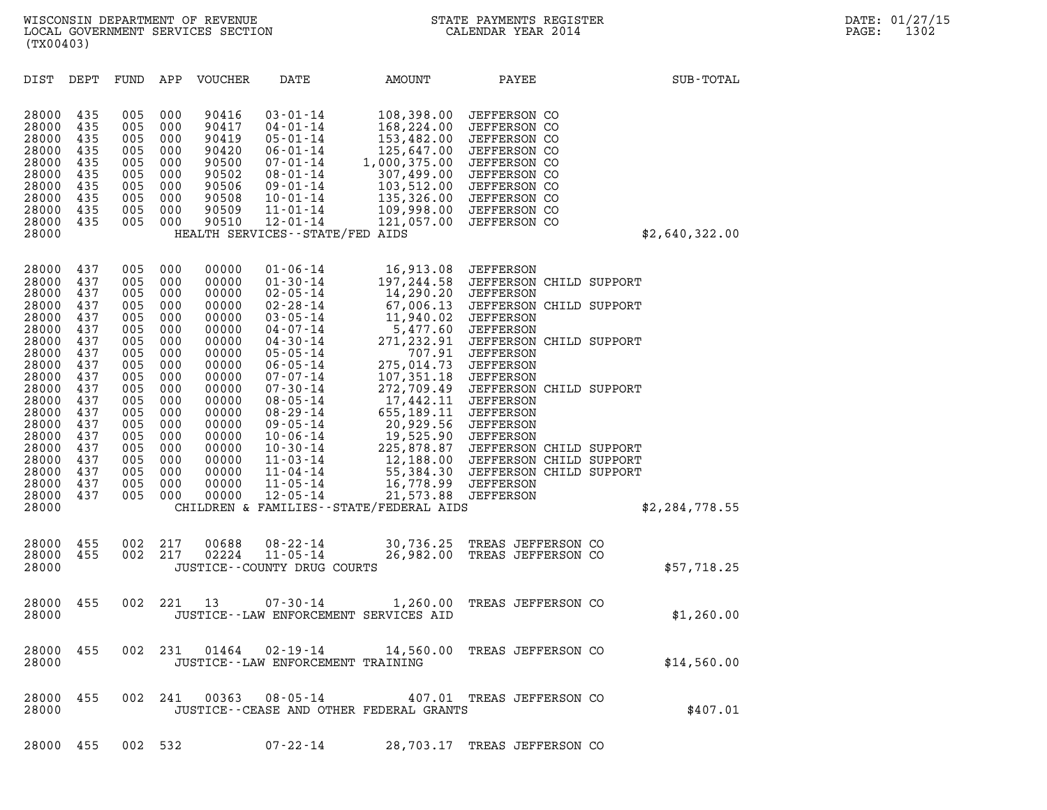| (TX00403)                                                                                                                                                                                 |                                                                                                                                          |                                                                                                                                          |                                                                                                                                          |                                                                                                                                                                                  |                                                                                                                                                                                                                                                                                                                                                                      |                                                                                                                                                                                                                                                                                                      |                                                                                                                                                                                                                                                                                                                                                                                            |                |
|-------------------------------------------------------------------------------------------------------------------------------------------------------------------------------------------|------------------------------------------------------------------------------------------------------------------------------------------|------------------------------------------------------------------------------------------------------------------------------------------|------------------------------------------------------------------------------------------------------------------------------------------|----------------------------------------------------------------------------------------------------------------------------------------------------------------------------------|----------------------------------------------------------------------------------------------------------------------------------------------------------------------------------------------------------------------------------------------------------------------------------------------------------------------------------------------------------------------|------------------------------------------------------------------------------------------------------------------------------------------------------------------------------------------------------------------------------------------------------------------------------------------------------|--------------------------------------------------------------------------------------------------------------------------------------------------------------------------------------------------------------------------------------------------------------------------------------------------------------------------------------------------------------------------------------------|----------------|
| DIST                                                                                                                                                                                      | DEPT                                                                                                                                     | FUND                                                                                                                                     | APP                                                                                                                                      | <b>VOUCHER</b>                                                                                                                                                                   | DATE                                                                                                                                                                                                                                                                                                                                                                 | AMOUNT                                                                                                                                                                                                                                                                                               | PAYEE                                                                                                                                                                                                                                                                                                                                                                                      | SUB-TOTAL      |
| 28000<br>28000<br>28000<br>28000<br>28000<br>28000<br>28000<br>28000<br>28000<br>28000<br>28000                                                                                           | 435<br>435<br>435<br>435<br>435<br>435<br>435<br>435<br>435<br>435                                                                       | 005<br>005<br>005<br>005<br>005<br>005<br>005<br>005<br>005<br>005                                                                       | 000<br>000<br>000<br>000<br>000<br>000<br>000<br>000<br>000<br>000                                                                       | 90416<br>90417<br>90419<br>90420<br>90500<br>90502<br>90506<br>90508<br>90509<br>90510                                                                                           | $03 - 01 - 14$<br>$04 - 01 - 14$<br>$05 - 01 - 14$<br>$06 - 01 - 14$<br>$07 - 01 - 14$<br>$08 - 01 - 14$<br>$09 - 01 - 14$<br>$10 - 01 - 14$<br>$11 - 01 - 14$<br>$12 - 01 - 14$<br>HEALTH SERVICES - - STATE/FED AIDS                                                                                                                                               | 108,398.00<br>168,224.00<br>153,482.00<br>125,647.00<br>1,000,375.00<br>307,499.00<br>103,512.00<br>135,326.00<br>109,998.00<br>121,057.00                                                                                                                                                           | <b>JEFFERSON CO</b><br><b>JEFFERSON CO</b><br><b>JEFFERSON CO</b><br><b>JEFFERSON CO</b><br><b>JEFFERSON CO</b><br><b>JEFFERSON CO</b><br><b>JEFFERSON CO</b><br>JEFFERSON CO<br><b>JEFFERSON CO</b><br>JEFFERSON CO                                                                                                                                                                       | \$2,640,322.00 |
| 28000<br>28000<br>28000<br>28000<br>28000<br>28000<br>28000<br>28000<br>28000<br>28000<br>28000<br>28000<br>28000<br>28000<br>28000<br>28000<br>28000<br>28000<br>28000<br>28000<br>28000 | 437<br>437<br>437<br>437<br>437<br>437<br>437<br>437<br>437<br>437<br>437<br>437<br>437<br>437<br>437<br>437<br>437<br>437<br>437<br>437 | 005<br>005<br>005<br>005<br>005<br>005<br>005<br>005<br>005<br>005<br>005<br>005<br>005<br>005<br>005<br>005<br>005<br>005<br>005<br>005 | 000<br>000<br>000<br>000<br>000<br>000<br>000<br>000<br>000<br>000<br>000<br>000<br>000<br>000<br>000<br>000<br>000<br>000<br>000<br>000 | 00000<br>00000<br>00000<br>00000<br>00000<br>00000<br>00000<br>00000<br>00000<br>00000<br>00000<br>00000<br>00000<br>00000<br>00000<br>00000<br>00000<br>00000<br>00000<br>00000 | $01 - 06 - 14$<br>$01 - 30 - 14$<br>$02 - 05 - 14$<br>$02 - 28 - 14$<br>$03 - 05 - 14$<br>$04 - 07 - 14$<br>$04 - 30 - 14$<br>$05 - 05 - 14$<br>$06 - 05 - 14$<br>$07 - 07 - 14$<br>$07 - 30 - 14$<br>$08 - 05 - 14$<br>$08 - 29 - 14$<br>$09 - 05 - 14$<br>$10 - 06 - 14$<br>$10 - 30 - 14$<br>$11 - 03 - 14$<br>$11 - 04 - 14$<br>$11 - 05 - 14$<br>$12 - 05 - 14$ | 16,913.08<br>197,244.58<br>14,290.20<br>67,006.13<br>11,940.02<br>5,477.60<br>271,232.91<br>707.91<br>275,014.73<br>107,351.18<br>272,709.49<br>17,442.11<br>655,189.11<br>20,929.56<br>19,525.90<br>225,878.87<br>55,384.30<br>16,778.99<br>21,573.88<br>CHILDREN & FAMILIES - - STATE/FEDERAL AIDS | JEFFERSON<br>JEFFERSON CHILD SUPPORT<br>JEFFERSON<br>JEFFERSON CHILD SUPPORT<br>JEFFERSON<br>JEFFERSON<br>JEFFERSON CHILD SUPPORT<br><b>JEFFERSON</b><br>JEFFERSON<br><b>JEFFERSON</b><br>JEFFERSON CHILD SUPPORT<br>JEFFERSON<br>JEFFERSON<br>JEFFERSON<br>JEFFERSON<br>JEFFERSON CHILD SUPPORT<br>12,188.00 JEFFERSON CHILD SUPPORT<br>JEFFERSON CHILD SUPPORT<br>JEFFERSON<br>JEFFERSON | \$2,284,778.55 |
| 28000<br>28000<br>28000                                                                                                                                                                   | 455<br>455                                                                                                                               | 002<br>002                                                                                                                               | 217<br>217                                                                                                                               | 00688<br>02224                                                                                                                                                                   | $08 - 22 - 14$<br>$11 - 05 - 14$<br>JUSTICE -- COUNTY DRUG COURTS                                                                                                                                                                                                                                                                                                    | 30,736.25<br>26,982.00                                                                                                                                                                                                                                                                               | TREAS JEFFERSON CO<br>TREAS JEFFERSON CO                                                                                                                                                                                                                                                                                                                                                   | \$57,718.25    |
| 28000<br>28000                                                                                                                                                                            | 455                                                                                                                                      | 002                                                                                                                                      | 221                                                                                                                                      | 13                                                                                                                                                                               | $07 - 30 - 14$<br>JUSTICE--LAW ENFORCEMENT SERVICES AID                                                                                                                                                                                                                                                                                                              | 1,260.00                                                                                                                                                                                                                                                                                             | TREAS JEFFERSON CO                                                                                                                                                                                                                                                                                                                                                                         | \$1,260.00     |
| 28000<br>28000                                                                                                                                                                            | 455                                                                                                                                      | 002                                                                                                                                      | 231                                                                                                                                      | 01464                                                                                                                                                                            | $02 - 19 - 14$<br>JUSTICE - - LAW ENFORCEMENT TRAINING                                                                                                                                                                                                                                                                                                               |                                                                                                                                                                                                                                                                                                      | 14,560.00 TREAS JEFFERSON CO                                                                                                                                                                                                                                                                                                                                                               | \$14,560.00    |
| 28000<br>28000                                                                                                                                                                            | 455                                                                                                                                      | 002                                                                                                                                      | 241                                                                                                                                      | 00363                                                                                                                                                                            | $08 - 05 - 14$                                                                                                                                                                                                                                                                                                                                                       | JUSTICE -- CEASE AND OTHER FEDERAL GRANTS                                                                                                                                                                                                                                                            | 407.01 TREAS JEFFERSON CO                                                                                                                                                                                                                                                                                                                                                                  | \$407.01       |
| 28000 455                                                                                                                                                                                 |                                                                                                                                          |                                                                                                                                          | 002 532                                                                                                                                  |                                                                                                                                                                                  | 07-22-14                                                                                                                                                                                                                                                                                                                                                             |                                                                                                                                                                                                                                                                                                      | 28,703.17 TREAS JEFFERSON CO                                                                                                                                                                                                                                                                                                                                                               |                |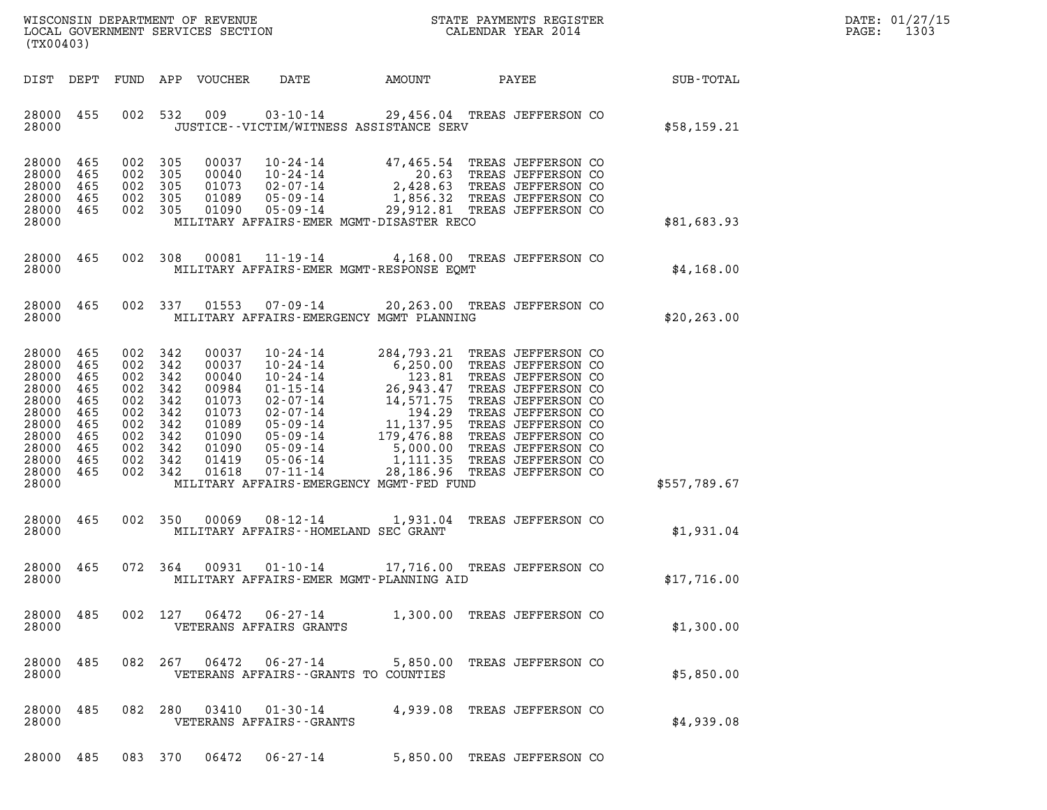| WISCONSIN DEPARTMENT OF REVENUE   | STATE PAYMENTS REGISTER | DATE: 01/27/15 |
|-----------------------------------|-------------------------|----------------|
| LOCAL GOVERNMENT SERVICES SECTION | CALENDAR YEAR 2014      | 1303<br>PAGE:  |

| (TX00403)                                                                                                                            |                          |                                                                                                                       |       |                                               | WISCONSIN DEPARTMENT OF REVENUE<br>LOCAL GOVERNMENT SERVICES SECTION FOR THE STATE PAYMENTS REGISTER<br>(TWO 0403)                                                                                                                                                                 |                    |                                                    | DATE: 01/27/15<br>PAGE: 1303 |
|--------------------------------------------------------------------------------------------------------------------------------------|--------------------------|-----------------------------------------------------------------------------------------------------------------------|-------|-----------------------------------------------|------------------------------------------------------------------------------------------------------------------------------------------------------------------------------------------------------------------------------------------------------------------------------------|--------------------|----------------------------------------------------|------------------------------|
|                                                                                                                                      |                          |                                                                                                                       |       |                                               |                                                                                                                                                                                                                                                                                    |                    | DIST DEPT FUND APP VOUCHER DATE AMOUNT PAYEE TOTAL |                              |
| 28000                                                                                                                                |                          | 28000 455 002 532                                                                                                     |       |                                               | 009 03-10-14 29,456.04 TREAS JEFFERSON CO<br>JUSTICE -- VICTIM/WITNESS ASSISTANCE SERV                                                                                                                                                                                             |                    | \$58,159.21                                        |                              |
| 28000 465<br>28000 465<br>28000<br>28000 465<br>28000 465                                                                            | 465                      | 002 305<br>002 305<br>002 305<br>002 305<br>002 305                                                                   |       |                                               | 00037  10-24-14  47,465.54  TREAS JEFFERSON CO<br>00040  10-24-14  20.63  TREAS JEFFERSON CO<br>01073  02-07-14  2,428.63  TREAS JEFFERSON CO<br>01089  05-09-14  1,856.32  TREAS JEFFERSON CO<br>01090  05-09-14  29,912.81  TREAS JEFFER                                         |                    | \$81,683.93                                        |                              |
| 28000                                                                                                                                |                          |                                                                                                                       |       |                                               | MILITARY AFFAIRS-EMER MGMT-DISASTER RECO                                                                                                                                                                                                                                           |                    |                                                    |                              |
| 28000                                                                                                                                |                          |                                                                                                                       |       |                                               | 28000 465 002 308 00081 11-19-14 4,168.00 TREAS JEFFERSON CO<br>MILITARY AFFAIRS-EMER MGMT-RESPONSE EOMT                                                                                                                                                                           |                    | \$4,168.00                                         |                              |
| 28000                                                                                                                                |                          |                                                                                                                       |       |                                               | 28000 465 002 337 01553 07-09-14 20,263.00 TREAS JEFFERSON CO<br>MILITARY AFFAIRS-EMERGENCY MGMT PLANNING                                                                                                                                                                          |                    | \$20,263.00                                        |                              |
| 28000 465<br>28000 465<br>28000<br>28000 465<br>28000<br>28000 465<br>28000<br>28000 465<br>28000<br>28000 465<br>28000 465<br>28000 | 465<br>465<br>465<br>465 | 002 342<br>002 342<br>002 342<br>002 342<br>002 342<br>002 342<br>002 342<br>002 342<br>002 342<br>002 342<br>002 342 |       |                                               | 00037   10-24-14   284,793.21   TREAS JEFFERSON CO<br>00037   10-24-14   123.81   TREAS JEFFERSON CO<br>00984   01-15-14   26,943.47   TREAS JEFFERSON CO<br>01073   02-07-14   14,571.75   TREAS JEFFERSON CO<br>01073   02-07-14   1<br>MILITARY AFFAIRS-EMERGENCY MGMT-FED FUND |                    | \$557,789.67                                       |                              |
| 28000 465<br>28000                                                                                                                   |                          |                                                                                                                       |       |                                               | 002 350 00069 08-12-14 1,931.04 TREAS JEFFERSON CO<br>MILITARY AFFAIRS--HOMELAND SEC GRANT                                                                                                                                                                                         |                    | \$1,931.04                                         |                              |
| 28000 465<br>28000                                                                                                                   |                          |                                                                                                                       |       |                                               | 072 364 00931 01-10-14 17,716.00 TREAS JEFFERSON CO<br>MILITARY AFFAIRS-EMER MGMT-PLANNING AID                                                                                                                                                                                     |                    | \$17,716.00                                        |                              |
| 28000<br>28000                                                                                                                       | 485                      | 002 127                                                                                                               | 06472 | 06-27-14<br>VETERANS AFFAIRS GRANTS           | 1,300.00 TREAS JEFFERSON CO                                                                                                                                                                                                                                                        |                    | \$1,300.00                                         |                              |
| 28000<br>28000                                                                                                                       | 485                      | 082 267                                                                                                               | 06472 | 06-27-14                                      | 5,850.00<br>VETERANS AFFAIRS - - GRANTS TO COUNTIES                                                                                                                                                                                                                                | TREAS JEFFERSON CO | \$5,850.00                                         |                              |
| 28000<br>28000                                                                                                                       | 485                      | 082 280                                                                                                               | 03410 | $01 - 30 - 14$<br>VETERANS AFFAIRS - - GRANTS | 4,939.08                                                                                                                                                                                                                                                                           | TREAS JEFFERSON CO | \$4,939.08                                         |                              |
| 28000 485                                                                                                                            |                          | 083 370                                                                                                               | 06472 | $06 - 27 - 14$                                | 5,850.00 TREAS JEFFERSON CO                                                                                                                                                                                                                                                        |                    |                                                    |                              |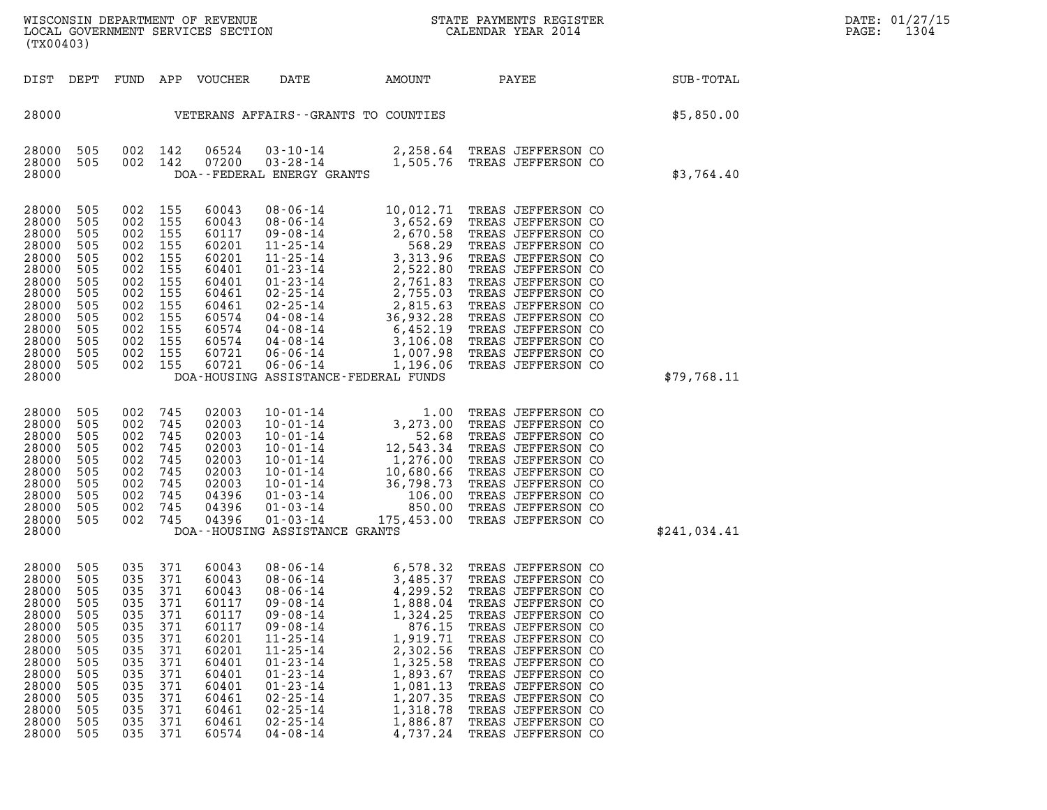| DIST                                                                                                                                | DEPT                                                                                                  |                                                                                                       |                                                                                                       | FUND APP VOUCHER                                                                                                                    | DATE                                                                                                                                                                                                                                                                                                                               | AMOUNT | PAYEE                                                                                                                                                                                                                                                                                                                                           | SUB-TOTAL    |
|-------------------------------------------------------------------------------------------------------------------------------------|-------------------------------------------------------------------------------------------------------|-------------------------------------------------------------------------------------------------------|-------------------------------------------------------------------------------------------------------|-------------------------------------------------------------------------------------------------------------------------------------|------------------------------------------------------------------------------------------------------------------------------------------------------------------------------------------------------------------------------------------------------------------------------------------------------------------------------------|--------|-------------------------------------------------------------------------------------------------------------------------------------------------------------------------------------------------------------------------------------------------------------------------------------------------------------------------------------------------|--------------|
| 28000                                                                                                                               |                                                                                                       |                                                                                                       |                                                                                                       |                                                                                                                                     | VETERANS AFFAIRS -- GRANTS TO COUNTIES                                                                                                                                                                                                                                                                                             |        |                                                                                                                                                                                                                                                                                                                                                 | \$5,850.00   |
| 28000<br>28000<br>28000                                                                                                             | 505<br>505                                                                                            | 002<br>002                                                                                            | 142<br>142                                                                                            | 06524<br>07200                                                                                                                      | DOA--FEDERAL ENERGY GRANTS                                                                                                                                                                                                                                                                                                         |        | 03-10-14 2,258.64 TREAS JEFFERSON CO<br>03-28-14 1,505.76 TREAS JEFFERSON CO                                                                                                                                                                                                                                                                    | \$3,764.40   |
| 28000<br>28000<br>28000<br>28000<br>28000<br>28000<br>28000<br>28000<br>28000<br>28000<br>28000<br>28000<br>28000<br>28000<br>28000 | 505<br>505<br>505<br>505<br>505<br>505<br>505<br>505<br>505<br>505<br>505<br>505<br>505<br>505        | 002<br>002<br>002<br>002<br>002<br>002<br>002<br>002<br>002<br>002<br>002<br>002<br>002<br>002        | 155<br>155<br>155<br>155<br>155<br>155<br>155<br>155<br>155<br>155<br>155<br>155<br>155<br>155        | 60043<br>60043<br>60117<br>60201<br>60201<br>60401<br>60401<br>60461<br>60461<br>60574<br>60574<br>60574<br>60721<br>60721          | 08-06-14<br>08-06-14<br>09-06-14<br>09-08-14<br>09-08-14<br>1-25-14<br>1-25-14<br>1-25-14<br>2,670.58<br>11-25-14<br>3,652.69<br>568.29<br>11-25-14<br>2,755.03<br>01-23-14<br>2,755.03<br>02-25-14<br>2,755.03<br>02-25-14<br>2,755.03<br>04-08-14<br>36,932.28<br>04-08-14<br>36,932<br>DOA-HOUSING ASSISTANCE-FEDERAL FUNDS     |        | 10,012.71 TREAS JEFFERSON CO<br>TREAS JEFFERSON CO<br>TREAS JEFFERSON CO<br>TREAS JEFFERSON CO<br>TREAS JEFFERSON CO<br>TREAS JEFFERSON CO<br>TREAS JEFFERSON CO<br>TREAS JEFFERSON CO<br>TREAS JEFFERSON CO<br>TREAS JEFFERSON CO<br>TREAS JEFFERSON CO<br>TREAS JEFFERSON CO<br>TREAS JEFFERSON CO<br>TREAS JEFFERSON CO                      | \$79,768.11  |
| 28000<br>28000<br>28000<br>28000<br>28000<br>28000<br>28000<br>28000<br>28000<br>28000<br>28000                                     | 505<br>505<br>505<br>505<br>505<br>505<br>505<br>505<br>505<br>505                                    | 002<br>002<br>002<br>002<br>002<br>002<br>002<br>002<br>002<br>002                                    | 745<br>745<br>745<br>745<br>745<br>745<br>745<br>745<br>745<br>745                                    | 02003<br>02003<br>02003<br>02003<br>02003<br>02003<br>02003<br>04396<br>04396<br>04396                                              | DOA--HOUSING ASSISTANCE GRANTS                                                                                                                                                                                                                                                                                                     |        | 10-01-14<br>1.00 TREAS JEFFERSON CO<br>10-01-14<br>52.68 TREAS JEFFERSON CO<br>10-01-14<br>12,543.34 TREAS JEFFERSON CO<br>10-01-14<br>1,276.00 TREAS JEFFERSON CO<br>10-01-14<br>10,680.66 TREAS JEFFERSON CO<br>10-01-14<br>36,798.73 TREAS JEFFER                                                                                            | \$241,034.41 |
| 28000<br>28000<br>28000<br>28000<br>28000<br>28000<br>28000<br>28000<br>28000<br>28000<br>28000<br>28000<br>28000<br>28000<br>28000 | 505<br>505<br>505<br>505<br>505<br>505<br>505<br>505<br>505<br>505<br>505<br>505<br>505<br>505<br>505 | 035<br>035<br>035<br>035<br>035<br>035<br>035<br>035<br>035<br>035<br>035<br>035<br>035<br>035<br>035 | 371<br>371<br>371<br>371<br>371<br>371<br>371<br>371<br>371<br>371<br>371<br>371<br>371<br>371<br>371 | 60043<br>60043<br>60043<br>60117<br>60117<br>60117<br>60201<br>60201<br>60401<br>60401<br>60401<br>60461<br>60461<br>60461<br>60574 | $\begin{array}{cccc} 08\hbox{-}06\hbox{-}14 & 6\hbox{-}578\hbox{-}32 \\ 08\hbox{-}06\hbox{-}14 & 3\hbox{-}485\hbox{-}37 \\ 08\hbox{-}06\hbox{-}14 & 4\hbox{-}299\hbox{-}52 \\ 09\hbox{-}08\hbox{-}14 & 1\hbox{-}888\hbox{-}04 \\ 09\hbox{-}08\hbox{-}14 & 1\hbox{-}888\hbox{-}04 \\ 09\hbox{-}08\hbox{-}14 & 1\hbox{-}324\hbox{-}$ |        | 6,578.32 TREAS JEFFERSON CO<br>TREAS JEFFERSON CO<br>TREAS JEFFERSON CO<br>TREAS JEFFERSON CO<br>TREAS JEFFERSON CO<br>TREAS JEFFERSON CO<br>TREAS JEFFERSON CO<br>TREAS JEFFERSON CO<br>TREAS JEFFERSON CO<br>TREAS JEFFERSON CO<br>TREAS JEFFERSON CO<br>TREAS JEFFERSON CO<br>TREAS JEFFERSON CO<br>TREAS JEFFERSON CO<br>TREAS JEFFERSON CO |              |

(TX00403)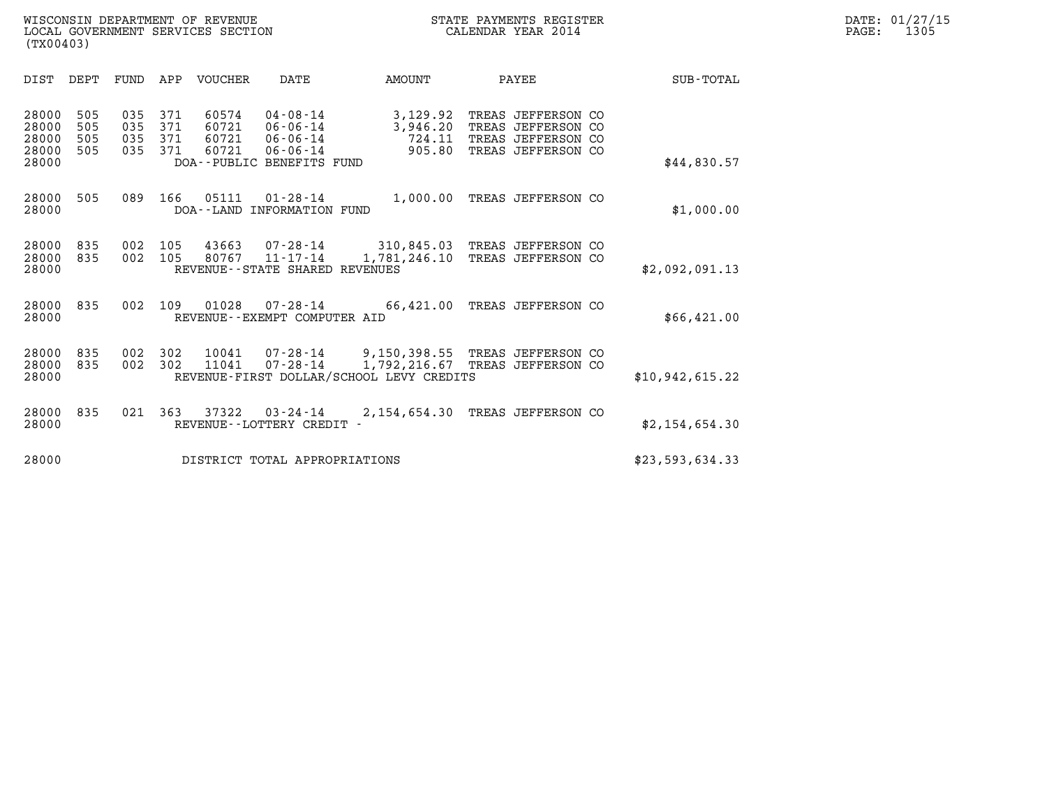| DIST<br>DEPT<br><b>VOUCHER</b><br>FUND<br>APP<br>DATE<br>AMOUNT<br>PAYEE                                                                                                                                                                                                                                                                                                                                   | <b>SUB-TOTAL</b> |
|------------------------------------------------------------------------------------------------------------------------------------------------------------------------------------------------------------------------------------------------------------------------------------------------------------------------------------------------------------------------------------------------------------|------------------|
| 505<br>60574<br>$04 - 08 - 14$<br>28000<br>035<br>371<br>3,129.92<br>TREAS JEFFERSON CO<br>28000<br>505<br>035<br>371<br>60721<br>$06 - 06 - 14$<br>3,946.20<br>TREAS JEFFERSON CO<br>28000<br>505<br>035<br>371<br>60721<br>724.11<br>$06 - 06 - 14$<br>TREAS JEFFERSON CO<br>28000<br>505<br>371<br>60721<br>905.80<br>035<br>$06 - 06 - 14$<br>TREAS JEFFERSON CO<br>28000<br>DOA--PUBLIC BENEFITS FUND | \$44,830.57      |
| 28000<br>505<br>166<br>05111<br>$01 - 28 - 14$<br>1,000.00<br>089<br>TREAS JEFFERSON CO<br>28000<br>DOA--LAND INFORMATION FUND                                                                                                                                                                                                                                                                             | \$1,000.00       |
| 28000<br>835<br>002<br>105<br>43663<br>07-28-14<br>310,845.03<br>TREAS JEFFERSON CO<br>28000<br>835<br>002<br>105<br>80767<br>$11 - 17 - 14$<br>1,781,246.10<br>TREAS JEFFERSON CO<br>28000<br>REVENUE--STATE SHARED REVENUES                                                                                                                                                                              | \$2,092,091.13   |
| 28000<br>835<br>002<br>109<br>01028<br>$07 - 28 - 14$<br>66,421.00<br>TREAS JEFFERSON CO<br>28000<br>REVENUE--EXEMPT COMPUTER AID                                                                                                                                                                                                                                                                          | \$66,421.00      |
| 28000<br>835<br>302<br>10041<br>$07 - 28 - 14$<br>9,150,398.55 TREAS JEFFERSON CO<br>002<br>302<br>28000<br>835<br>002<br>11041<br>$07 - 28 - 14$<br>1,792,216.67<br>TREAS JEFFERSON CO<br>REVENUE-FIRST DOLLAR/SCHOOL LEVY CREDITS<br>28000                                                                                                                                                               | \$10,942,615.22  |
| 28000<br>835<br>021<br>363<br>37322<br>2,154,654.30<br>TREAS JEFFERSON CO<br>$03 - 24 - 14$<br>28000<br>REVENUE - - LOTTERY CREDIT -                                                                                                                                                                                                                                                                       | \$2,154,654.30   |
| 28000<br>DISTRICT TOTAL APPROPRIATIONS                                                                                                                                                                                                                                                                                                                                                                     | \$23,593,634.33  |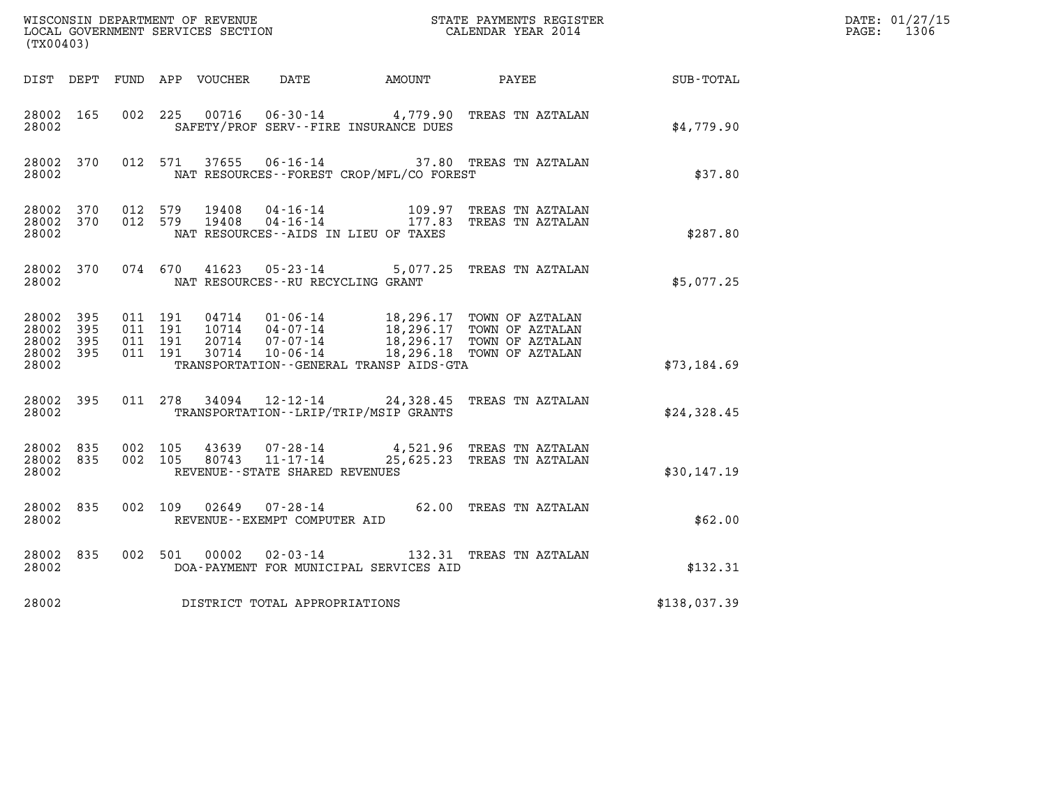| (TX00403)                                             |           |                                          |         |                  |                                                              |                                             | $\tt WISCONSIM DEPARTMENT OF REVENUE$ $\tt WISCONSIMENT$ SERVICES SECTION $\tt WISCONBINENT$ SERVICES SECTION $\tt CALENDAR$ YEAR 2014 |                  | DATE: 01/27/15<br>$\mathtt{PAGE:}$<br>1306 |
|-------------------------------------------------------|-----------|------------------------------------------|---------|------------------|--------------------------------------------------------------|---------------------------------------------|----------------------------------------------------------------------------------------------------------------------------------------|------------------|--------------------------------------------|
|                                                       | DIST DEPT |                                          |         | FUND APP VOUCHER | DATE                                                         | AMOUNT                                      | PAYEE                                                                                                                                  | <b>SUB-TOTAL</b> |                                            |
| 28002 165<br>28002                                    |           | 002 225                                  |         |                  |                                                              | SAFETY/PROF SERV--FIRE INSURANCE DUES       | 00716  06-30-14  4,779.90 TREAS TN AZTALAN                                                                                             | \$4,779.90       |                                            |
| 28002 370<br>28002                                    |           |                                          | 012 571 | 37655            |                                                              | NAT RESOURCES - - FOREST CROP/MFL/CO FOREST | 06-16-14 37.80 TREAS TN AZTALAN                                                                                                        | \$37.80          |                                            |
| 28002 370<br>28002                                    |           | 28002 370 012 579<br>012 579             |         | 19408<br>19408   |                                                              | NAT RESOURCES--AIDS IN LIEU OF TAXES        | 04-16-14 109.97 TREAS TN AZTALAN<br>04-16-14 177.83 TREAS TN AZTALAN                                                                   | \$287.80         |                                            |
| 28002 370<br>28002                                    |           |                                          |         |                  | NAT RESOURCES - - RU RECYCLING GRANT                         |                                             | 074 670 41623 05-23-14 5,077.25 TREAS TN AZTALAN                                                                                       | \$5,077.25       |                                            |
| 28002 395<br>28002 395<br>28002<br>28002 395<br>28002 | - 395     | 011 191<br>011 191<br>011 191<br>011 191 |         | 20714<br>30714   | 10714 04-07-14<br>07-07-14<br>10-06-14                       | TRANSPORTATION--GENERAL TRANSP AIDS-GTA     | 04714  01-06-14  18,296.17  TOWN OF AZTALAN<br>18,296.17 TOWN OF AZTALAN<br>18,296.17 TOWN OF AZTALAN<br>18,296.18 TOWN OF AZTALAN     | \$73,184.69      |                                            |
| 28002 395<br>28002                                    |           |                                          | 011 278 |                  |                                                              | TRANSPORTATION--LRIP/TRIP/MSIP GRANTS       | 34094  12-12-14  24,328.45  TREAS TN AZTALAN                                                                                           | \$24,328.45      |                                            |
| 28002 835<br>28002 835<br>28002                       |           | 002 105<br>002 105                       |         | 43639            | 07-28-14<br>80743 11-17-14<br>REVENUE--STATE SHARED REVENUES |                                             | 4,521.96 TREAS TN AZTALAN<br>25,625.23 TREAS TN AZTALAN                                                                                | \$30,147.19      |                                            |
| 28002 835<br>28002                                    |           | 002 109                                  |         |                  | REVENUE - - EXEMPT COMPUTER AID                              |                                             |                                                                                                                                        | \$62.00          |                                            |
| 28002 835<br>28002                                    |           | 002 501                                  |         | 00002            | $02 - 03 - 14$                                               | DOA-PAYMENT FOR MUNICIPAL SERVICES AID      | 132.31 TREAS TN AZTALAN                                                                                                                | \$132.31         |                                            |
| 28002                                                 |           |                                          |         |                  | DISTRICT TOTAL APPROPRIATIONS                                |                                             |                                                                                                                                        | \$138,037.39     |                                            |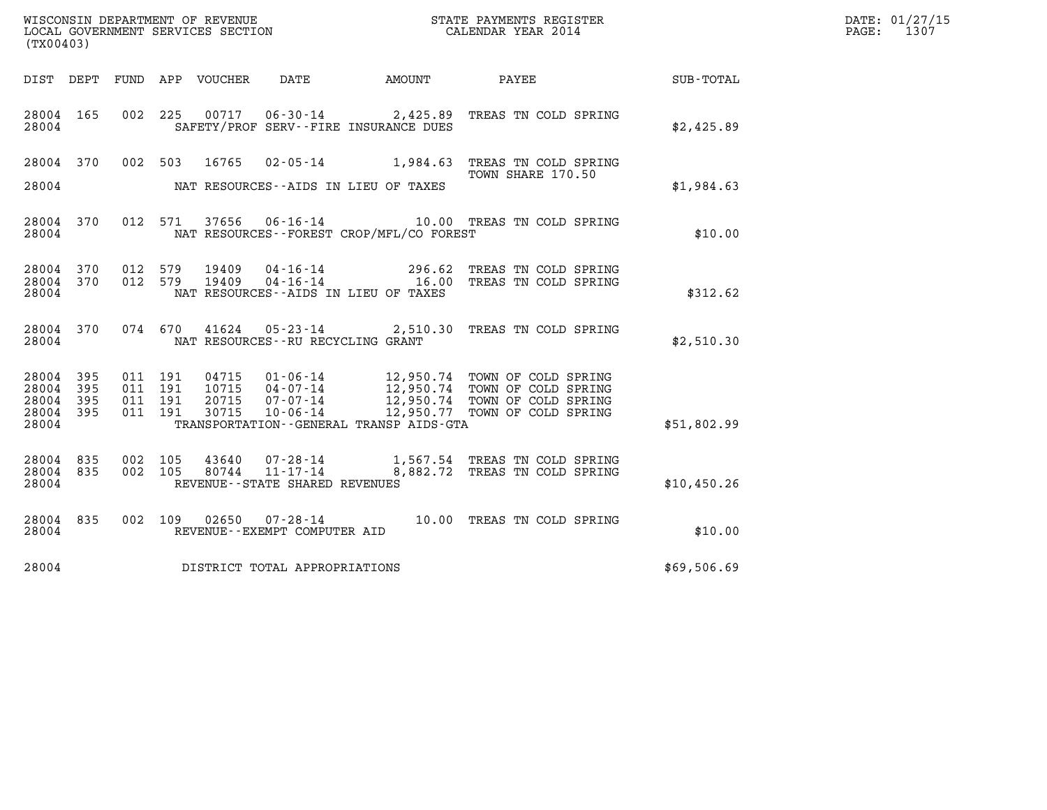| WISCONSIN DEPARTMENT OF REVENUE<br>LOCAL GOVERNMENT SERVICES SECTION<br>(TX00403) | STATE PAYMENTS REGISTER<br>CALENDAR YEAR 2014 | DATE: 01/27/15<br>1307<br>PAGE: |
|-----------------------------------------------------------------------------------|-----------------------------------------------|---------------------------------|

| (TX00403)                                 |                          |                          |                          |                                  |                                                                 |                                                                                |                                                                                                    |                  |
|-------------------------------------------|--------------------------|--------------------------|--------------------------|----------------------------------|-----------------------------------------------------------------|--------------------------------------------------------------------------------|----------------------------------------------------------------------------------------------------|------------------|
| DIST                                      | DEPT                     | FUND APP                 |                          | VOUCHER                          | DATE                                                            | AMOUNT                                                                         | PAYEE                                                                                              | <b>SUB-TOTAL</b> |
| 28004<br>28004                            | 165                      | 002                      | 225                      | 00717                            |                                                                 | $06 - 30 - 14$ 2,425.89<br>SAFETY/PROF SERV--FIRE INSURANCE DUES               | TREAS TN COLD SPRING                                                                               | \$2,425.89       |
| 28004<br>28004                            | 370                      | 002                      | 503                      | 16765                            | $02 - 05 - 14$                                                  | 1,984.63<br>NAT RESOURCES -- AIDS IN LIEU OF TAXES                             | TREAS TN COLD SPRING<br>TOWN SHARE 170.50                                                          | \$1,984.63       |
| 28004<br>28004                            | 370                      | 012                      | 571                      | 37656                            | $06 - 16 - 14$                                                  | NAT RESOURCES -- FOREST CROP/MFL/CO FOREST                                     | 10.00 TREAS TN COLD SPRING                                                                         | \$10.00          |
| 28004<br>28004<br>28004                   | 370<br>370               | 012<br>012               | 579<br>579               | 19409<br>19409                   | $04 - 16 - 14$<br>$04 - 16 - 14$                                | 296.62<br>16.00<br>NAT RESOURCES -- AIDS IN LIEU OF TAXES                      | TREAS TN COLD SPRING<br>TREAS TN COLD SPRING                                                       | \$312.62         |
| 28004<br>28004                            | 370                      | 074                      | 670                      |                                  | NAT RESOURCES - - RU RECYCLING GRANT                            | $41624$ $05-23-14$ 2,510.30                                                    | TREAS TN COLD SPRING                                                                               | \$2,510.30       |
| 28004<br>28004<br>28004<br>28004<br>28004 | 395<br>395<br>395<br>395 | 011<br>011<br>011<br>011 | 191<br>191<br>191<br>191 | 04715<br>10715<br>20715<br>30715 | $01 - 06 - 14$<br>$04 - 07 - 14$<br>07-07-14<br>$10 - 06 - 14$  | 12,950.74<br>12,950.74<br>12,950.77<br>TRANSPORTATION--GENERAL TRANSP AIDS-GTA | TOWN OF COLD SPRING<br>TOWN OF COLD SPRING<br>12,950.74 TOWN OF COLD SPRING<br>TOWN OF COLD SPRING | \$51,802.99      |
| 28004<br>28004<br>28004                   | 835<br>835               | 002<br>002               | 105<br>105               | 43640<br>80744                   | 07-28-14<br>$11 - 17 - 14$<br>REVENUE - - STATE SHARED REVENUES | 8,882.72                                                                       | 1,567.54 TREAS TN COLD SPRING<br>TREAS TN COLD SPRING                                              | \$10,450.26      |
| 28004<br>28004                            | 835                      | 002                      | 109                      |                                  | $02650$ $07 - 28 - 14$<br>REVENUE--EXEMPT COMPUTER AID          | 10.00                                                                          | TREAS TN COLD SPRING                                                                               | \$10.00          |
| 28004                                     |                          |                          |                          |                                  | DISTRICT TOTAL APPROPRIATIONS                                   |                                                                                |                                                                                                    | \$69,506.69      |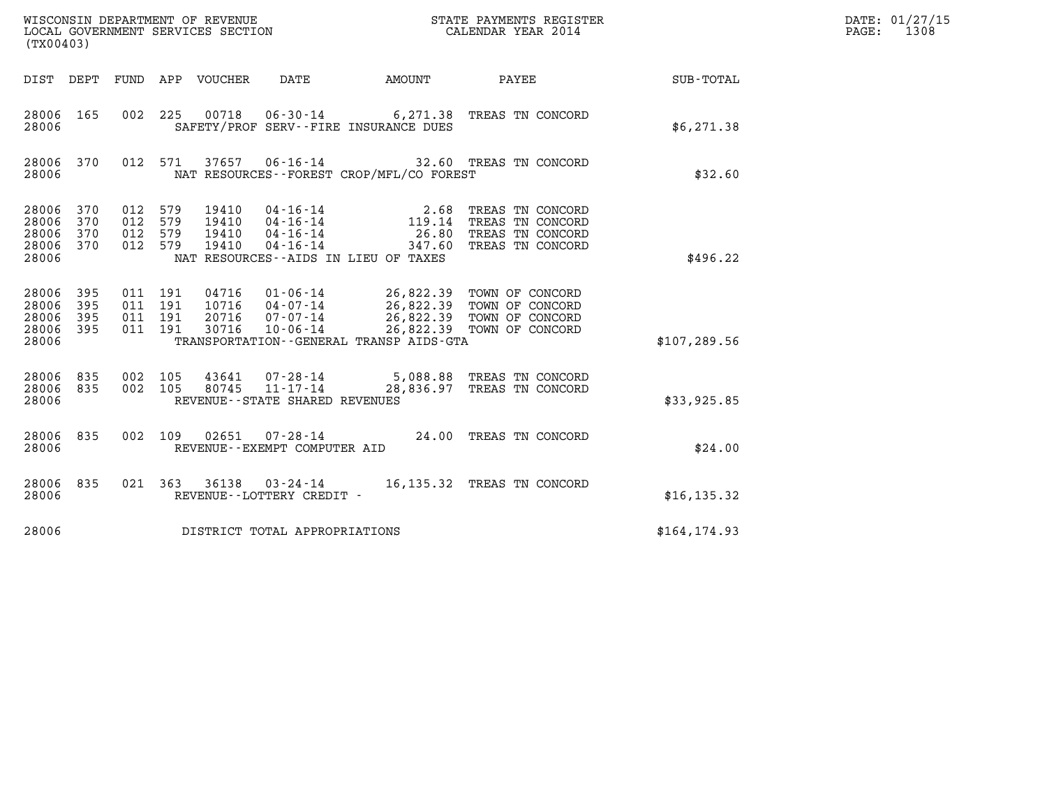| (TX00403)                                 |                          |                                          |            |                                  |                                                                 |                                                                                                           | %WISCONSIN DEPARTMENT OF REVENUE $$\tt STATE~PAYMENTS~REGISTER~LOCALSONSTR~GOLERNMENT~SERVICES~SECTION~CALENDAR~YEAR~2014$ |               | DATE: 01/27/15<br>$\mathtt{PAGE:}$<br>1308 |
|-------------------------------------------|--------------------------|------------------------------------------|------------|----------------------------------|-----------------------------------------------------------------|-----------------------------------------------------------------------------------------------------------|----------------------------------------------------------------------------------------------------------------------------|---------------|--------------------------------------------|
|                                           |                          |                                          |            | DIST DEPT FUND APP VOUCHER       | DATE                                                            | AMOUNT PAYEE                                                                                              |                                                                                                                            | SUB-TOTAL     |                                            |
| 28006 165<br>28006                        |                          | 002 225                                  |            | 00718                            |                                                                 | SAFETY/PROF SERV--FIRE INSURANCE DUES                                                                     | 06-30-14 6,271.38 TREAS TN CONCORD                                                                                         | \$6,271.38    |                                            |
| 28006 370<br>28006                        |                          |                                          | 012 571    |                                  |                                                                 | NAT RESOURCES - - FOREST CROP/MFL/CO FOREST                                                               | 37657  06-16-14  32.60 TREAS TN CONCORD                                                                                    | \$32.60       |                                            |
| 28006<br>28006<br>28006<br>28006<br>28006 | 370<br>370<br>370<br>370 | 012<br>012 579<br>012<br>012 579         | 579<br>579 | 19410<br>19410<br>19410<br>19410 | $04 - 16 - 14$                                                  | 04-16-14<br>04-16-14<br>04-16-14<br>04-16-14<br>26.80<br>347.60<br>NAT RESOURCES -- AIDS IN LIEU OF TAXES | TREAS TN CONCORD<br>TREAS TN CONCORD<br>TREAS TN CONCORD<br>TREAS TN CONCORD                                               | \$496.22      |                                            |
| 28006<br>28006<br>28006<br>28006<br>28006 | 395<br>395<br>395<br>395 | 011 191<br>011 191<br>011 191<br>011 191 |            | 04716<br>10716<br>20716<br>30716 | $01 - 06 - 14$<br>04-07-14<br>07-07-14<br>$10 - 06 - 14$        | TRANSPORTATION--GENERAL TRANSP AIDS-GTA                                                                   | 26,822.39 TOWN OF CONCORD<br>26,822.39 TOWN OF CONCORD<br>26,822.39 TOWN OF CONCORD<br>26,822.39 TOWN OF CONCORD           | \$107, 289.56 |                                            |
| 28006<br>28006<br>28006                   | 835<br>835               | 002 105<br>002 105                       |            | 43641<br>80745                   | $07 - 28 - 14$<br>11-17-14<br>REVENUE - - STATE SHARED REVENUES |                                                                                                           | 5,088.88 TREAS TN CONCORD<br>28,836.97 TREAS TN CONCORD                                                                    | \$33,925.85   |                                            |
| 28006<br>28006                            | 835                      |                                          | 002 109    |                                  | REVENUE--EXEMPT COMPUTER AID                                    |                                                                                                           | 02651  07-28-14  24.00 TREAS TN CONCORD                                                                                    | \$24.00       |                                            |
| 28006<br>28006                            | 835                      |                                          | 021 363    |                                  | REVENUE--LOTTERY CREDIT -                                       |                                                                                                           | 36138 03-24-14 16,135.32 TREAS TN CONCORD                                                                                  | \$16, 135.32  |                                            |
| 28006                                     |                          |                                          |            |                                  | DISTRICT TOTAL APPROPRIATIONS                                   |                                                                                                           |                                                                                                                            | \$164, 174.93 |                                            |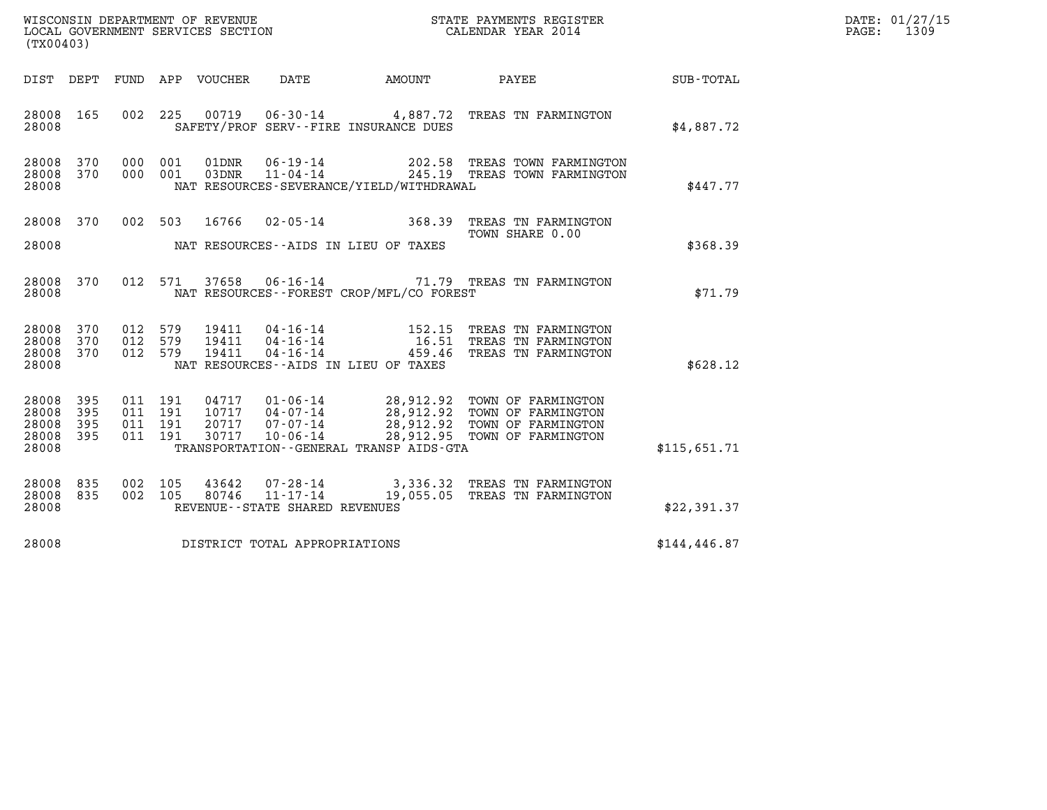| (TX00403)                                 |                          |                       |                               |                                  | WISCONSIN DEPARTMENT OF REVENUE<br>LOCAL GOVERNMENT SERVICES SECTION |                                             | STATE PAYMENTS REGISTER<br>CALENDAR YEAR 2014                                                                                                                                                                                                                           |               | DATE: 01/27/15<br>PAGE:<br>1309 |
|-------------------------------------------|--------------------------|-----------------------|-------------------------------|----------------------------------|----------------------------------------------------------------------|---------------------------------------------|-------------------------------------------------------------------------------------------------------------------------------------------------------------------------------------------------------------------------------------------------------------------------|---------------|---------------------------------|
| DIST DEPT                                 |                          | FUND                  |                               | APP VOUCHER                      | DATE                                                                 | AMOUNT                                      | PAYEE                                                                                                                                                                                                                                                                   | SUB-TOTAL     |                                 |
| 28008<br>28008                            | 165                      |                       | 002 225                       | 00719                            |                                                                      | SAFETY/PROF SERV--FIRE INSURANCE DUES       | 06-30-14 4,887.72 TREAS TN FARMINGTON                                                                                                                                                                                                                                   | \$4,887.72    |                                 |
| 28008<br>28008<br>28008                   | 370<br>370               | 000<br>000            | 001<br>001                    | 01DNR<br>03DNR                   | $06 - 19 - 14$<br>$11 - 04 - 14$                                     | NAT RESOURCES-SEVERANCE/YIELD/WITHDRAWAL    | 202.58 TREAS TOWN FARMINGTON<br>245.19 TREAS TOWN FARMINGTON                                                                                                                                                                                                            | \$447.77      |                                 |
| 28008<br>28008                            | 370                      | 002 503               |                               | 16766                            |                                                                      | NAT RESOURCES--AIDS IN LIEU OF TAXES        | 02-05-14 368.39 TREAS TN FARMINGTON<br>TOWN SHARE 0.00                                                                                                                                                                                                                  | \$368.39      |                                 |
| 28008 370<br>28008                        |                          |                       | 012 571                       | 37658                            |                                                                      | NAT RESOURCES - - FOREST CROP/MFL/CO FOREST | 06-16-14 71.79 TREAS TN FARMINGTON                                                                                                                                                                                                                                      | \$71.79       |                                 |
| 28008<br>28008<br>28008<br>28008          | 370<br>370<br>370        | 012<br>012<br>012 579 | 579<br>579                    | 19411<br>19411<br>19411          | 04-16-14<br>$04 - 16 - 14$<br>$04 - 16 - 14$                         | NAT RESOURCES--AIDS IN LIEU OF TAXES        | 152.15 TREAS TN FARMINGTON<br>16.51 TREAS TN FARMINGTON<br>459.46 TREAS TN FARMINGTON                                                                                                                                                                                   | \$628.12      |                                 |
| 28008<br>28008<br>28008<br>28008<br>28008 | 395<br>395<br>395<br>395 | 011 191               | 011 191<br>011 191<br>011 191 | 04717<br>10717<br>20717<br>30717 | 01-06-14<br>$04 - 07 - 14$<br>$07 - 07 - 14$<br>$10 - 06 - 14$       | TRANSPORTATION--GENERAL TRANSP AIDS-GTA     | 28,912.92 TOWN OF FARMINGTON<br>28,912.92 TOWN OF FARMINGTON<br>28,912.92 TOWN OF FARMINGTON<br>28,912.95 TOWN OF FARMINGTON                                                                                                                                            | \$115,651.71  |                                 |
| 28008<br>28008<br>28008                   | 835<br>835               | 002 105<br>002        | 105                           | 43642<br>80746                   | REVENUE - - STATE SHARED REVENUES                                    |                                             | $0.7 - 28 - 14$<br>$1.1 - 17 - 14$<br>$1.4 - 17 - 14$<br>$1.5 - 16$<br>$1.6 - 16$<br>$1.6 - 16$<br>$1.7 - 14$<br>$1.6 - 16$<br>$1.7 - 14$<br>$1.7 - 14$<br>$1.7 - 14$<br>$1.7 - 14$<br>$1.7 - 14$<br>$1.7 - 14$<br>$1.7 - 14$<br>$1.7 - 14$<br>$1.7 - 14$<br>$1.7 - 14$ | \$22,391.37   |                                 |
| 28008                                     |                          |                       |                               |                                  | DISTRICT TOTAL APPROPRIATIONS                                        |                                             |                                                                                                                                                                                                                                                                         | \$144, 446.87 |                                 |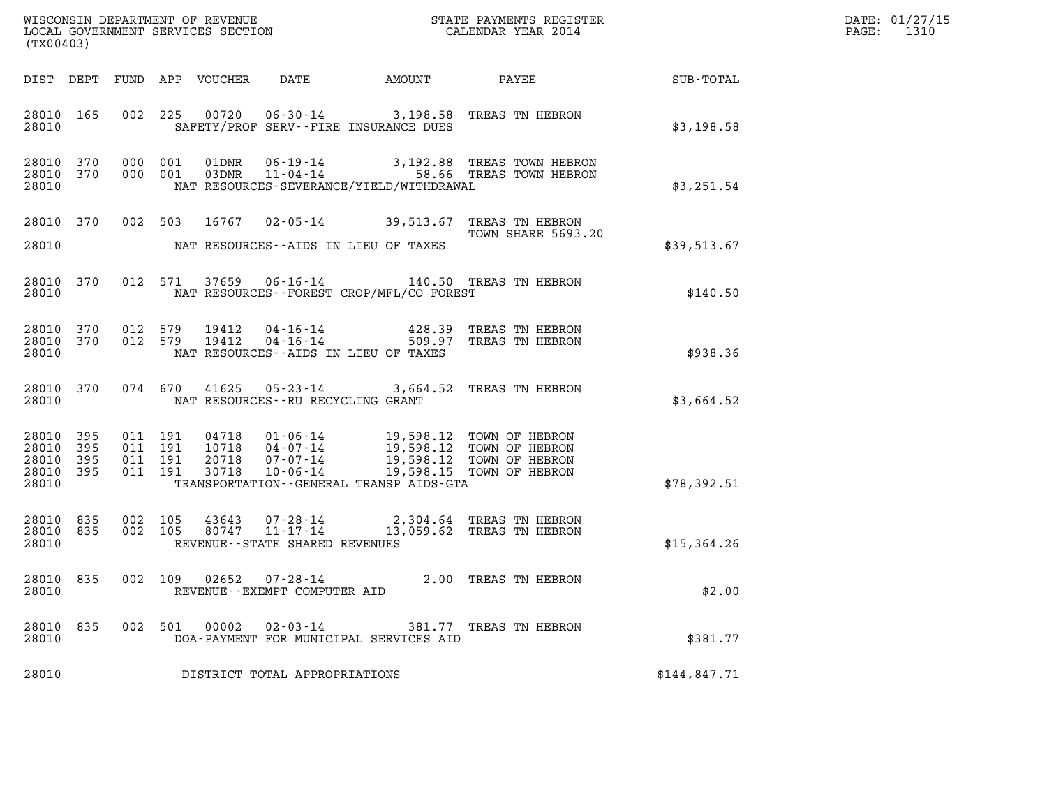| (TX00403)                                     |                   |                    | WISCONSIN DEPARTMENT OF REVENUE<br>LOCAL GOVERNMENT SERVICES SECTION<br>LOCAL GOVERNMENT SERVICES SECTION |                                                              |                                                                                                                   | STATE PAYMENTS REGISTER<br>CALENDAR YEAR 2014                  |              | DATE: 01/27/15<br>PAGE:<br>1310 |
|-----------------------------------------------|-------------------|--------------------|-----------------------------------------------------------------------------------------------------------|--------------------------------------------------------------|-------------------------------------------------------------------------------------------------------------------|----------------------------------------------------------------|--------------|---------------------------------|
| DIST DEPT                                     |                   |                    | FUND APP VOUCHER                                                                                          | DATE                                                         |                                                                                                                   | AMOUNT PAYEE                                                   | SUB-TOTAL    |                                 |
| 28010 165<br>28010                            |                   |                    |                                                                                                           |                                                              | SAFETY/PROF SERV--FIRE INSURANCE DUES                                                                             | 002 225 00720 06-30-14 3,198.58 TREAS TN HEBRON                | \$3,198.58   |                                 |
| 28010 370<br>28010 370<br>28010               |                   | 000 001<br>000 001 |                                                                                                           |                                                              | NAT RESOURCES-SEVERANCE/YIELD/WITHDRAWAL                                                                          |                                                                | \$3,251.54   |                                 |
| 28010 370<br>28010                            |                   |                    | 002 503                                                                                                   |                                                              | NAT RESOURCES -- AIDS IN LIEU OF TAXES                                                                            | 16767 02-05-14 39,513.67 TREAS TN HEBRON<br>TOWN SHARE 5693.20 | \$39,513.67  |                                 |
| 28010 370<br>28010                            |                   |                    |                                                                                                           |                                                              | NAT RESOURCES--FOREST CROP/MFL/CO FOREST                                                                          | 012 571 37659 06-16-14 140.50 TREAS TN HEBRON                  | \$140.50     |                                 |
| 28010 370<br>28010 370<br>28010               |                   | 012 579<br>012 579 | 19412<br>19412                                                                                            | 04-16-14<br>04-16-14                                         | NAT RESOURCES--AIDS IN LIEU OF TAXES                                                                              | 428.39 TREAS TN HEBRON<br>509.97 TREAS TN HEBRON               | \$938.36     |                                 |
| 28010 370<br>28010                            |                   |                    | 41625<br>074 670                                                                                          | NAT RESOURCES -- RU RECYCLING GRANT                          |                                                                                                                   | 05-23-14 3,664.52 TREAS TN HEBRON                              | \$3,664.52   |                                 |
| 28010 395<br>28010<br>28010<br>28010<br>28010 | 395<br>395<br>395 | 011 191            | 011 191<br>04718<br>011 191<br>10718<br>20718<br>011 191<br>30718                                         | 07-07-14<br>$10 - 06 - 14$                                   | 01-06-14 19,598.12 TOWN OF HEBRON<br>04-07-14 19,598.12 TOWN OF HEBRON<br>TRANSPORTATION--GENERAL TRANSP AIDS-GTA | 19,598.12 TOWN OF HEBRON<br>19,598.15 TOWN OF HEBRON           | \$78,392.51  |                                 |
| 28010 835<br>28010 835<br>28010               |                   | 002 105            | 002 105<br>43643<br>80747                                                                                 | 07-28-14<br>$11 - 17 - 14$<br>REVENUE--STATE SHARED REVENUES |                                                                                                                   | 2,304.64 TREAS TN HEBRON<br>13,059.62 TREAS TN HEBRON          | \$15,364.26  |                                 |
| 28010 835<br>28010                            |                   |                    | 002 109                                                                                                   | 02652 07-28-14<br>REVENUE - - EXEMPT COMPUTER AID            |                                                                                                                   | 2.00 TREAS TN HEBRON                                           | \$2.00       |                                 |
| 28010 835<br>28010                            |                   |                    | 002 501<br>00002                                                                                          | 02-03-14                                                     | DOA-PAYMENT FOR MUNICIPAL SERVICES AID                                                                            | 381.77 TREAS TN HEBRON                                         | \$381.77     |                                 |
| 28010                                         |                   |                    |                                                                                                           | DISTRICT TOTAL APPROPRIATIONS                                |                                                                                                                   |                                                                | \$144,847.71 |                                 |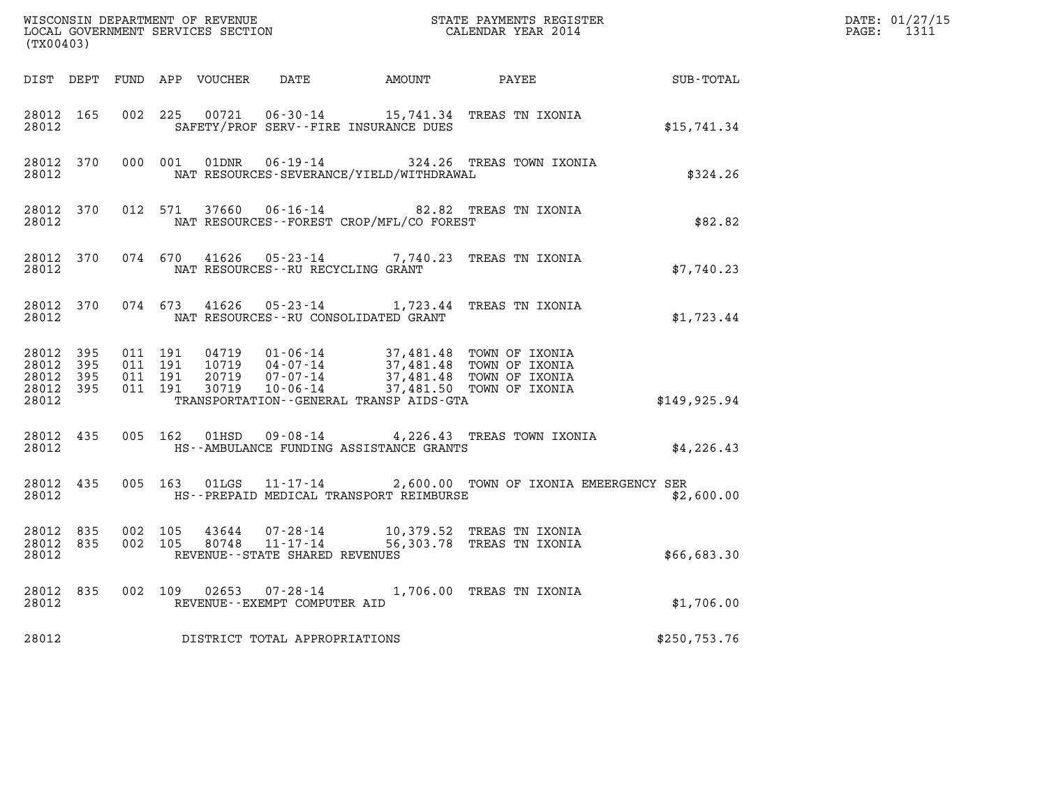| (TX00403)                                                 |           |                   |                                          |                                   |                                               | WISCONSIN DEPARTMENT OF REVENUE<br>LOCAL GOVERNMENT SERVICES SECTION<br>CALENDAR YEAR 2014                                                                                               |              | DATE: 01/27/15<br>PAGE: 1311 |
|-----------------------------------------------------------|-----------|-------------------|------------------------------------------|-----------------------------------|-----------------------------------------------|------------------------------------------------------------------------------------------------------------------------------------------------------------------------------------------|--------------|------------------------------|
|                                                           |           |                   |                                          |                                   |                                               | DIST DEPT FUND APP VOUCHER DATE AMOUNT PAYEE SUB-TOTAL                                                                                                                                   |              |                              |
| 28012 165                                                 | 28012     |                   |                                          |                                   | SAFETY/PROF SERV--FIRE INSURANCE DUES         | 002 225 00721 06-30-14 15,741.34 TREAS TN IXONIA                                                                                                                                         | \$15,741.34  |                              |
| 28012 370<br>28012                                        |           |                   |                                          |                                   | NAT RESOURCES-SEVERANCE/YIELD/WITHDRAWAL      | 000 001 01DNR 06-19-14 324.26 TREAS TOWN IXONIA                                                                                                                                          | \$324.26     |                              |
| 28012                                                     | 28012 370 |                   |                                          |                                   | NAT RESOURCES--FOREST CROP/MFL/CO FOREST      | 012 571 37660 06-16-14 82.82 TREAS TN IXONIA                                                                                                                                             | \$82.82      |                              |
|                                                           | 28012     |                   |                                          | NAT RESOURCES--RU RECYCLING GRANT |                                               | 28012 370 074 670 41626 05-23-14 7,740.23 TREAS TN IXONIA                                                                                                                                | \$7,740.23   |                              |
| 28012                                                     |           |                   |                                          |                                   | NAT RESOURCES--RU CONSOLIDATED GRANT          | 28012 370 074 673 41626 05-23-14 1,723.44 TREAS TN IXONIA                                                                                                                                | \$1,723.44   |                              |
| 28012 395<br>28012 395<br>28012 395<br>28012 395<br>28012 |           |                   | 011 191<br>011 191<br>011 191<br>011 191 |                                   | TRANSPORTATION - - GENERAL TRANSP AIDS - GTA  | 04719   01-06-14   37,481.48 TOWN OF IXONIA<br>10719   04-07-14   37,481.48 TOWN OF IXONIA<br>20719   07-07-14   37,481.48 TOWN OF IXONIA<br>30719   10-06-14   37,481.50 TOWN OF IXONIA | \$149,925.94 |                              |
| 28012 435<br>28012                                        |           |                   |                                          |                                   | HS--AMBULANCE FUNDING ASSISTANCE GRANTS       | 005 162 01HSD 09-08-14 4,226.43 TREAS TOWN IXONIA                                                                                                                                        | \$4,226.43   |                              |
|                                                           | 28012 435 |                   |                                          |                                   | 28012 HS--PREPAID MEDICAL TRANSPORT REIMBURSE | 005 163 01LGS 11-17-14 2,600.00 TOWN OF IXONIA EMEERGENCY SER                                                                                                                            | \$2,600.00   |                              |
| 28012 835<br>28012                                        |           | 28012 835 002 105 | 002 105                                  | REVENUE--STATE SHARED REVENUES    |                                               | $\begin{array}{cccc} 43644 & 07\text{-}28\text{-}14 & 10,379.52 & \text{TREAS TN IXONIA}\\ 80748 & 11\text{-}17\text{-}14 & 56,303.78 & \text{TREAS TN IXONIA} \end{array}$              | \$66,683.30  |                              |
|                                                           | 28012 835 | 28012 28012       |                                          | REVENUE--EXEMPT COMPUTER AID      |                                               | 002 109 02653 07-28-14 1,706.00 TREAS TN IXONIA                                                                                                                                          | \$1,706.00   |                              |
| 28012                                                     |           |                   |                                          | DISTRICT TOTAL APPROPRIATIONS     |                                               |                                                                                                                                                                                          | \$250,753.76 |                              |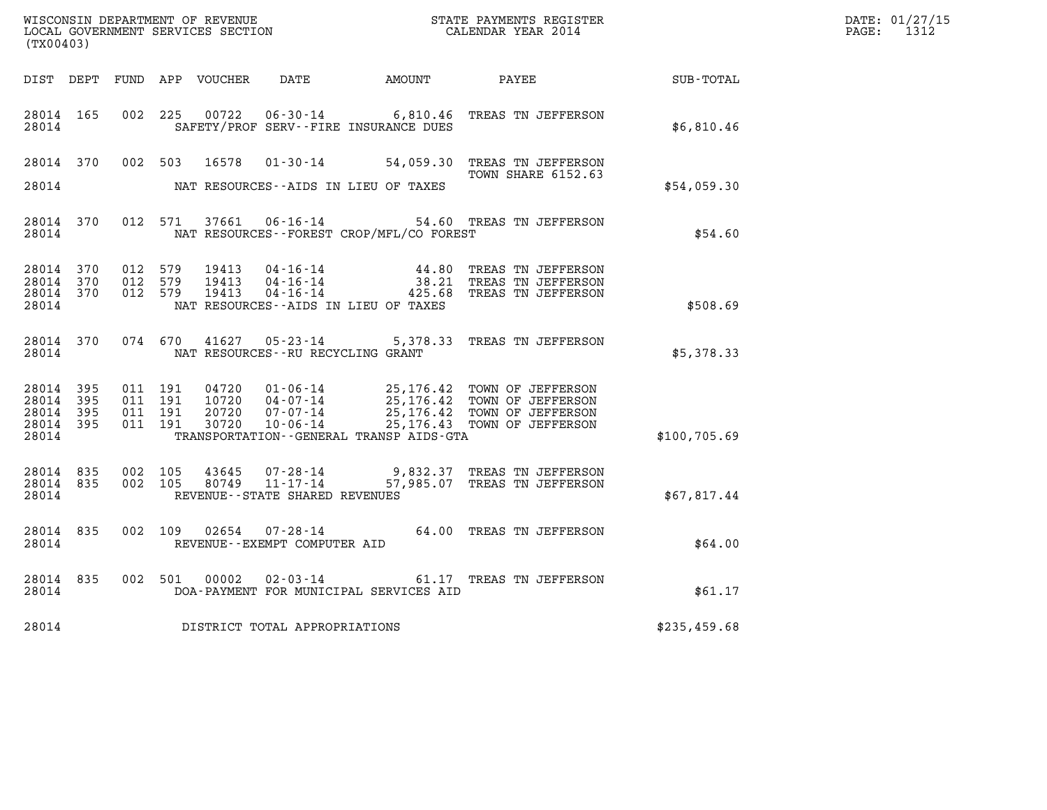| (TX00403)                                         |  |  |                                   |                                              |                                                                                                                                                                                                                                      |              | DATE: 01/27/15<br>PAGE: 1312 |
|---------------------------------------------------|--|--|-----------------------------------|----------------------------------------------|--------------------------------------------------------------------------------------------------------------------------------------------------------------------------------------------------------------------------------------|--------------|------------------------------|
|                                                   |  |  |                                   | DIST DEPT FUND APP VOUCHER DATE AMOUNT PAYEE |                                                                                                                                                                                                                                      | SUB-TOTAL    |                              |
| 28014                                             |  |  |                                   | SAFETY/PROF SERV--FIRE INSURANCE DUES        | 28014 165 002 225 00722 06-30-14 6,810.46 TREAS TN JEFFERSON                                                                                                                                                                         | \$6,810.46   |                              |
|                                                   |  |  |                                   |                                              | 28014 370 002 503 16578 01-30-14 54,059.30 TREAS TN JEFFERSON                                                                                                                                                                        |              |                              |
| 28014                                             |  |  |                                   | NAT RESOURCES--AIDS IN LIEU OF TAXES         | TOWN SHARE 6152.63                                                                                                                                                                                                                   | \$54,059.30  |                              |
| 28014                                             |  |  |                                   | NAT RESOURCES--FOREST CROP/MFL/CO FOREST     | 28014 370 012 571 37661 06-16-14 54.60 TREAS TN JEFFERSON                                                                                                                                                                            | \$54.60      |                              |
| 28014                                             |  |  |                                   | NAT RESOURCES--AIDS IN LIEU OF TAXES         | 28014 370 012 579 19413 04-16-14        44.80 TREAS TNJEFFERSON<br>28014 370 012 579 19413 04-16-14          38.21 TREAS TNJEFFERSON<br>28014 370 012 579 19413 04-16-14        425.68 TREAS TNJEFFERSON                             | \$508.69     |                              |
| 28014                                             |  |  | NAT RESOURCES--RU RECYCLING GRANT |                                              | 28014 370 074 670 41627 05-23-14 5,378.33 TREAS TN JEFFERSON                                                                                                                                                                         | \$5,378.33   |                              |
| 28014 395<br>28014 395<br>28014<br>28014<br>28014 |  |  |                                   | TRANSPORTATION--GENERAL TRANSP AIDS-GTA      | 395 011 191 04720 01-06-14 25,176.42 TOWN OF JEFFERSON<br>395 011 191 10720 04-07-14 25,176.42 TOWN OF JEFFERSON<br>395 011 191 20720 07-07-14 25,176.42 TOWN OF JEFFERSON<br>395 011 191 30720 10-06-14 25,176.43 TOWN OF JEFFERSON | \$100,705.69 |                              |
| 28014                                             |  |  | REVENUE--STATE SHARED REVENUES    |                                              | 28014 835 002 105 43645 07-28-14 9,832.37 TREAS TNJEFFERSON<br>28014 835 002 105 80749 11-17-14 57,985.07 TREAS TNJEFFERSON                                                                                                          | \$67,817.44  |                              |
| 28014                                             |  |  | REVENUE - - EXEMPT COMPUTER AID   |                                              | 28014 835 002 109 02654 07-28-14 64.00 TREAS TN JEFFERSON                                                                                                                                                                            | \$64.00      |                              |
| 28014                                             |  |  |                                   | DOA-PAYMENT FOR MUNICIPAL SERVICES AID       | 28014 835 002 501 00002 02-03-14 61.17 TREAS TN JEFFERSON                                                                                                                                                                            | \$61.17      |                              |
| 28014                                             |  |  | DISTRICT TOTAL APPROPRIATIONS     |                                              |                                                                                                                                                                                                                                      | \$235,459.68 |                              |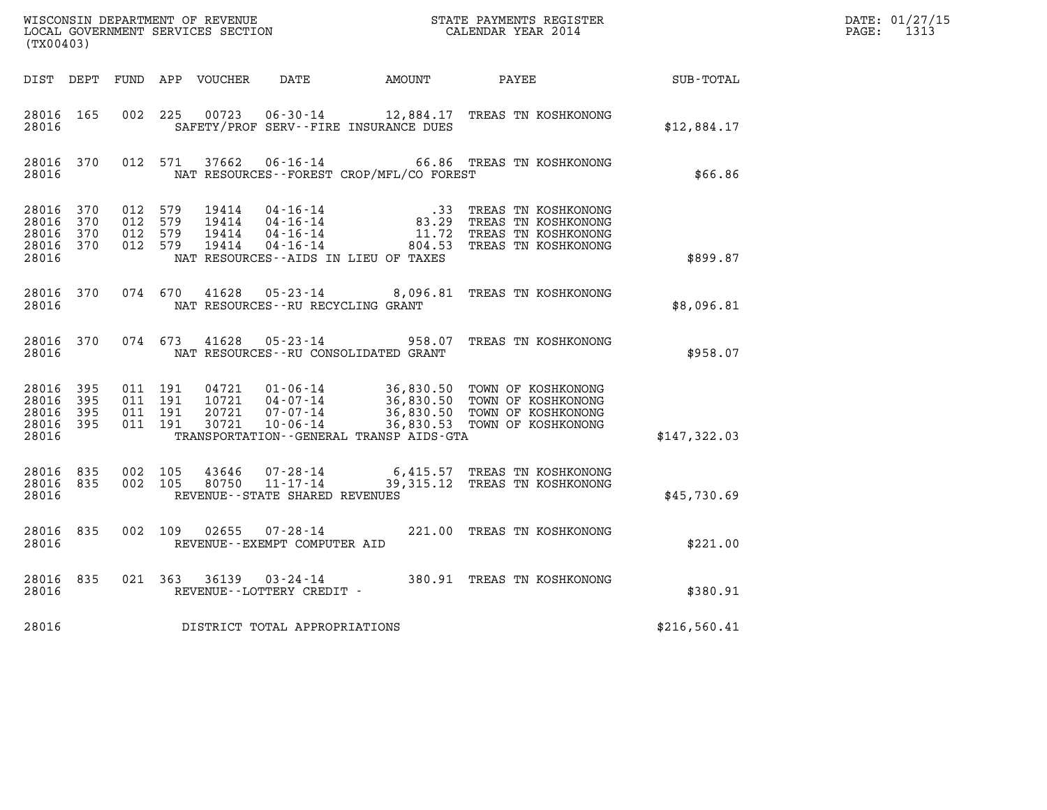| (TX00403)                                 |                            |                                          |         | WISCONSIN DEPARTMENT OF REVENUE<br>LOCAL GOVERNMENT SERVICES SECTION |                                                              |                                                                   | STATE PAYMENTS REGISTER<br>CALENDAR YEAR 2014                                                                                |              | DATE: 01/27/15<br>$\mathtt{PAGE}$ :<br>1313 |
|-------------------------------------------|----------------------------|------------------------------------------|---------|----------------------------------------------------------------------|--------------------------------------------------------------|-------------------------------------------------------------------|------------------------------------------------------------------------------------------------------------------------------|--------------|---------------------------------------------|
| DIST DEPT                                 |                            |                                          |         | FUND APP VOUCHER                                                     | DATE                                                         | AMOUNT PAYEE                                                      |                                                                                                                              | SUB-TOTAL    |                                             |
| 28016 165<br>28016                        |                            | 002                                      | 225     | 00723                                                                |                                                              | SAFETY/PROF SERV--FIRE INSURANCE DUES                             | 06-30-14 12,884.17 TREAS TN KOSHKONONG                                                                                       | \$12,884.17  |                                             |
| 28016<br>28016                            | 370                        |                                          | 012 571 | 37662                                                                | $06 - 16 - 14$                                               | NAT RESOURCES--FOREST CROP/MFL/CO FOREST                          | 66.86 TREAS TN KOSHKONONG                                                                                                    | \$66.86      |                                             |
| 28016<br>28016<br>28016<br>28016<br>28016 | 370<br>370<br>370<br>370   | 012 579<br>012<br>012 579<br>012 579     | 579     | 19414<br>19414<br>19414<br>19414                                     | 04-16-14<br>04-16-14<br>04-16-14<br>04-16-14                 | 83.29<br>11.72<br>804.53<br>NAT RESOURCES - AIDS IN LIEU OF TAXES | .33 TREAS TN KOSHKONONG<br>TREAS TN KOSHKONONG<br>TREAS TN KOSHKONONG<br>TREAS TN KOSHKONONG                                 | \$899.87     |                                             |
| 28016 370<br>28016                        |                            | 074 670                                  |         | 41628                                                                | $05 - 23 - 14$<br>NAT RESOURCES - - RU RECYCLING GRANT       |                                                                   | 8,096.81 TREAS TN KOSHKONONG                                                                                                 | \$8,096.81   |                                             |
| 28016 370<br>28016                        |                            |                                          | 074 673 | 41628                                                                | 05-23-14                                                     | 958.07<br>NAT RESOURCES - - RU CONSOLIDATED GRANT                 | TREAS TN KOSHKONONG                                                                                                          | \$958.07     |                                             |
| 28016<br>28016<br>28016<br>28016<br>28016 | 395<br>395<br>395<br>- 395 | 011 191<br>011 191<br>011 191<br>011 191 |         | 04721<br>10721<br>20721<br>30721                                     | 01-06-14<br>04-07-14<br>07-07-14<br>10-06-14                 | TRANSPORTATION - - GENERAL TRANSP AIDS - GTA                      | 36,830.50 TOWN OF KOSHKONONG<br>36,830.50 TOWN OF KOSHKONONG<br>36,830.50 TOWN OF KOSHKONONG<br>36,830.53 TOWN OF KOSHKONONG | \$147,322.03 |                                             |
| 28016<br>28016<br>28016                   | 835<br>835                 | 002 105<br>002 105                       |         | 43646<br>80750                                                       | 07-28-14<br>$11 - 17 - 14$<br>REVENUE--STATE SHARED REVENUES | 6,415.57                                                          | TREAS TN KOSHKONONG<br>39,315.12 TREAS TN KOSHKONONG                                                                         | \$45,730.69  |                                             |
| 28016 835<br>28016                        |                            | 002 109                                  |         | 02655                                                                | 07-28-14<br>REVENUE--EXEMPT COMPUTER AID                     |                                                                   | 221.00 TREAS TN KOSHKONONG                                                                                                   | \$221.00     |                                             |
| 28016<br>28016                            | 835                        |                                          | 021 363 |                                                                      | $36139$ $03 - 24 - 14$<br>REVENUE--LOTTERY CREDIT -          |                                                                   | 380.91 TREAS TN KOSHKONONG                                                                                                   | \$380.91     |                                             |
| 28016                                     |                            |                                          |         |                                                                      | DISTRICT TOTAL APPROPRIATIONS                                |                                                                   |                                                                                                                              | \$216,560.41 |                                             |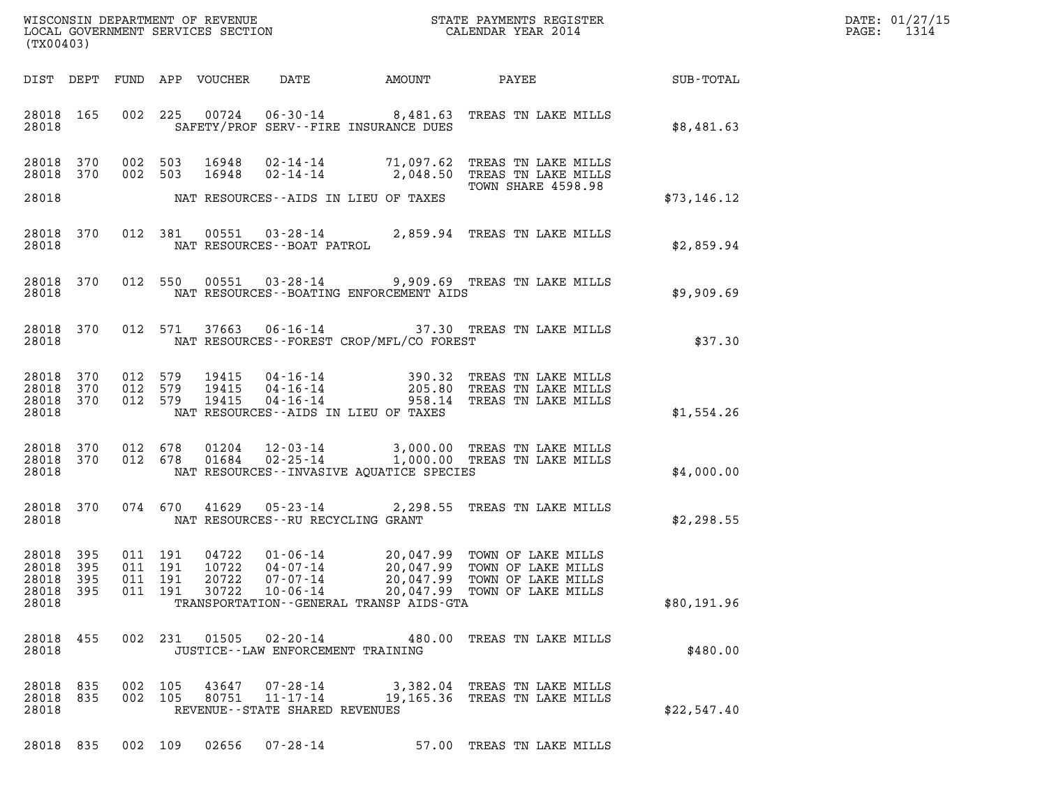| WISCONSIN DEPARTMENT OF REVENUE   | STATE PAYMENTS REGISTER | DATE: 01/27/15 |
|-----------------------------------|-------------------------|----------------|
| LOCAL GOVERNMENT SERVICES SECTION | CALENDAR YEAR 2014      | PAGE:          |

| (TX00403)                                         |            |                                                   |                                                                | WISCONSIN DEPARTMENT OF REVENUE<br>LOCAL GOVERNMENT SERVICES SECTION<br>CALENDAR YEAR 2014                                                                                |             | DATE: 01/27/15<br>PAGE: 1314 |
|---------------------------------------------------|------------|---------------------------------------------------|----------------------------------------------------------------|---------------------------------------------------------------------------------------------------------------------------------------------------------------------------|-------------|------------------------------|
|                                                   |            |                                                   |                                                                | DIST DEPT FUND APP VOUCHER DATE AMOUNT PAYEE TOTAL                                                                                                                        |             |                              |
| 28018 165<br>28018                                |            |                                                   | SAFETY/PROF SERV--FIRE INSURANCE DUES                          | 002 225 00724 06-30-14 8,481.63 TREAS TN LAKE MILLS                                                                                                                       | \$8,481.63  |                              |
| 28018 370<br>28018 370                            |            |                                                   |                                                                | 002 503 16948 02-14-14 71,097.62 TREAS TN LAKE MILLS<br>002 503 16948 02-14-14 2,048.50 TREAS TN LAKE MILLS<br>TOWN SHARE 4598.98                                         |             |                              |
| 28018                                             |            |                                                   | NAT RESOURCES--AIDS IN LIEU OF TAXES                           |                                                                                                                                                                           | \$73,146.12 |                              |
| 28018 370<br>28018                                |            |                                                   |                                                                | 012 381 00551 03-28-14 2,859.94 TREAS TN LAKE MILLS NAT RESOURCES--BOAT PATROL                                                                                            | \$2,859.94  |                              |
| 28018 370<br>28018                                |            |                                                   | NAT RESOURCES--BOATING ENFORCEMENT AIDS                        | 012 550 00551 03-28-14 9,909.69 TREAS TN LAKE MILLS                                                                                                                       | \$9,909.69  |                              |
| 28018 370<br>28018                                |            |                                                   | NAT RESOURCES--FOREST CROP/MFL/CO FOREST                       | 012 571 37663 06-16-14 37.30 TREAS TN LAKE MILLS                                                                                                                          | \$37.30     |                              |
| 28018 370<br>28018 370<br>28018 370<br>28018      |            |                                                   | NAT RESOURCES--AIDS IN LIEU OF TAXES                           | 012 579 19415 04-16-14 390.32 TREAS TN LAKE MILLS<br>012 579 19415 04-16-14 205.80 TREAS TN LAKE MILLS<br>012 579 19415 04-16-14 958.14 TREAS TN LAKE MILLS               | \$1,554.26  |                              |
| 28018 370<br>28018 370<br>28018                   |            |                                                   | NAT RESOURCES--INVASIVE AOUATICE SPECIES                       | 012 678  01204  12-03-14  3,000.00 TREAS TN LAKE MILLS<br>012  678  01684  02-25-14  1,000.00 TREAS TN LAKE MILLS                                                         | \$4,000.00  |                              |
| 28018 370<br>28018                                |            |                                                   | NAT RESOURCES--RU RECYCLING GRANT                              | 074 670 41629 05-23-14 2,298.55 TREAS TN LAKE MILLS                                                                                                                       | \$2,298.55  |                              |
| 28018 395<br>28018<br>28018<br>28018 395<br>28018 | 395<br>395 | 011 191<br>011 191<br>011 191<br>20722<br>011 191 | 07-07-14<br>TRANSPORTATION--GENERAL TRANSP AIDS-GTA            | 04722 01-06-14 20,047.99 TOWN OF LAKE MILLS<br>10722 04-07-14 20,047.99 TOWN OF LAKE MILLS<br>20,047.99 TOWN OF LAKE MILLS<br>30722 10-06-14 20,047.99 TOWN OF LAKE MILLS | \$80,191.96 |                              |
| 28018 455<br>28018                                |            |                                                   | 002 231 01505 02-20-14<br>JUSTICE - - LAW ENFORCEMENT TRAINING | 480.00 TREAS TN LAKE MILLS                                                                                                                                                | \$480.00    |                              |
| 28018 835<br>28018<br>28018                       | 835        | 002 105<br>002 105                                | REVENUE - - STATE SHARED REVENUES                              | 43647 07-28-14 3,382.04 TREAS TN LAKE MILLS<br>80751 11-17-14 19,165.36 TREAS TN LAKE MILLS                                                                               | \$22,547.40 |                              |

28018 835 002 109 02656 07-28-14 57.00 TREAS TN LAKE MILLS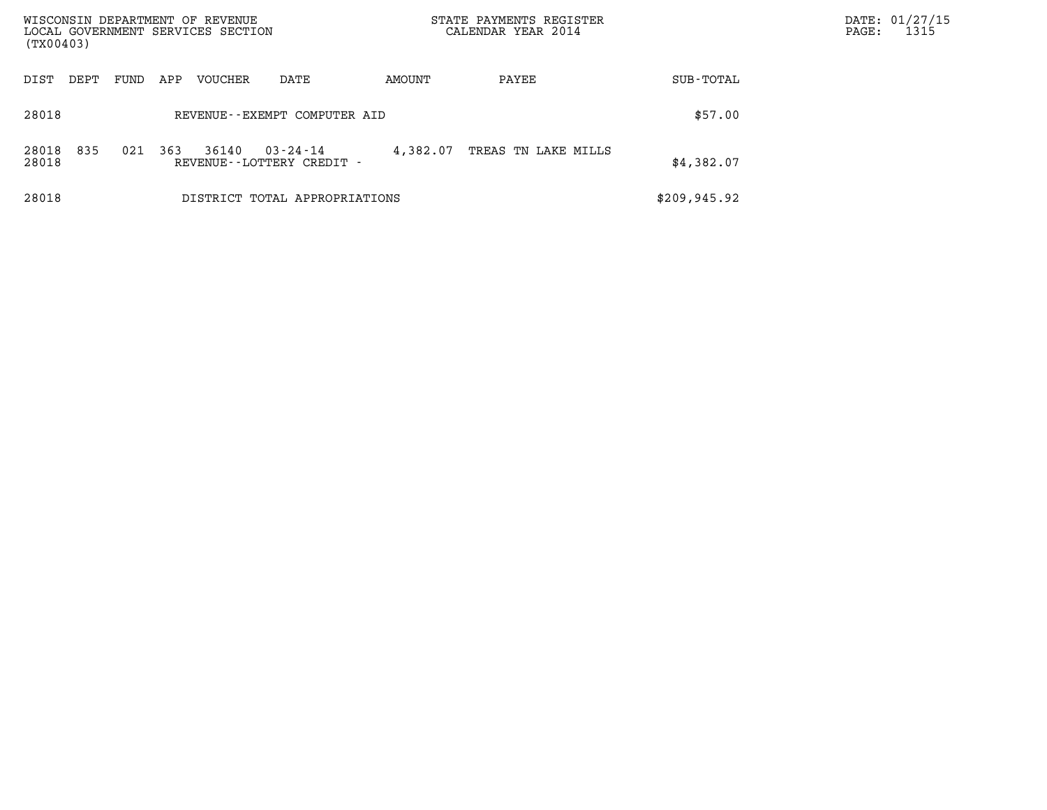| WISCONSIN DEPARTMENT OF REVENUE<br>LOCAL GOVERNMENT SERVICES SECTION<br>(TX00403) |      |     |         |                                                |          | STATE PAYMENTS REGISTER<br>CALENDAR YEAR 2014 |              | DATE: 01/27/15<br>1315<br>$\mathtt{PAGE}$ : |
|-----------------------------------------------------------------------------------|------|-----|---------|------------------------------------------------|----------|-----------------------------------------------|--------------|---------------------------------------------|
| DIST<br>DEPT                                                                      | FUND | APP | VOUCHER | DATE                                           | AMOUNT   | PAYEE                                         | SUB-TOTAL    |                                             |
| 28018                                                                             |      |     |         | REVENUE - - EXEMPT COMPUTER AID                |          |                                               | \$57.00      |                                             |
| 835<br>28018<br>28018                                                             | 021  | 363 | 36140   | $03 - 24 - 14$<br>REVENUE - - LOTTERY CREDIT - | 4,382.07 | TREAS TN LAKE MILLS                           | \$4,382.07   |                                             |
| 28018                                                                             |      |     |         | DISTRICT TOTAL APPROPRIATIONS                  |          |                                               | \$209,945.92 |                                             |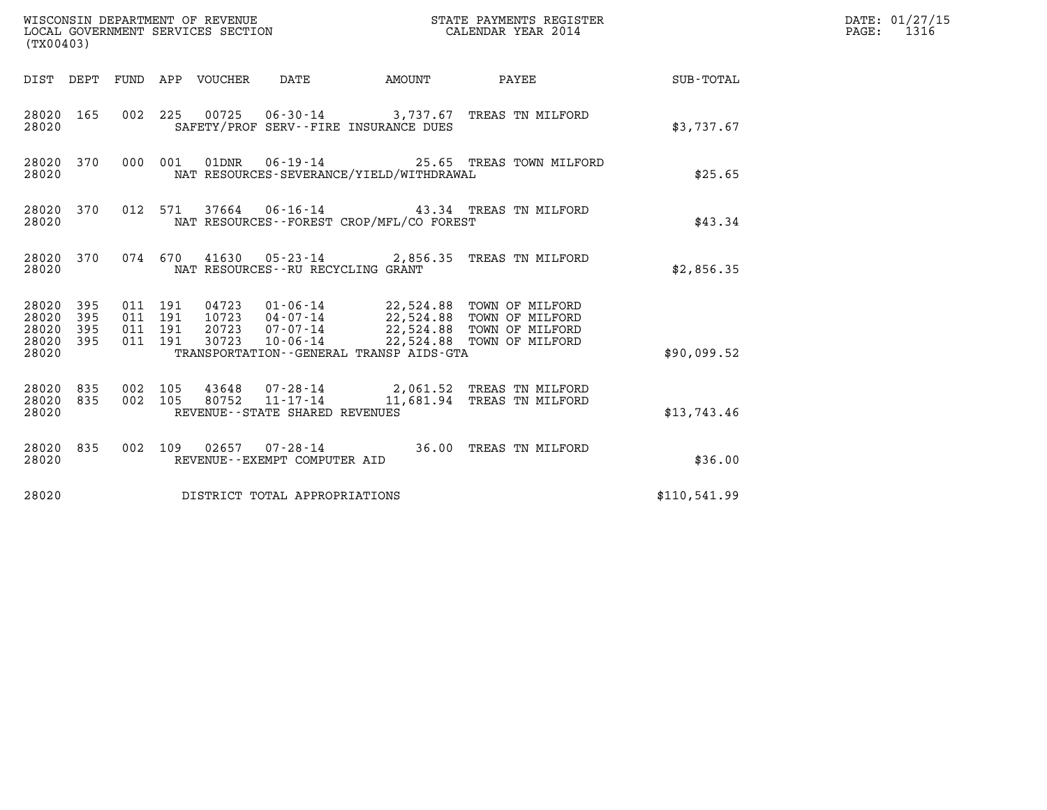| (TX00403)                                            |            |                                                                              | WISCONSIN DEPARTMENT OF REVENUE<br>LOCAL GOVERNMENT SERVICES SECTION              |                           | STATE PAYMENTS REGISTER<br>CALENDAR YEAR 2014                                                                             |              | DATE: 01/27/15<br>$\mathtt{PAGE}$ :<br>1316 |
|------------------------------------------------------|------------|------------------------------------------------------------------------------|-----------------------------------------------------------------------------------|---------------------------|---------------------------------------------------------------------------------------------------------------------------|--------------|---------------------------------------------|
|                                                      |            | DIST DEPT FUND APP VOUCHER                                                   | DATE                                                                              | <b>EXAMPLE THE AMOUNT</b> | PAYEE                                                                                                                     | SUB-TOTAL    |                                             |
| 28020 165<br>28020                                   |            |                                                                              | SAFETY/PROF SERV--FIRE INSURANCE DUES                                             |                           | 002 225 00725 06-30-14 3,737.67 TREAS TN MILFORD                                                                          | \$3,737.67   |                                             |
| 28020 370<br>28020                                   |            | 000 001                                                                      | NAT RESOURCES-SEVERANCE/YIELD/WITHDRAWAL                                          |                           | 01DNR  06-19-14  25.65 TREAS TOWN MILFORD                                                                                 | \$25.65      |                                             |
| 28020 370<br>28020                                   |            | 012 571                                                                      | NAT RESOURCES--FOREST CROP/MFL/CO FOREST                                          |                           | 37664  06-16-14  43.34  TREAS TN MILFORD                                                                                  | \$43.34      |                                             |
| 28020 370<br>28020                                   |            |                                                                              | NAT RESOURCES - - RU RECYCLING GRANT                                              |                           | 074 670 41630 05-23-14 2,856.35 TREAS TN MILFORD                                                                          | \$2,856.35   |                                             |
| 28020 395<br>28020<br>28020<br>395<br>28020<br>28020 | 395<br>395 | 011 191<br>04723<br>011 191<br>10723<br>011 191<br>20723<br>011 191<br>30723 | 04-07-14<br>07-07-14<br>$10 - 06 - 14$<br>TRANSPORTATION--GENERAL TRANSP AIDS-GTA |                           | 01-06-14 22,524.88 TOWN OF MILFORD<br>22,524.88 TOWN OF MILFORD<br>22,524.88 TOWN OF MILFORD<br>22,524.88 TOWN OF MILFORD | \$90,099.52  |                                             |
| 28020 835<br>835<br>28020<br>28020                   |            | 002 105<br>002 105<br>80752                                                  | $11 - 17 - 14$<br>REVENUE--STATE SHARED REVENUES                                  |                           | 43648 07-28-14 2,061.52 TREAS TN MILFORD<br>11,681.94 TREAS TN MILFORD                                                    | \$13,743.46  |                                             |
| 28020 835<br>28020                                   |            |                                                                              | REVENUE--EXEMPT COMPUTER AID                                                      |                           | 002 109 02657 07-28-14 36.00 TREAS TN MILFORD                                                                             | \$36.00      |                                             |
| 28020                                                |            |                                                                              | DISTRICT TOTAL APPROPRIATIONS                                                     |                           |                                                                                                                           | \$110,541.99 |                                             |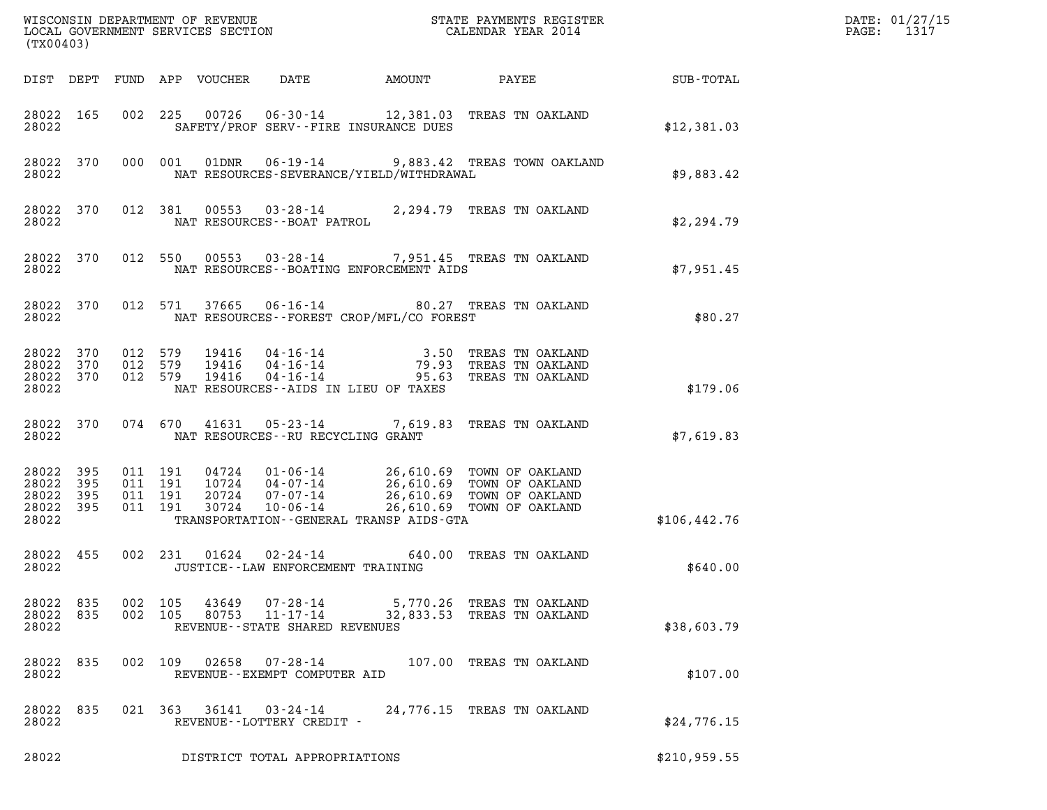| (TX00403)                                             |           |         |                                                   |                                                        |                                             |                                                                                                                                                                           |                  | DATE: 01/27/15<br>$\mathtt{PAGE:}$<br>1317 |
|-------------------------------------------------------|-----------|---------|---------------------------------------------------|--------------------------------------------------------|---------------------------------------------|---------------------------------------------------------------------------------------------------------------------------------------------------------------------------|------------------|--------------------------------------------|
|                                                       |           |         | DIST DEPT FUND APP VOUCHER                        | DATE                                                   | AMOUNT                                      | PAYEE                                                                                                                                                                     | <b>SUB-TOTAL</b> |                                            |
| 28022                                                 | 28022 165 |         |                                                   |                                                        | SAFETY/PROF SERV--FIRE INSURANCE DUES       | 002 225 00726 06-30-14 12,381.03 TREAS TN OAKLAND                                                                                                                         | \$12,381.03      |                                            |
| 28022 370<br>28022                                    |           |         | 000 001                                           |                                                        | NAT RESOURCES-SEVERANCE/YIELD/WITHDRAWAL    | 01DNR  06-19-14  9,883.42 TREAS TOWN OAKLAND                                                                                                                              | \$9,883.42       |                                            |
| 28022                                                 | 28022 370 |         | 012 381                                           |                                                        |                                             | 81  00553  03-28-14  2,294.79  TREAS TN OAKLAND<br>NAT RESOURCES--BOAT PATROL                                                                                             | \$2,294.79       |                                            |
| 28022                                                 | 28022 370 |         |                                                   |                                                        | NAT RESOURCES - - BOATING ENFORCEMENT AIDS  | 012 550 00553 03-28-14 7,951.45 TREAS TN OAKLAND                                                                                                                          | \$7,951.45       |                                            |
| 28022 370<br>28022                                    |           |         | 012 571                                           |                                                        | NAT RESOURCES - - FOREST CROP/MFL/CO FOREST | 37665  06-16-14  80.27  TREAS TN OAKLAND                                                                                                                                  | \$80.27          |                                            |
| 28022 370<br>28022 370<br>28022 370<br>28022          |           | 012 579 | 19416<br>012 579<br>19416<br>012 579<br>19416     |                                                        | NAT RESOURCES--AIDS IN LIEU OF TAXES        | 04-16-14 3.50 TREAS TN OAKLAND<br>04-16-14 79.93 TREAS TN OAKLAND<br>04-16-14 95.63 TREAS TN OAKLAND                                                                      | \$179.06         |                                            |
| 28022 370<br>28022                                    |           |         |                                                   | NAT RESOURCES--RU RECYCLING GRANT                      |                                             | 074 670 41631 05-23-14 7,619.83 TREAS TN OAKLAND                                                                                                                          | \$7,619.83       |                                            |
| 28022 395<br>28022<br>28022 395<br>28022 395<br>28022 | 395       |         | 011 191<br>011 191<br>011 191<br>011 191<br>30724 | 10724 04-07-14<br>20724 07-07-14                       | TRANSPORTATION--GENERAL TRANSP AIDS-GTA     | 04724  01-06-14  26,610.69  TOWN OF OAKLAND<br>04-07-14<br>07-07-14 26,610.69 TOWN OF OAKLAND<br>07-07-14 26,610.69 TOWN OF OAKLAND<br>10-06-14 26,610.69 TOWN OF OAKLAND | \$106, 442.76    |                                            |
| 28022 455<br>28022                                    |           |         | 002 231                                           | JUSTICE - - LAW ENFORCEMENT TRAINING                   |                                             | 01624  02-24-14  640.00  TREAS TN OAKLAND                                                                                                                                 | \$640.00         |                                            |
| 28022 835<br>28022 835<br>28022                       |           |         | 002 105<br>43649<br>002 105<br>80753              | 07-28-14<br>11-17-14<br>REVENUE--STATE SHARED REVENUES |                                             | 5,770.26 TREAS TN OAKLAND<br>32,833.53 TREAS TN OAKLAND                                                                                                                   | \$38,603.79      |                                            |
| 28022 835<br>28022                                    |           |         | 002 109<br>02658                                  | $07 - 28 - 14$<br>REVENUE--EXEMPT COMPUTER AID         |                                             | 107.00 TREAS TN OAKLAND                                                                                                                                                   | \$107.00         |                                            |
| 28022 835<br>28022                                    |           |         | 021 363 36141                                     | 03-24-14<br>REVENUE--LOTTERY CREDIT -                  |                                             | 24,776.15 TREAS TN OAKLAND                                                                                                                                                | \$24,776.15      |                                            |
| 28022                                                 |           |         |                                                   | DISTRICT TOTAL APPROPRIATIONS                          |                                             |                                                                                                                                                                           | \$210,959.55     |                                            |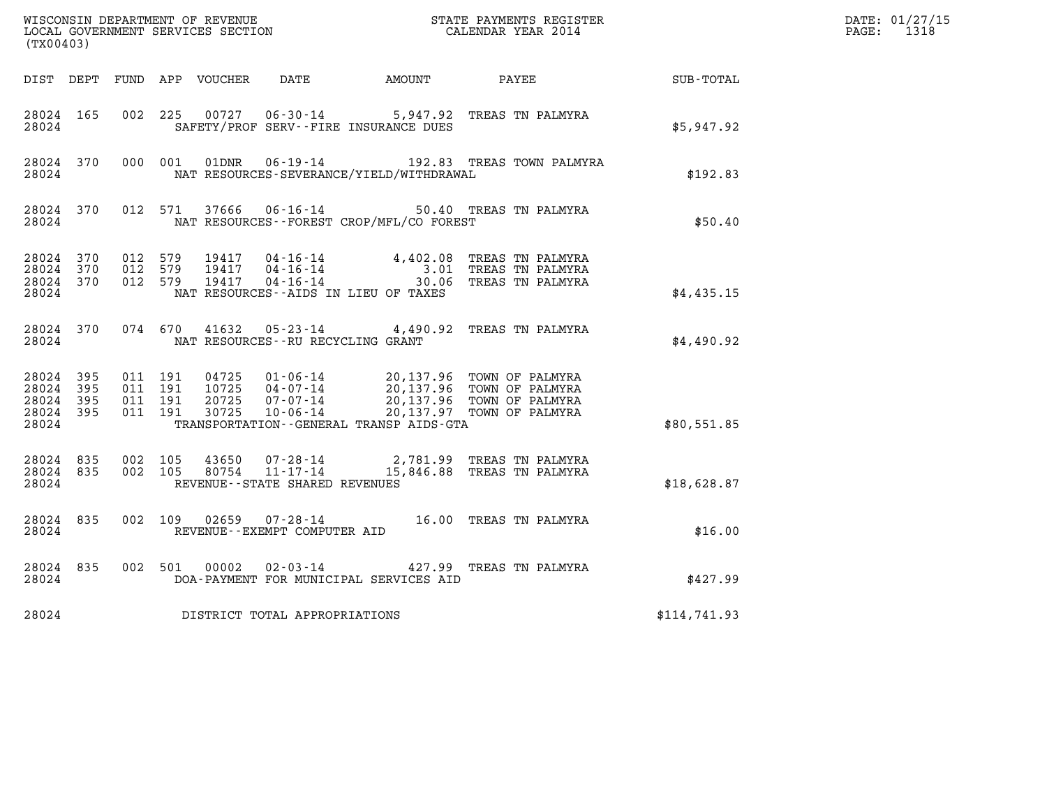| (TX00403) |           |       |  |                                         |                                                | WISCONSIN DEPARTMENT OF REVENUE<br>LOCAL GOVERNMENT SERVICES SECTION TERMS OF CALENDAR YEAR 2014                                                                                                                                                                                                                                 |              | DATE: 01/27/15<br>PAGE: 1318 |
|-----------|-----------|-------|--|-----------------------------------------|------------------------------------------------|----------------------------------------------------------------------------------------------------------------------------------------------------------------------------------------------------------------------------------------------------------------------------------------------------------------------------------|--------------|------------------------------|
|           |           |       |  |                                         |                                                | DIST DEPT FUND APP VOUCHER DATE AMOUNT PAYEE SUB-TOTAL                                                                                                                                                                                                                                                                           |              |                              |
| 28024     | 28024 165 |       |  |                                         | SAFETY/PROF SERV--FIRE INSURANCE DUES          | 002 225 00727 06-30-14 5,947.92 TREAS TN PALMYRA                                                                                                                                                                                                                                                                                 | \$5,947.92   |                              |
|           |           | 28024 |  |                                         | NAT RESOURCES-SEVERANCE/YIELD/WITHDRAWAL       | 28024 370 000 001 01DNR 06-19-14 192.83 TREAS TOWN PALMYRA                                                                                                                                                                                                                                                                       | \$192.83     |                              |
|           |           |       |  |                                         | 28024 NAT RESOURCES--FOREST CROP/MFL/CO FOREST | 28024 370 012 571 37666 06-16-14 50.40 TREAS TN PALMYRA                                                                                                                                                                                                                                                                          | \$50.40      |                              |
| 28024     |           |       |  |                                         | NAT RESOURCES--AIDS IN LIEU OF TAXES           | $\begin{array}{cccccccc} 28024 & 370 & 012 & 579 & 19417 & 04\cdot 16\cdot 14 & & 4\,,402\,.08 & \text{TREAS TN PALMYRA} \\ 28024 & 370 & 012 & 579 & 19417 & 04\cdot 16\cdot 14 & & 3\,.01 & \text{TREAS TN PALMYRA} \\ 28024 & 370 & 012 & 579 & 19417 & 04\cdot 16\cdot 14 & & 30\,.06 & \text{TREAS TN PALMYRA} \end{array}$ | \$4,435.15   |                              |
|           |           |       |  | 28024 NAT RESOURCES--RU RECYCLING GRANT |                                                | 28024 370 074 670 41632 05-23-14 4,490.92 TREAS TN PALMYRA                                                                                                                                                                                                                                                                       | \$4,490.92   |                              |
| 28024     |           |       |  |                                         | TRANSPORTATION - - GENERAL TRANSP AIDS - GTA   | 28024 395 011 191 04725 01-06-14 20,137.96 TOWN OF PALMYRA<br>28024 395 011 191 10725 04-07-14 20,137.96 TOWN OF PALMYRA<br>28024 395 011 191 20725 07-07-14 20,137.96 TOWN OF PALMYRA<br>28024 395 011 191 30725 10-06-14 20,137.97 TO                                                                                          | \$80,551.85  |                              |
| 28024     |           |       |  | REVENUE--STATE SHARED REVENUES          |                                                | $\begin{array}{cccc} 28024 & 835 & 002 & 105 & 43650 & 07\cdot 28\cdot 14 & 2,781.99 & \text{TREAS TN PALMYRA} \\ 28024 & 835 & 002 & 105 & 80754 & 11\cdot 17\cdot 14 & 15,846.88 & \text{TREAS TN PALMYRA} \end{array}$                                                                                                        | \$18,628.87  |                              |
| 28024     |           |       |  | REVENUE--EXEMPT COMPUTER AID            |                                                | 28024 835 002 109 02659 07-28-14 16.00 TREAS TN PALMYRA                                                                                                                                                                                                                                                                          | \$16.00      |                              |
|           | 28024 835 |       |  |                                         | 28024 DOA-PAYMENT FOR MUNICIPAL SERVICES AID   | 002 501 00002 02-03-14 427.99 TREAS TN PALMYRA                                                                                                                                                                                                                                                                                   | \$427.99     |                              |
| 28024     |           |       |  | DISTRICT TOTAL APPROPRIATIONS           |                                                |                                                                                                                                                                                                                                                                                                                                  | \$114,741.93 |                              |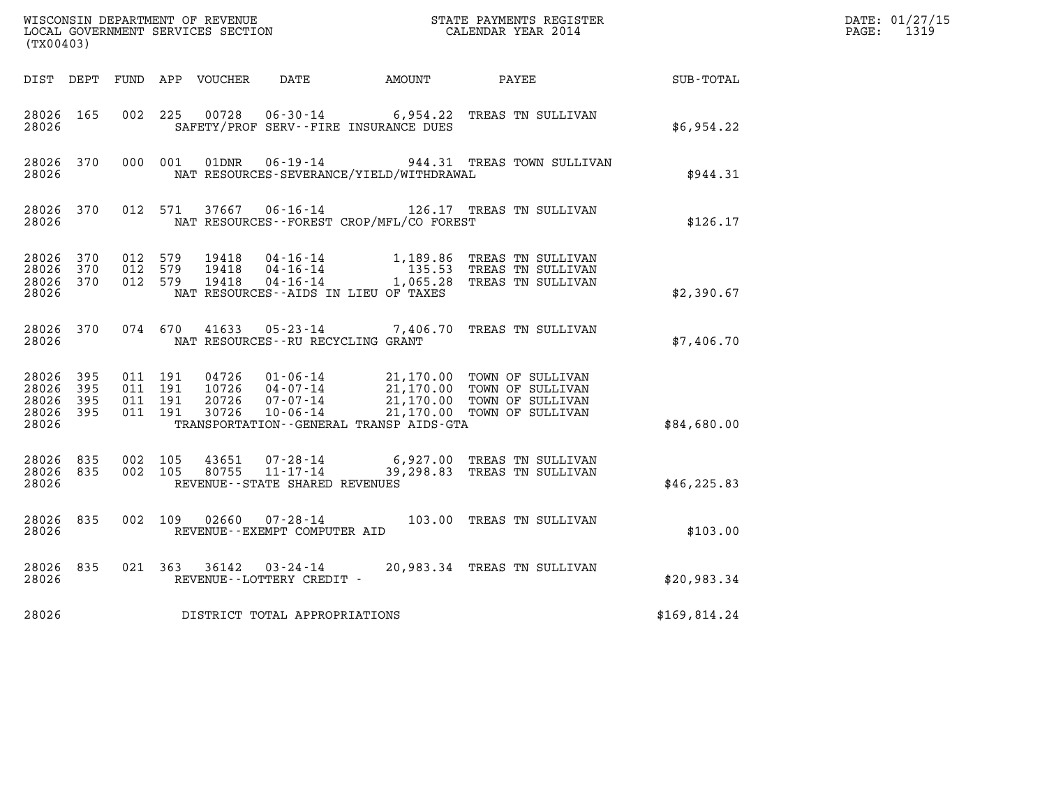| (TX00403)                                             |                        |                                          |  |                                   |                                              | WISCONSIN DEPARTMENT OF REVENUE<br>LOCAL GOVERNMENT SERVICES SECTION<br>CALENDAR YEAR 2014                                                                                               |                  | DATE: 01/27/15<br>PAGE: 1319 |
|-------------------------------------------------------|------------------------|------------------------------------------|--|-----------------------------------|----------------------------------------------|------------------------------------------------------------------------------------------------------------------------------------------------------------------------------------------|------------------|------------------------------|
|                                                       |                        |                                          |  |                                   | DIST DEPT FUND APP VOUCHER DATE AMOUNT PAYEE |                                                                                                                                                                                          | <b>SUB-TOTAL</b> |                              |
| 28026 165<br>28026                                    |                        | 002 225                                  |  |                                   | SAFETY/PROF SERV--FIRE INSURANCE DUES        | 00728  06-30-14  6,954.22  TREAS TN SULLIVAN                                                                                                                                             | \$6,954.22       |                              |
| 28026                                                 |                        |                                          |  |                                   | NAT RESOURCES-SEVERANCE/YIELD/WITHDRAWAL     | 28026 370 000 001 01DNR 06-19-14 944.31 TREAS TOWN SULLIVAN                                                                                                                              | \$944.31         |                              |
| 28026                                                 |                        |                                          |  |                                   | NAT RESOURCES--FOREST CROP/MFL/CO FOREST     | 28026 370 012 571 37667 06-16-14 126.17 TREAS TN SULLIVAN                                                                                                                                | \$126.17         |                              |
| 28026 370<br>28026 370<br>28026 370<br>28026          |                        | 012 579<br>012 579<br>012 579            |  |                                   | NAT RESOURCES--AIDS IN LIEU OF TAXES         | 19418  04-16-14   1,189.86 TREAS TN SULLIVAN<br>19418  04-16-14   135.53 TREAS TN SULLIVAN<br>19418  04-16-14   1,065.28 TREAS TN SULLIVAN                                               | \$2,390.67       |                              |
|                                                       | 28026                  |                                          |  | NAT RESOURCES--RU RECYCLING GRANT |                                              | 28026 370 074 670 41633 05-23-14 7,406.70 TREAS TN SULLIVAN                                                                                                                              | \$7,406.70       |                              |
| 28026 395<br>28026<br>28026 395<br>28026 395<br>28026 | 395                    | 011 191<br>011 191<br>011 191<br>011 191 |  |                                   | TRANSPORTATION--GENERAL TRANSP AIDS-GTA      | 04726  01-06-14  21,170.00 TOWN OF SULLIVAN<br>10726  04-07-14  21,170.00 TOWN OF SULLIVAN<br>20726  07-07-14  21,170.00 TOWN OF SULLIVAN<br>30726  10-06-14  21,170.00 TOWN OF SULLIVAN | \$84,680.00      |                              |
| 28026                                                 | 28026 835<br>28026 835 | 002 105<br>002 105                       |  | REVENUE--STATE SHARED REVENUES    |                                              | 43651  07-28-14  6,927.00 TREAS TN SULLIVAN<br>80755  11-17-14  39,298.83 TREAS TN SULLIVAN                                                                                              | \$46, 225.83     |                              |
| 28026                                                 | 28026 835              |                                          |  | REVENUE--EXEMPT COMPUTER AID      |                                              | 002 109 02660 07-28-14 103.00 TREAS TN SULLIVAN                                                                                                                                          | \$103.00         |                              |
| 28026                                                 | 28026 835              |                                          |  | REVENUE--LOTTERY CREDIT -         |                                              | 021 363 36142 03-24-14 20,983.34 TREAS TN SULLIVAN                                                                                                                                       | \$20,983.34      |                              |
| 28026                                                 |                        |                                          |  | DISTRICT TOTAL APPROPRIATIONS     |                                              |                                                                                                                                                                                          | \$169,814.24     |                              |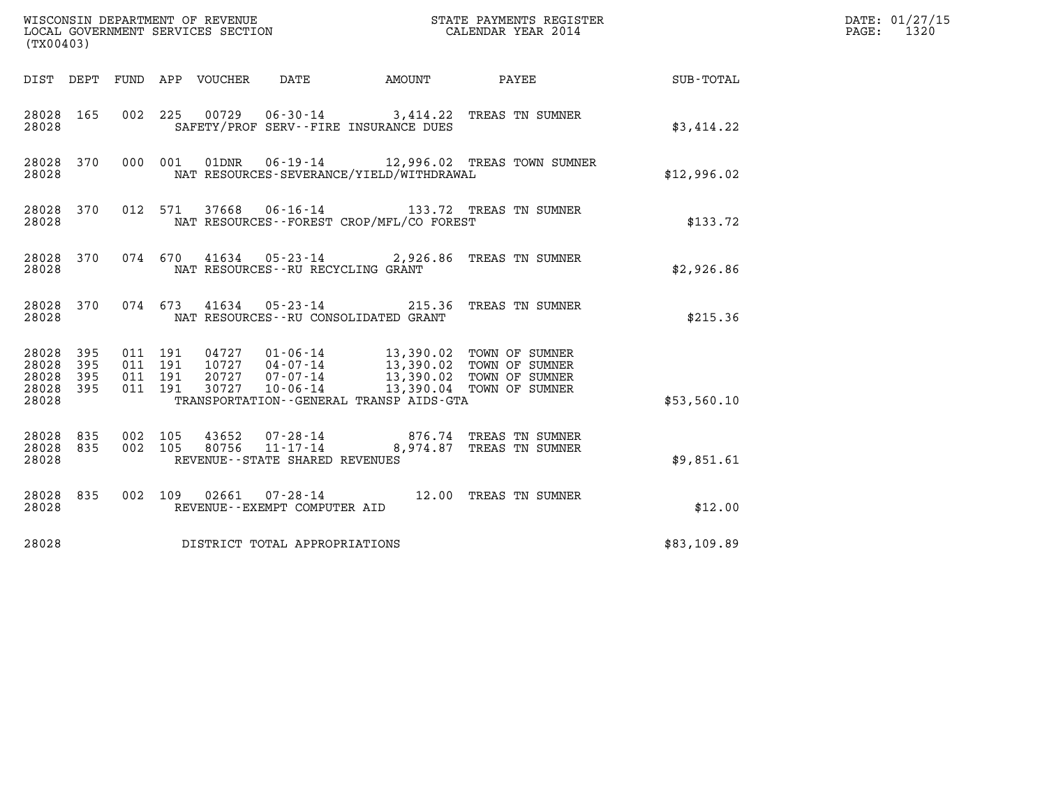| (TX00403)                                                                                                |                                                                                                                                                                                                                                 |                          |             | DATE: 01/27/15<br>$\mathtt{PAGE:}$<br>1320 |
|----------------------------------------------------------------------------------------------------------|---------------------------------------------------------------------------------------------------------------------------------------------------------------------------------------------------------------------------------|--------------------------|-------------|--------------------------------------------|
| DIST DEPT FUND APP VOUCHER DATE                                                                          |                                                                                                                                                                                                                                 | AMOUNT PAYEE SUB-TOTAL   |             |                                            |
| 28028 165<br>28028                                                                                       | 002 225 00729 06-30-14 3,414.22 TREAS TN SUMNER<br>SAFETY/PROF SERV--FIRE INSURANCE DUES                                                                                                                                        |                          | \$3,414.22  |                                            |
| 28028 370<br>28028                                                                                       | 000 001 01DNR 06-19-14 12,996.02 TREAS TOWN SUMNER<br>NAT RESOURCES-SEVERANCE/YIELD/WITHDRAWAL                                                                                                                                  |                          | \$12,996.02 |                                            |
| 28028 370<br>28028                                                                                       | 012 571 37668 06-16-14 133.72 TREAS TN SUMNER<br>NAT RESOURCES - - FOREST CROP/MFL/CO FOREST                                                                                                                                    |                          | \$133.72    |                                            |
| 28028 370 074 670 41634 05-23-14 2,926.86 TREAS TN SUMNER<br>28028                                       | NAT RESOURCES -- RU RECYCLING GRANT                                                                                                                                                                                             |                          | \$2,926.86  |                                            |
| 28028 370 074 673 41634 05-23-14 215.36 TREAS TN SUMNER<br>28028                                         | NAT RESOURCES--RU CONSOLIDATED GRANT                                                                                                                                                                                            |                          | \$215.36    |                                            |
| 28028 395<br>011 191<br>011 191<br>28028 395<br>28028<br>395<br>011 191<br>011 191<br>28028 395<br>28028 | 04727  01-06-14  13,390.02  TOWN OF SUMNER<br>10727  04-07-14  13,390.02  TOWN OF SUMNER<br>20727  07-07-14  13,390.02  TOWN OF SUMNER<br>30727  10-06-14  13,390.04  TOWN OF SUMNER<br>TRANSPORTATION--GENERAL TRANSP AIDS-GTA |                          | \$53,560.10 |                                            |
| 28028 835<br>002 105<br>28028 835<br>002 105<br>28028<br>REVENUE - - STATE SHARED REVENUES               |                                                                                                                                                                                                                                 | 8,974.87 TREAS TN SUMNER | \$9.851.61  |                                            |
| 28028 835<br>28028<br>REVENUE--EXEMPT COMPUTER AID                                                       | 002 109 02661 07-28-14 12.00 TREAS TN SUMNER                                                                                                                                                                                    |                          | \$12.00     |                                            |
| DISTRICT TOTAL APPROPRIATIONS<br>28028                                                                   |                                                                                                                                                                                                                                 |                          | \$83,109.89 |                                            |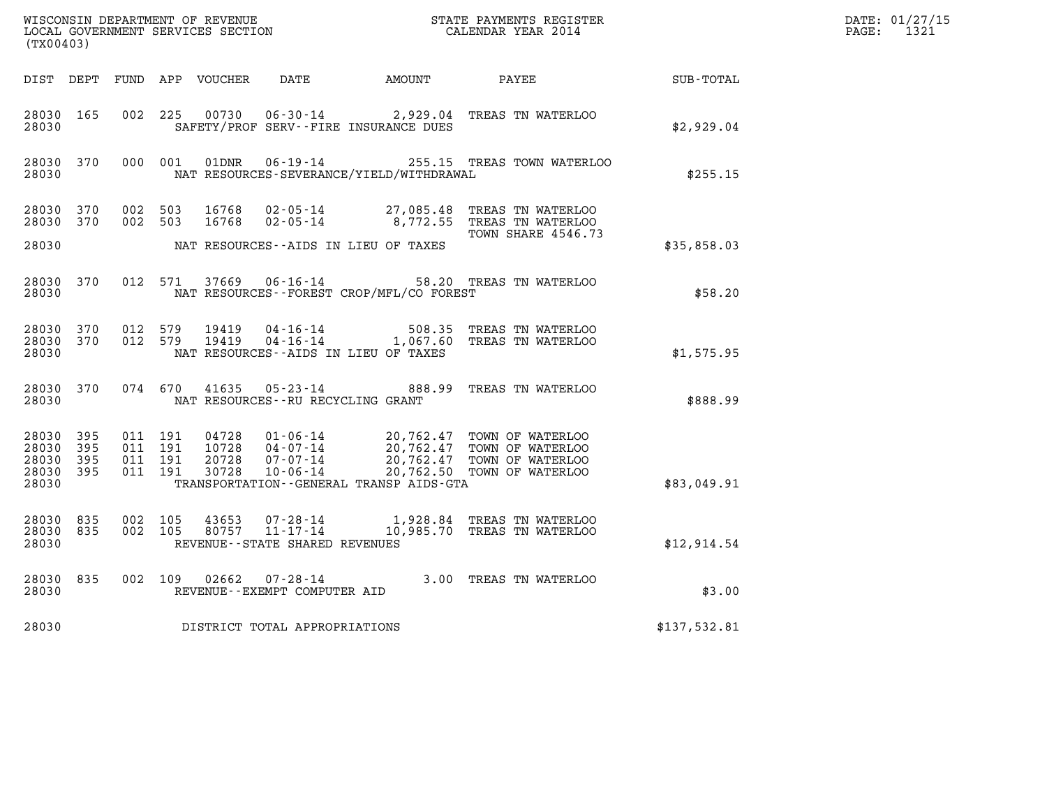|                                                           |                               |         |                                  |                                   |                                              |                                                                                                                                                          |              | DATE: 01/27/15<br>$\mathtt{PAGE:}$<br>1321 |
|-----------------------------------------------------------|-------------------------------|---------|----------------------------------|-----------------------------------|----------------------------------------------|----------------------------------------------------------------------------------------------------------------------------------------------------------|--------------|--------------------------------------------|
| (TX00403)                                                 |                               |         |                                  |                                   |                                              |                                                                                                                                                          |              |                                            |
|                                                           |                               |         |                                  |                                   |                                              |                                                                                                                                                          |              |                                            |
| 28030 165<br>28030                                        | 002 225                       |         |                                  |                                   | SAFETY/PROF SERV--FIRE INSURANCE DUES        | 00730  06-30-14  2,929.04  TREAS TN WATERLOO                                                                                                             | \$2,929.04   |                                            |
| 28030 370<br>28030                                        | 000 001                       |         | 01DNR                            |                                   | NAT RESOURCES-SEVERANCE/YIELD/WITHDRAWAL     | 06-19-14 255.15 TREAS TOWN WATERLOO                                                                                                                      | \$255.15     |                                            |
| 28030 370<br>28030 370                                    | 002 503                       | 002 503 |                                  |                                   |                                              | 16768 02-05-14 27,085.48 TREAS TN WATERLOO<br>16768  02-05-14  8,772.55  TREAS TN WATERLOO<br>TOWN SHARE 4546.73                                         |              |                                            |
| 28030                                                     |                               |         |                                  |                                   | NAT RESOURCES--AIDS IN LIEU OF TAXES         |                                                                                                                                                          | \$35,858.03  |                                            |
| 28030                                                     |                               |         |                                  |                                   | NAT RESOURCES - - FOREST CROP/MFL/CO FOREST  | 28030 370 012 571 37669 06-16-14 58.20 TREAS TN WATERLOO                                                                                                 | \$58.20      |                                            |
| 28030 370<br>28030 370<br>28030                           | 012 579<br>012 579            |         |                                  |                                   | NAT RESOURCES--AIDS IN LIEU OF TAXES         | 19419  04-16-14  508.35  TREAS TN WATERLOO<br>19419  04-16-14   1,067.60  TREAS TN WATERLOO                                                              | \$1,575.95   |                                            |
| 28030                                                     |                               |         |                                  | NAT RESOURCES--RU RECYCLING GRANT |                                              | 28030 370 074 670 41635 05-23-14 888.99 TREAS TN WATERLOO                                                                                                | \$888.99     |                                            |
| 28030 395<br>28030 395<br>28030 395<br>28030 395<br>28030 | 011 191<br>011 191<br>011 191 | 011 191 | 04728<br>10728<br>20728<br>30728 |                                   | TRANSPORTATION - - GENERAL TRANSP AIDS - GTA | 01-06-14 20,762.47 TOWN OF WATERLOO<br>04-07-14 20,762.47 TOWN OF WATERLOO<br>07-07-14 20,762.47 TOWN OF WATERLOO<br>10-06-14 20,762.50 TOWN OF WATERLOO | \$83,049.91  |                                            |
| 28030 835<br>28030 835<br>28030                           | 002 105<br>002 105            |         |                                  | REVENUE - - STATE SHARED REVENUES |                                              | 43653  07-28-14   1,928.84  TREAS TN WATERLOO<br>80757  11-17-14   10,985.70  TREAS TN WATERLOO                                                          | \$12,914.54  |                                            |
| 28030 835<br>28030                                        |                               |         |                                  | REVENUE--EXEMPT COMPUTER AID      |                                              | 002 109 02662 07-28-14 3.00 TREAS TN WATERLOO                                                                                                            | \$3.00       |                                            |
| 28030                                                     |                               |         |                                  | DISTRICT TOTAL APPROPRIATIONS     |                                              |                                                                                                                                                          | \$137,532.81 |                                            |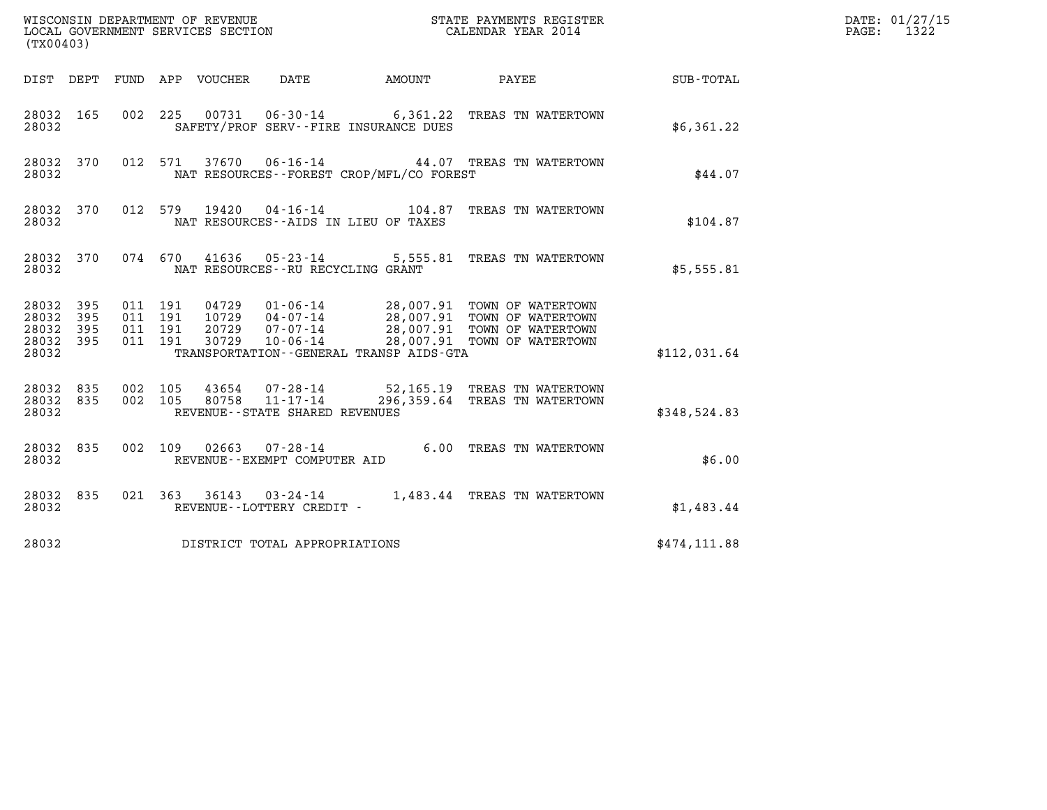| (TX00403)                                                       |                                          |                                                                                                                                                                                                                                       |                                    |              | DATE: 01/27/15<br>$\mathtt{PAGE:}$<br>1322 |
|-----------------------------------------------------------------|------------------------------------------|---------------------------------------------------------------------------------------------------------------------------------------------------------------------------------------------------------------------------------------|------------------------------------|--------------|--------------------------------------------|
|                                                                 |                                          | DIST DEPT FUND APP VOUCHER<br>DATE                                                                                                                                                                                                    | AMOUNT PAYEE SUB-TOTAL             |              |                                            |
| 28032 165<br>28032                                              | 002 225                                  | 00731  06-30-14   6,361.22  TREAS TN WATERTOWN<br>SAFETY/PROF SERV--FIRE INSURANCE DUES                                                                                                                                               |                                    | \$6,361.22   |                                            |
| 28032 370<br>28032                                              |                                          | 37670  06-16-14  44.07  TREAS TN WATERTOWN<br>012 571<br>NAT RESOURCES - - FOREST CROP/MFL/CO FOREST                                                                                                                                  |                                    | \$44.07      |                                            |
| 28032 370<br>28032                                              |                                          | 012 579<br>19420<br>NAT RESOURCES -- AIDS IN LIEU OF TAXES                                                                                                                                                                            | 04-16-14 104.87 TREAS TN WATERTOWN | \$104.87     |                                            |
| 28032 370<br>28032                                              |                                          | 074 670 41636 05-23-14 5,555.81 TREAS TN WATERTOWN<br>NAT RESOURCES -- RU RECYCLING GRANT                                                                                                                                             |                                    | \$5,555.81   |                                            |
| 28032 395<br>28032<br>395<br>28032<br>395<br>28032 395<br>28032 | 011 191<br>011 191<br>011 191<br>011 191 | 04729  01-06-14  28,007.91  TOWN OF WATERTOWN<br>10729  04-07-14  28,007.91  TOWN OF WATERTOWN<br>20729 07-07-14 28,007.91 TOWN OF WATERTOWN<br>30729 10-06-14 28,007.91 TOWN OF WATERTOWN<br>TRANSPORTATION--GENERAL TRANSP AIDS-GTA |                                    | \$112,031.64 |                                            |
| 28032 835<br>28032 835<br>28032                                 | 002 105<br>002 105                       | 43654  07-28-14  52,165.19  TREAS TN WATERTOWN<br>80758 11-17-14<br>REVENUE--STATE SHARED REVENUES                                                                                                                                    | 296,359.64 TREAS TN WATERTOWN      | \$348,524.83 |                                            |
| 28032 835<br>28032                                              |                                          | 002 109 02663 07-28-14 6.00 TREAS TN WATERTOWN<br>REVENUE--EXEMPT COMPUTER AID                                                                                                                                                        |                                    | \$6.00       |                                            |
| 28032 835<br>28032                                              |                                          | 021 363 36143 03-24-14 1,483.44 TREAS TN WATERTOWN<br>REVENUE--LOTTERY CREDIT -                                                                                                                                                       |                                    | \$1,483.44   |                                            |
| 28032                                                           |                                          | DISTRICT TOTAL APPROPRIATIONS                                                                                                                                                                                                         |                                    | \$474,111.88 |                                            |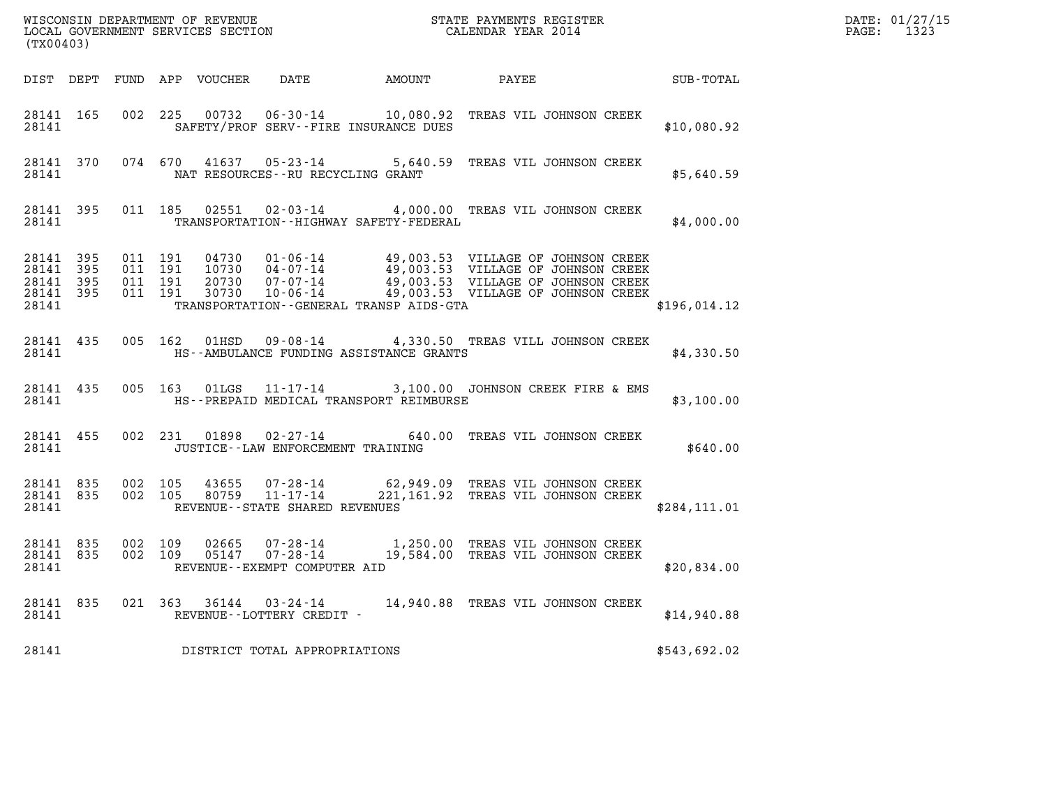| (TX00403)                                    |                                |         |                                          |               |                                                | %WISCONSIN DEPARTMENT OF REVENUE $$\tt STATE~PAYMENTS~REGISTER~LOCALSONSTR~QOVERNMENT~SERVICS~SECTION~CALENDAR~YEAR~2014$                                                                                                                                                                                                                                         |              | DATE: 01/27/15<br>PAGE: 1323 |
|----------------------------------------------|--------------------------------|---------|------------------------------------------|---------------|------------------------------------------------|-------------------------------------------------------------------------------------------------------------------------------------------------------------------------------------------------------------------------------------------------------------------------------------------------------------------------------------------------------------------|--------------|------------------------------|
|                                              |                                |         |                                          |               |                                                | DIST DEPT FUND APP VOUCHER DATE AMOUNT PAYEE PATE SUB-TOTAL                                                                                                                                                                                                                                                                                                       |              |                              |
| 28141                                        | 28141 165                      |         |                                          |               | SAFETY/PROF SERV--FIRE INSURANCE DUES          | 002 225 00732 06-30-14 10,080.92 TREAS VIL JOHNSON CREEK                                                                                                                                                                                                                                                                                                          | \$10,080.92  |                              |
| 28141                                        | 28141 370                      |         |                                          |               | NAT RESOURCES--RU RECYCLING GRANT              | 074 670 41637 05-23-14 5,640.59 TREAS VIL JOHNSON CREEK                                                                                                                                                                                                                                                                                                           | \$5,640.59   |                              |
|                                              | 28141 395<br>28141             |         |                                          |               | TRANSPORTATION - - HIGHWAY SAFETY - FEDERAL    | 011 185 02551 02-03-14 4,000.00 TREAS VIL JOHNSON CREEK                                                                                                                                                                                                                                                                                                           | \$4,000.00   |                              |
| 28141 395<br>28141 395<br>28141 395<br>28141 | 28141 395                      |         | 011 191<br>011 191<br>011 191<br>011 191 |               | TRANSPORTATION - - GENERAL TRANSP AIDS - GTA   | $\begin{array}{cccc} 04730 & 01\text{-}06\text{-}14 & 49,003.53 & \text{VILLAGE OF JOHNSON CREEK} \\ 10730 & 04\text{-}07\text{-}14 & 49,003.53 & \text{VILLAGE OF JOHNSON CREEK} \\ 20730 & 07\text{-}07\text{-}14 & 49,003.53 & \text{VILLAGE OF JOHNSON CREEK} \\ 30730 & 10\text{-}06\text{-}14 & 49,003.53 & \text{VILLAGE OF JOHNSON CREEK} \\ \end{array}$ | \$196,014.12 |                              |
| 28141 435<br>28141                           |                                |         |                                          | 005 162 01HSD | HS--AMBULANCE FUNDING ASSISTANCE GRANTS        | 09-08-14 4,330.50 TREAS VILL JOHNSON CREEK                                                                                                                                                                                                                                                                                                                        | \$4,330.50   |                              |
|                                              | 28141 435                      |         |                                          | 005 163 01LGS | 28141 MES--PREPAID MEDICAL TRANSPORT REIMBURSE | 11-17-14 3,100.00 JOHNSON CREEK FIRE & EMS                                                                                                                                                                                                                                                                                                                        | \$3,100.00   |                              |
| 28141                                        | 28141 455                      |         |                                          |               | JUSTICE - - LAW ENFORCEMENT TRAINING           | 002 231 01898 02-27-14 640.00 TREAS VIL JOHNSON CREEK                                                                                                                                                                                                                                                                                                             | \$640.00     |                              |
| 28141                                        | 28141 835 002 105<br>28141 835 |         | 002 105                                  |               | REVENUE--STATE SHARED REVENUES                 |                                                                                                                                                                                                                                                                                                                                                                   | \$284,111.01 |                              |
| 28141                                        | 28141 835<br>28141 835         | 002 109 | 002 109                                  |               | REVENUE--EXEMPT COMPUTER AID                   | 02665  07-28-14   1,250.00 TREAS VIL JOHNSON CREEK<br>05147  07-28-14   19,584.00 TREAS VIL JOHNSON CREEK                                                                                                                                                                                                                                                         | \$20,834.00  |                              |
|                                              | 28141 835                      |         |                                          |               | 28141 REVENUE--LOTTERY CREDIT -                | 021  363  36144  03-24-14  14,940.88  TREAS VIL JOHNSON CREEK                                                                                                                                                                                                                                                                                                     | \$14,940.88  |                              |
| 28141                                        |                                |         |                                          |               | DISTRICT TOTAL APPROPRIATIONS                  |                                                                                                                                                                                                                                                                                                                                                                   | \$543,692.02 |                              |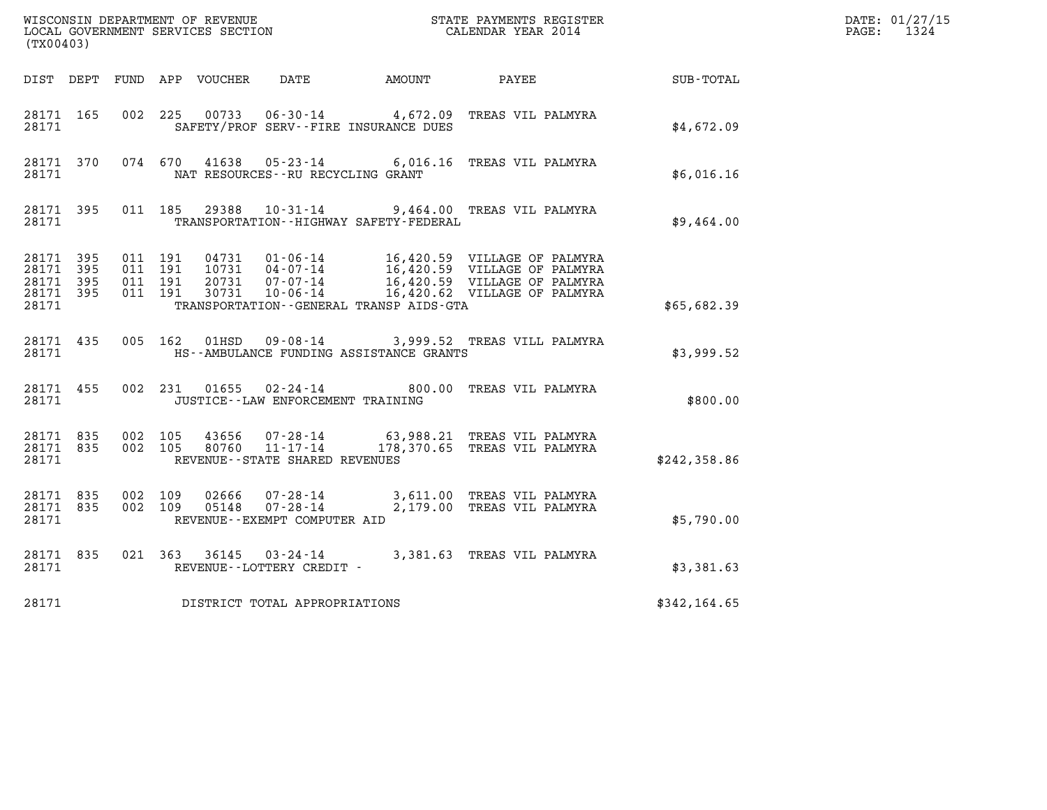| (TX00403)                       |                        |                                          |       |                                   |                                               | WISCONSIN DEPARTMENT OF REVENUE<br>LOCAL GOVERNMENT SERVICES SECTION<br>CALENDAR YEAR 2014                                                                                                                                                                |              | DATE: 01/27/15<br>PAGE: 1324 |
|---------------------------------|------------------------|------------------------------------------|-------|-----------------------------------|-----------------------------------------------|-----------------------------------------------------------------------------------------------------------------------------------------------------------------------------------------------------------------------------------------------------------|--------------|------------------------------|
|                                 |                        |                                          |       |                                   |                                               | DIST DEPT FUND APP VOUCHER DATE AMOUNT PAYEE SUB-TOTAL                                                                                                                                                                                                    |              |                              |
| 28171 165<br>28171              |                        |                                          |       |                                   | SAFETY/PROF SERV--FIRE INSURANCE DUES         | 002 225 00733 06-30-14 4,672.09 TREAS VIL PALMYRA                                                                                                                                                                                                         | \$4,672.09   |                              |
| 28171                           |                        |                                          |       | NAT RESOURCES--RU RECYCLING GRANT |                                               | 28171 370 074 670 41638 05-23-14 6,016.16 TREAS VIL PALMYRA                                                                                                                                                                                               | \$6,016.16   |                              |
|                                 | 28171                  |                                          |       |                                   | TRANSPORTATION - - HIGHWAY SAFETY - FEDERAL   | 28171 395 011 185 29388 10-31-14 9,464.00 TREAS VIL PALMYRA                                                                                                                                                                                               | \$9,464.00   |                              |
| 28171 395<br>28171 395<br>28171 | 28171 395<br>28171 395 | 011 191<br>011 191<br>011 191<br>011 191 |       |                                   | TRANSPORTATION - - GENERAL TRANSP AIDS - GTA  | $\begin{tabular}{cccc} 04731 & 01-06-14 & 16,420.59 & VILLAGE OF PALMYRA \\ 10731 & 04-07-14 & 16,420.59 & VILLAGE OF PALMYRA \\ 20731 & 07-07-14 & 16,420.59 & VILLAGE OF PALMYRA \\ 30731 & 10-06-14 & 16,420.62 & VILLAGE OF PALMYRA \\ \end{tabular}$ | \$65,682.39  |                              |
|                                 |                        |                                          |       |                                   | 28171 HS--AMBULANCE FUNDING ASSISTANCE GRANTS | 28171 435 005 162 01HSD 09-08-14 3,999.52 TREAS VILL PALMYRA                                                                                                                                                                                              | \$3,999.52   |                              |
|                                 |                        | 28171                                    |       | JUSTICE--LAW ENFORCEMENT TRAINING |                                               | 28171 455 002 231 01655 02-24-14 800.00 TREAS VIL PALMYRA                                                                                                                                                                                                 | \$800.00     |                              |
|                                 | 28171                  | 28171 835 002 105                        |       | REVENUE - - STATE SHARED REVENUES |                                               | 43656 07-28-14 63,988.21 TREAS VIL PALMYRA<br>28171 835 002 105 80760 11-17-14 178,370.65 TREAS VIL PALMYRA                                                                                                                                               | \$242,358.86 |                              |
| 28171                           | 28171 835              | 002 109<br>28171 835 002 109             | 05148 | REVENUE--EXEMPT COMPUTER AID      |                                               | 02666  07-28-14  3,611.00 TREAS VIL PALMYRA<br>05148  07-28-14  2,179.00 TREAS VIL PALMYRA                                                                                                                                                                | \$5,790.00   |                              |
| 28171                           | 28171 835              |                                          |       | REVENUE--LOTTERY CREDIT -         |                                               | 021 363 36145 03-24-14 3,381.63 TREAS VIL PALMYRA                                                                                                                                                                                                         | \$3,381.63   |                              |
| 28171                           |                        |                                          |       | DISTRICT TOTAL APPROPRIATIONS     |                                               |                                                                                                                                                                                                                                                           | \$342,164.65 |                              |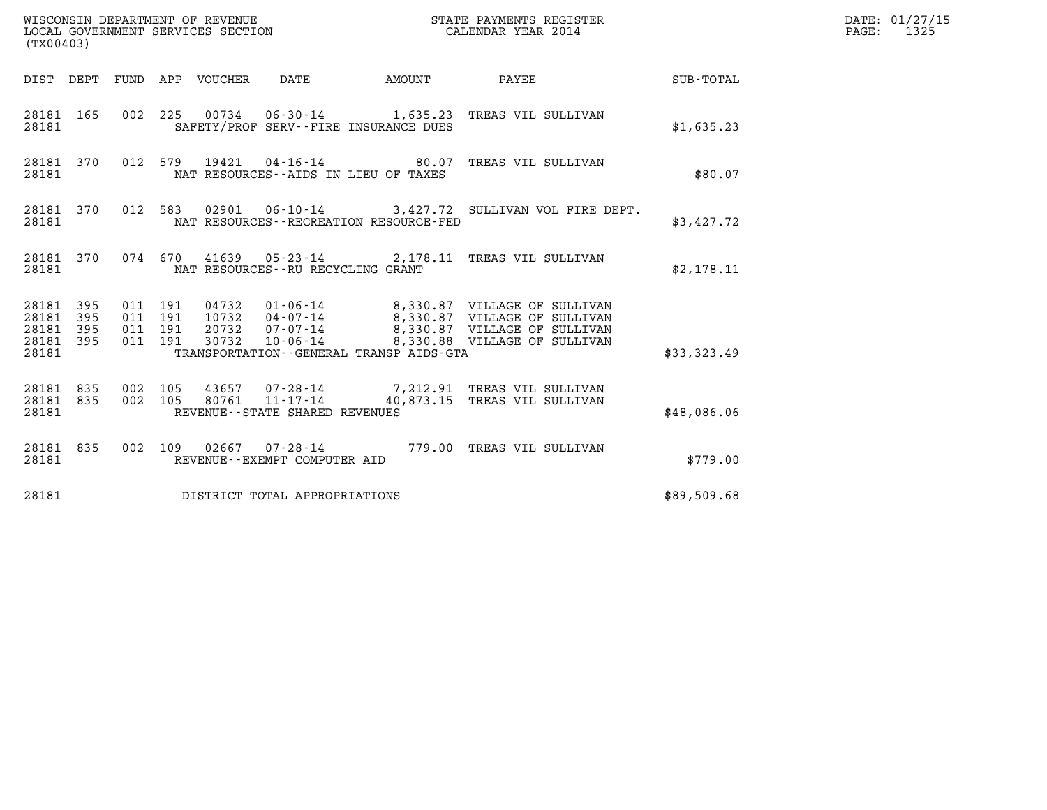| (TX00403)                                         |            |                                          |                                 |                                             | STATE PAYMENTS REGISTER                                                                                                                                                                              |                    | DATE: 01/27/15<br>$\mathtt{PAGE:}$<br>1325 |
|---------------------------------------------------|------------|------------------------------------------|---------------------------------|---------------------------------------------|------------------------------------------------------------------------------------------------------------------------------------------------------------------------------------------------------|--------------------|--------------------------------------------|
|                                                   |            |                                          | DIST DEPT FUND APP VOUCHER DATE | AMOUNT                                      | <b>PAYEE</b>                                                                                                                                                                                         | <b>SUB - TOTAL</b> |                                            |
| 28181 165<br>28181                                |            |                                          |                                 | SAFETY/PROF SERV--FIRE INSURANCE DUES       | 002 225 00734 06-30-14 1,635.23 TREAS VIL SULLIVAN                                                                                                                                                   | \$1,635.23         |                                            |
| 28181 370<br>28181                                |            |                                          |                                 | NAT RESOURCES--AIDS IN LIEU OF TAXES        | 012 579 19421 04-16-14 80.07 TREAS VIL SULLIVAN                                                                                                                                                      | \$80.07            |                                            |
| 28181 370<br>28181                                |            |                                          |                                 | NAT RESOURCES - - RECREATION RESOURCE - FED | 012 583 02901 06-10-14 3,427.72 SULLIVAN VOL FIRE DEPT.                                                                                                                                              | \$3,427.72         |                                            |
| 28181                                             |            |                                          |                                 | NAT RESOURCES -- RU RECYCLING GRANT         | 28181 370 074 670 41639 05-23-14 2,178.11 TREAS VIL SULLIVAN                                                                                                                                         | \$2,178.11         |                                            |
| 28181 395<br>28181<br>28181<br>28181 395<br>28181 | 395<br>395 | 011 191<br>011 191<br>011 191<br>011 191 |                                 | TRANSPORTATION--GENERAL TRANSP AIDS-GTA     | 04732  01-06-14  8,330.87  VILLAGE OF SULLIVAN<br>10732  04-07-14  8,330.87  VILLAGE OF SULLIVAN<br>20732  07-07-14  8,330.87  VILLAGE OF SULLIVAN<br>30732  10-06-14  8,330.88  VILLAGE OF SULLIVAN | \$33,323.49        |                                            |
| 28181 835<br>28181 835<br>28181                   |            | 002 105<br>002 105                       | 80761                           | 11-17-14<br>REVENUE--STATE SHARED REVENUES  | 43657 07-28-14 7,212.91 TREAS VIL SULLIVAN<br>40,873.15 TREAS VIL SULLIVAN                                                                                                                           | \$48,086.06        |                                            |
| 28181 835<br>28181                                |            |                                          |                                 | REVENUE--EXEMPT COMPUTER AID                | 002 109 02667 07-28-14 779.00 TREAS VIL SULLIVAN                                                                                                                                                     | \$779.00           |                                            |
| 28181                                             |            |                                          |                                 | DISTRICT TOTAL APPROPRIATIONS               |                                                                                                                                                                                                      | \$89,509.68        |                                            |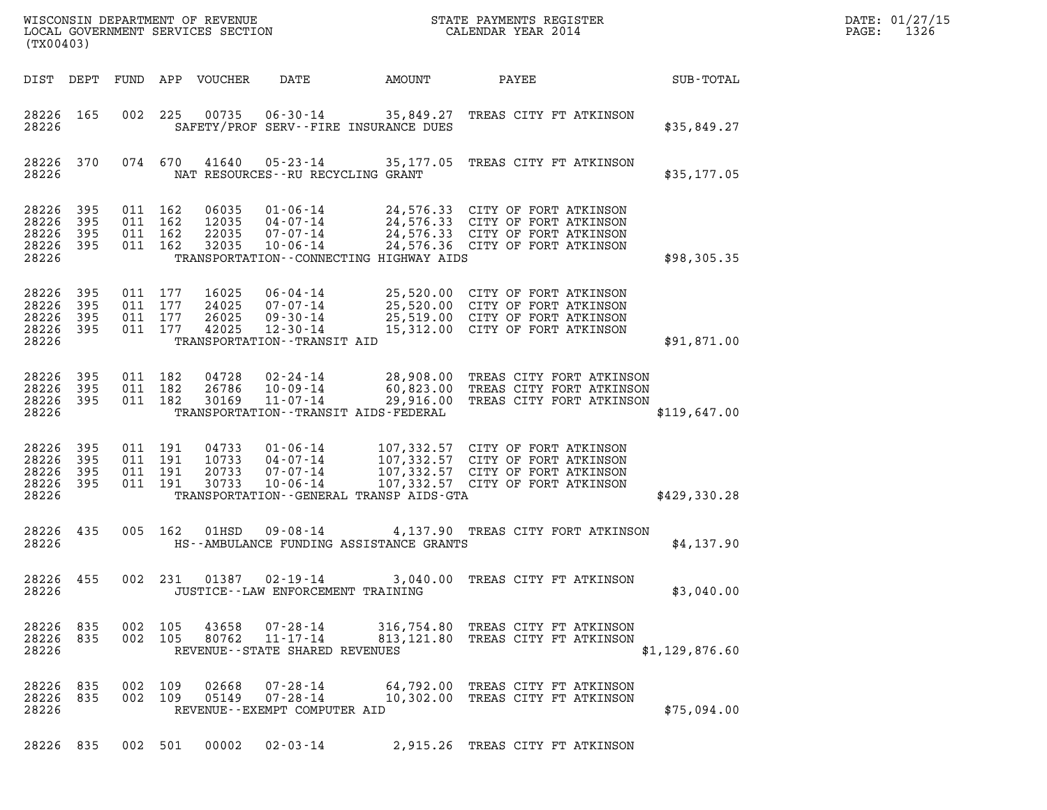| (TX00403)                                                                                                                                                                                                                                                           |                                                                                                                                                            |                | DATE: 01/27/15<br>$\mathtt{PAGE:}$<br>1326 |
|---------------------------------------------------------------------------------------------------------------------------------------------------------------------------------------------------------------------------------------------------------------------|------------------------------------------------------------------------------------------------------------------------------------------------------------|----------------|--------------------------------------------|
| DIST DEPT<br>FUND APP VOUCHER<br>DATE                                                                                                                                                                                                                               | AMOUNT<br>PAYEE                                                                                                                                            | SUB-TOTAL      |                                            |
| 00735<br>28226 165<br>002 225<br>28226<br>SAFETY/PROF SERV--FIRE INSURANCE DUES                                                                                                                                                                                     | 06-30-14 35,849.27 TREAS CITY FT ATKINSON                                                                                                                  | \$35,849.27    |                                            |
| 28226 370<br>074 670<br>41640<br>28226<br>NAT RESOURCES--RU RECYCLING GRANT                                                                                                                                                                                         | 05-23-14 35,177.05 TREAS CITY FT ATKINSON                                                                                                                  | \$35,177.05    |                                            |
| 28226 395<br>011 162<br>06035<br>28226<br>395<br>011 162<br>12035<br>04-07-14<br>28226<br>395<br>011 162<br>22035<br>07-07-14<br>28226<br>- 395<br>011 162<br>32035<br>$10 - 06 - 14$<br>28226<br>TRANSPORTATION--CONNECTING HIGHWAY AIDS                           | 01-06-14 24,576.33 CITY OF FORT ATKINSON<br>24,576.33 CITY OF FORT ATKINSON<br>24,576.33 CITY OF FORT ATKINSON<br>24,576.36 CITY OF FORT ATKINSON          | \$98,305.35    |                                            |
| 28226<br>395<br>011 177<br>16025<br>28226<br>395<br>011 177<br>24025<br>28226<br>011 177<br>26025<br>09-30-14<br>-395<br>28226 395<br>011 177<br>42025<br>$12 - 30 - 14$<br>28226<br>TRANSPORTATION - - TRANSIT AID                                                 | 06-04-14 25,520.00 CITY OF FORT ATKINSON<br>07-07-14 25,520.00 CITY OF FORT ATKINSON<br>25,519.00 CITY OF FORT ATKINSON<br>15,312.00 CITY OF FORT ATKINSON | \$91,871.00    |                                            |
| 28226 395<br>011 182<br>04728<br>28226<br>395<br>011 182<br>26786<br>10-09-14<br>28226 395<br>011 182<br>30169<br>$11 - 07 - 14$<br>28226<br>TRANSPORTATION - - TRANSIT AIDS - FEDERAL                                                                              | 02-24-14 28,908.00 TREAS CITY FORT ATKINSON<br>60,823.00 TREAS CITY FORT ATKINSON<br>29,916.00 TREAS CITY FORT ATKINSON                                    | \$119,647.00   |                                            |
| 28226<br>395<br>011 191<br>04733<br>$01 - 06 - 14$<br>28226<br>395<br>011 191<br>10733<br>04-07-14<br>28226<br>395<br>011 191<br>20733<br>$07 - 07 - 14$<br>28226<br>-395<br>011 191<br>30733<br>$10 - 06 - 14$<br>28226<br>TRANSPORTATION--GENERAL TRANSP AIDS-GTA | 107,332.57 CITY OF FORT ATKINSON<br>107,332.57 CITY OF FORT ATKINSON<br>107,332.57 CITY OF FORT ATKINSON<br>107,332.57 CITY OF FORT ATKINSON               | \$429,330.28   |                                            |
| 28226<br>435<br>005 162<br>01HSD<br>28226<br>HS--AMBULANCE FUNDING ASSISTANCE GRANTS                                                                                                                                                                                | 09-08-14 4,137.90 TREAS CITY FORT ATKINSON                                                                                                                 | \$4,137.90     |                                            |
| 002 231<br>28226 455<br>28226<br>JUSTICE - - LAW ENFORCEMENT TRAINING                                                                                                                                                                                               | 01387  02-19-14  3,040.00  TREAS CITY FT ATKINSON                                                                                                          | \$3,040.00     |                                            |
| 28226 835<br>002 105<br>43658<br>07-28-14<br>28226 835<br>002 105<br>80762<br>11-17-14<br>28226<br>REVENUE--STATE SHARED REVENUES                                                                                                                                   | 316,754.80 TREAS CITY FT ATKINSON<br>813, 121.80 TREAS CITY FT ATKINSON                                                                                    | \$1,129,876.60 |                                            |
| 28226 835<br>002 109<br>02668<br>07-28-14<br>28226 835<br>002 109<br>05149<br>07-28-14<br>28226<br>REVENUE--EXEMPT COMPUTER AID                                                                                                                                     | 64,792.00 TREAS CITY FT ATKINSON<br>10,302.00 TREAS CITY FT ATKINSON                                                                                       | \$75,094.00    |                                            |
| 28226 835 002 501 00002 02-03-14                                                                                                                                                                                                                                    | 2,915.26 TREAS CITY FT ATKINSON                                                                                                                            |                |                                            |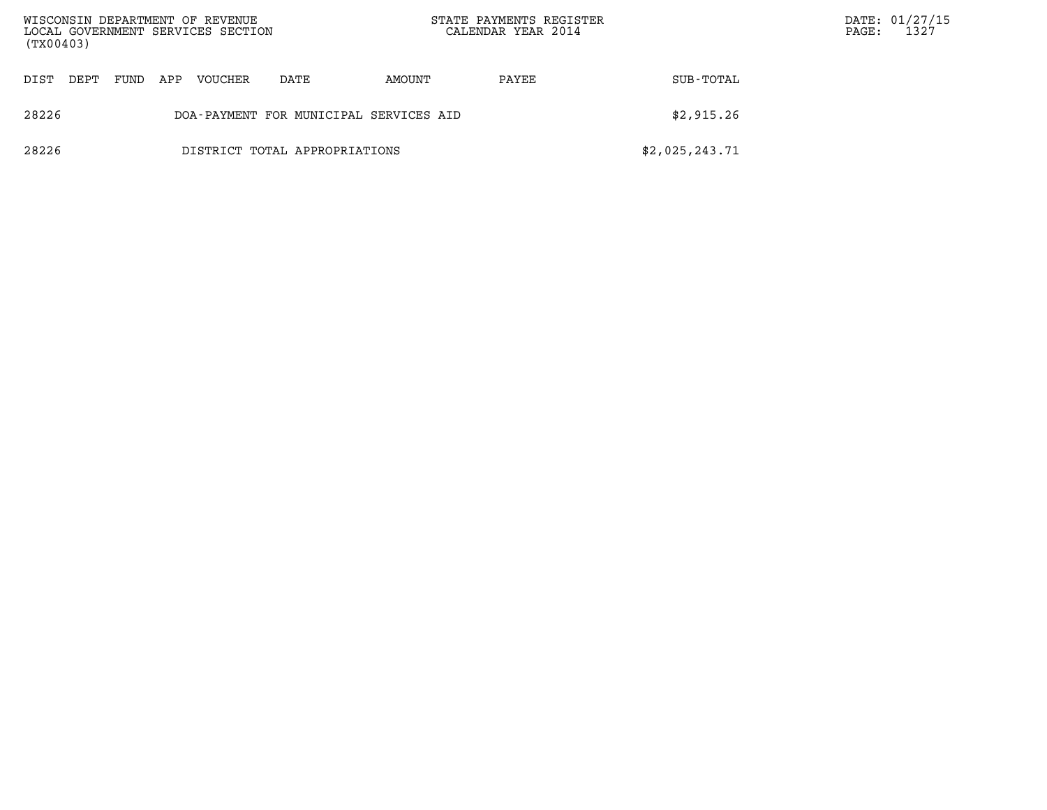| (TX00403) |                                                      |      |     | WISCONSIN DEPARTMENT OF REVENUE<br>LOCAL GOVERNMENT SERVICES SECTION |                               | STATE PAYMENTS REGISTER<br>CALENDAR YEAR 2014 |       | $\mathtt{PAGE}$ : | DATE: 01/27/15<br>1327 |  |
|-----------|------------------------------------------------------|------|-----|----------------------------------------------------------------------|-------------------------------|-----------------------------------------------|-------|-------------------|------------------------|--|
| DIST      | DEPT                                                 | FUND | APP | <b>VOUCHER</b>                                                       | DATE                          | AMOUNT                                        | PAYEE | SUB-TOTAL         |                        |  |
| 28226     | \$2,915.26<br>DOA-PAYMENT FOR MUNICIPAL SERVICES AID |      |     |                                                                      |                               |                                               |       |                   |                        |  |
| 28226     |                                                      |      |     |                                                                      | DISTRICT TOTAL APPROPRIATIONS |                                               |       | \$2,025,243.71    |                        |  |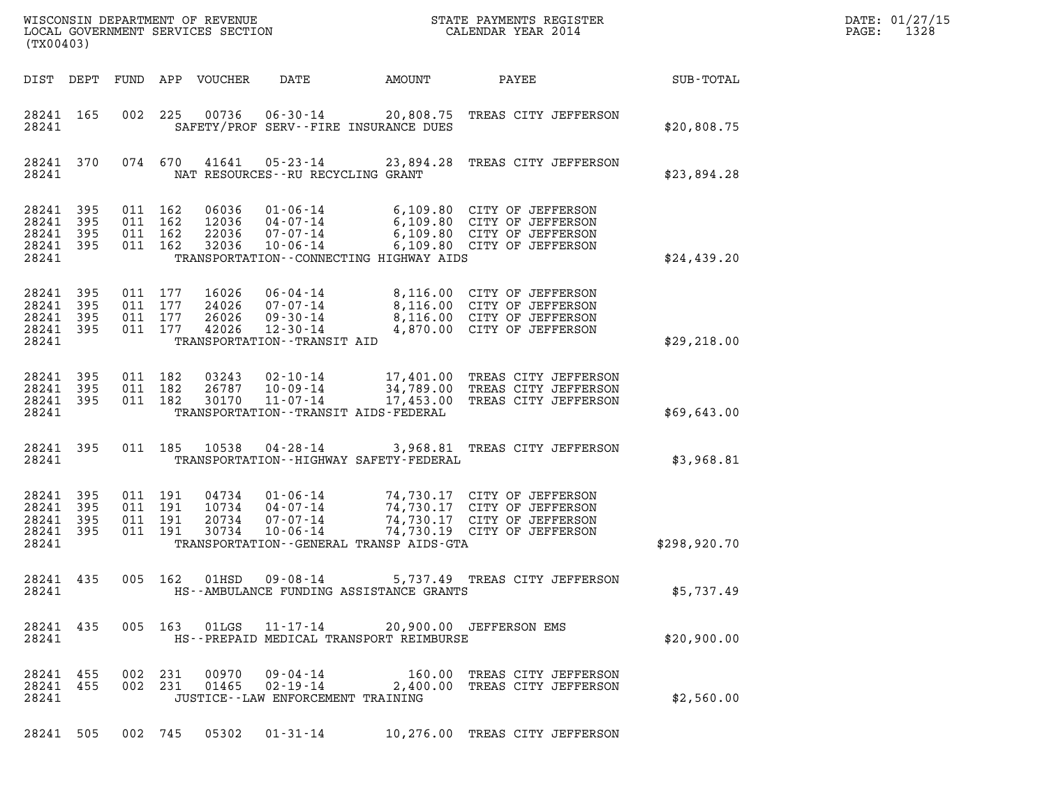| DATE: | 01/27/15 |
|-------|----------|
| PAGE: | 1328     |

| (TX00403)                                 |                          |                                          |         | WISCONSIN DEPARTMENT OF REVENUE<br>LOCAL GOVERNMENT SERVICES SECTION |                                                                                | STATE PAYMENTS REGISTER<br>CALENDAR YEAR 2014                                               |                                                                                                                          | DATE: 01/27/15<br>$\mathtt{PAGE:}$<br>1328 |  |
|-------------------------------------------|--------------------------|------------------------------------------|---------|----------------------------------------------------------------------|--------------------------------------------------------------------------------|---------------------------------------------------------------------------------------------|--------------------------------------------------------------------------------------------------------------------------|--------------------------------------------|--|
| DIST DEPT                                 |                          |                                          |         | FUND APP VOUCHER                                                     | DATE                                                                           | AMOUNT                                                                                      | PAYEE                                                                                                                    | SUB-TOTAL                                  |  |
| 28241 165<br>28241                        |                          | 002                                      | 225     |                                                                      |                                                                                | SAFETY/PROF SERV--FIRE INSURANCE DUES                                                       | 00736  06-30-14  20,808.75  TREAS CITY JEFFERSON                                                                         | \$20,808.75                                |  |
| 28241 370<br>28241                        |                          |                                          | 074 670 | 41641                                                                | NAT RESOURCES--RU RECYCLING GRANT                                              |                                                                                             | 05-23-14 23,894.28 TREAS CITY JEFFERSON                                                                                  | \$23,894.28                                |  |
| 28241<br>28241<br>28241<br>28241<br>28241 | 395<br>395<br>395<br>395 | 011 162<br>011 162<br>011 162<br>011 162 |         | 06036<br>12036<br>22036<br>32036                                     | $01 - 06 - 14$<br>04-07-14<br>07-07-14<br>$10 - 06 - 14$                       | TRANSPORTATION - - CONNECTING HIGHWAY AIDS                                                  | 6,109.80 CITY OF JEFFERSON<br>6,109.80 CITY OF JEFFERSON<br>6,109.80 CITY OF JEFFERSON<br>6,109.80 CITY OF JEFFERSON     | \$24,439.20                                |  |
| 28241<br>28241<br>28241<br>28241<br>28241 | 395<br>395<br>395<br>395 | 011 177<br>011 177<br>011 177            | 011 177 | 16026<br>24026<br>26026<br>42026                                     | 06-04-14<br>07-07-14<br>09-30-14<br>12-30-14<br>TRANSPORTATION - - TRANSIT AID |                                                                                             | 8,116.00 CITY OF JEFFERSON<br>8,116.00 CITY OF JEFFERSON<br>8,116.00 CITY OF JEFFERSON<br>4,870.00 CITY OF JEFFERSON     | \$29, 218.00                               |  |
| 28241<br>28241<br>28241<br>28241          | - 395<br>395<br>395      | 011 182<br>011 182<br>011 182            |         | 03243<br>26787<br>30170                                              | $02 - 10 - 14$<br>10-09-14<br>11-07-14                                         | TRANSPORTATION - - TRANSIT AIDS - FEDERAL                                                   | 17,401.00 TREAS CITY JEFFERSON<br>34,789.00 TREAS CITY JEFFERSON<br>17,453.00 TREAS CITY JEFFERSON                       | \$69,643.00                                |  |
| 28241 395<br>28241                        |                          |                                          |         | 011 185 10538                                                        | 04-28-14                                                                       | TRANSPORTATION - - HIGHWAY SAFETY - FEDERAL                                                 | 3,968.81 TREAS CITY JEFFERSON                                                                                            | \$3,968.81                                 |  |
| 28241<br>28241<br>28241<br>28241<br>28241 | 395<br>395<br>395<br>395 | 011 191<br>011 191<br>011 191<br>011 191 |         | 04734<br>10734<br>20734<br>30734                                     | $01 - 06 - 14$<br>04-07-14<br>07-07-14<br>$10 - 06 - 14$                       | TRANSPORTATION - - GENERAL TRANSP AIDS - GTA                                                | 74,730.17 CITY OF JEFFERSON<br>74,730.17 CITY OF JEFFERSON<br>74,730.17 CITY OF JEFFERSON<br>74,730.19 CITY OF JEFFERSON | \$298,920.70                               |  |
| 28241                                     |                          |                                          |         |                                                                      |                                                                                | HS--AMBULANCE FUNDING ASSISTANCE GRANTS                                                     | 28241 435 005 162 01HSD 09-08-14 5,737.49 TREAS CITY JEFFERSON                                                           | \$5,737.49                                 |  |
| 28241 435<br>28241                        |                          |                                          |         |                                                                      |                                                                                | 005 163 01LGS  11-17-14  20,900.00 JEFFERSON EMS<br>HS--PREPAID MEDICAL TRANSPORT REIMBURSE |                                                                                                                          | \$20,900.00                                |  |
| 28241 455<br>28241 455<br>28241           |                          |                                          | 002 231 |                                                                      | JUSTICE -- LAW ENFORCEMENT TRAINING                                            |                                                                                             | 00970 09-04-14 160.00 TREAS CITY JEFFERSON<br>002 231 01465 02-19-14 2,400.00 TREAS CITY JEFFERSON                       | \$2,560.00                                 |  |
| 28241 505                                 |                          |                                          |         |                                                                      | 002 745 05302 01-31-14                                                         |                                                                                             | 10,276.00 TREAS CITY JEFFERSON                                                                                           |                                            |  |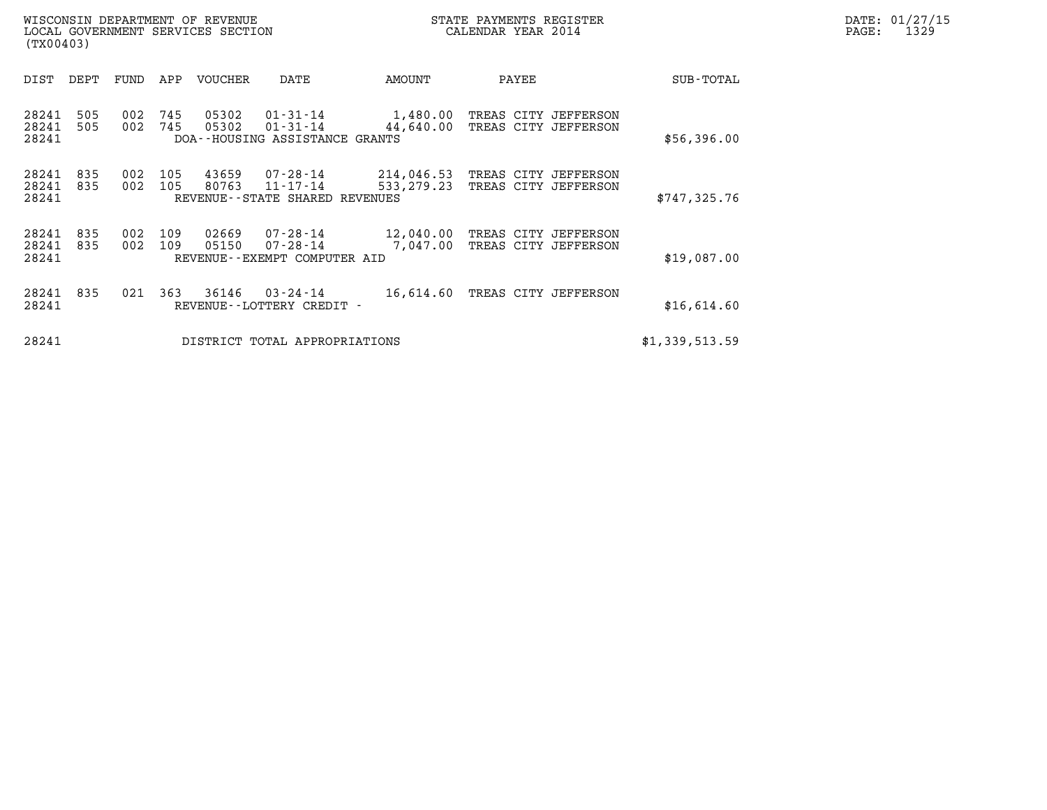| STATE PAYMENTS REGISTER<br>CALENDAR YEAR 2014 | DATE: 01/27/15<br>1329<br>PAGE: |
|-----------------------------------------------|---------------------------------|
|                                               |                                 |

| WISCONSIN DEPARTMENT OF REVENUE<br>LOCAL GOVERNMENT SERVICES SECTION<br>(TX00403) |            |            |            |                |                                                                    | STATE PAYMENTS REGISTER<br>CALENDAR YEAR 2014 |       |                                              |                | DATE: 01/27/15<br>1329<br>PAGE: |
|-----------------------------------------------------------------------------------|------------|------------|------------|----------------|--------------------------------------------------------------------|-----------------------------------------------|-------|----------------------------------------------|----------------|---------------------------------|
| DIST                                                                              | DEPT       | FUND       | APP        | VOUCHER        | DATE                                                               | AMOUNT                                        | PAYEE |                                              | SUB-TOTAL      |                                 |
| 28241<br>28241<br>28241                                                           | 505<br>505 | 002<br>002 | 745<br>745 | 05302<br>05302 | 01-31-14<br>$01 - 31 - 14$<br>DOA--HOUSING ASSISTANCE GRANTS       | 1,480.00<br>44,640.00                         |       | TREAS CITY JEFFERSON<br>TREAS CITY JEFFERSON | \$56,396.00    |                                 |
| 28241<br>28241<br>28241                                                           | 835<br>835 | 002<br>002 | 105<br>105 | 43659<br>80763 | $07 - 28 - 14$<br>$11 - 17 - 14$<br>REVENUE--STATE SHARED REVENUES | 214,046.53<br>533, 279. 23                    |       | TREAS CITY JEFFERSON<br>TREAS CITY JEFFERSON | \$747,325.76   |                                 |
| 28241<br>28241<br>28241                                                           | 835<br>835 | 002<br>002 | 109<br>109 | 02669<br>05150 | 07-28-14<br>$07 - 28 - 14$<br>REVENUE--EXEMPT COMPUTER AID         | 12,040.00<br>7,047.00                         |       | TREAS CITY JEFFERSON<br>TREAS CITY JEFFERSON | \$19,087.00    |                                 |
| 28241<br>28241                                                                    | 835        | 021        | 363        | 36146          | 03-24-14<br>REVENUE--LOTTERY CREDIT -                              | 16,614.60                                     |       | TREAS CITY JEFFERSON                         | \$16,614.60    |                                 |
| 28241                                                                             |            |            |            |                | DISTRICT TOTAL APPROPRIATIONS                                      |                                               |       |                                              | \$1,339,513.59 |                                 |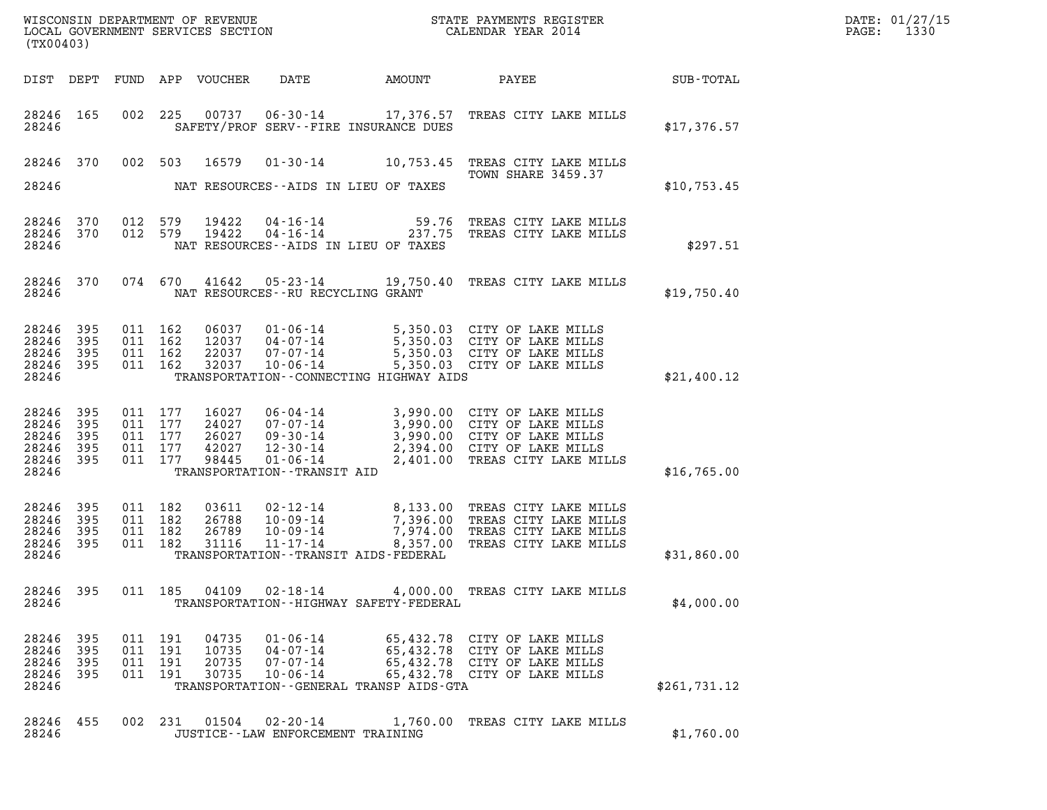| (TX00403)                                          |                                 |                                                     | WISCONSIN DEPARTMENT OF REVENUE<br>LOCAL GOVERNMENT SERVICES SECTION |                                                                                            |                                              | STATE PAYMENTS REGISTER<br>CALENDAR YEAR 2014                                                                                                              |              | DATE: 01/27/15<br>$\mathtt{PAGE:}$<br>1330 |
|----------------------------------------------------|---------------------------------|-----------------------------------------------------|----------------------------------------------------------------------|--------------------------------------------------------------------------------------------|----------------------------------------------|------------------------------------------------------------------------------------------------------------------------------------------------------------|--------------|--------------------------------------------|
|                                                    |                                 |                                                     | DIST DEPT FUND APP VOUCHER                                           | DATE                                                                                       | AMOUNT                                       | PAYEE                                                                                                                                                      | SUB-TOTAL    |                                            |
| 28246 165<br>28246                                 |                                 |                                                     |                                                                      |                                                                                            | SAFETY/PROF SERV--FIRE INSURANCE DUES        | 002 225 00737 06-30-14 17,376.57 TREAS CITY LAKE MILLS                                                                                                     | \$17,376.57  |                                            |
| 28246                                              | 370                             | 002 503                                             | 16579                                                                |                                                                                            |                                              | 01-30-14 10,753.45 TREAS CITY LAKE MILLS<br>TOWN SHARE 3459.37                                                                                             |              |                                            |
| 28246                                              |                                 |                                                     |                                                                      | NAT RESOURCES--AIDS IN LIEU OF TAXES                                                       |                                              |                                                                                                                                                            | \$10,753.45  |                                            |
| 28246<br>28246<br>28246                            | 370<br>370                      | 012 579<br>012 579                                  | 19422<br>19422                                                       | $04 - 16 - 14$<br>$04 - 16 - 14$<br>NAT RESOURCES--AIDS IN LIEU OF TAXES                   |                                              | 59.76 TREAS CITY LAKE MILLS<br>237.75 TREAS CITY LAKE MILLS                                                                                                | \$297.51     |                                            |
| 28246 370<br>28246                                 |                                 |                                                     |                                                                      | NAT RESOURCES - - RU RECYCLING GRANT                                                       |                                              | 074 670 41642 05-23-14 19,750.40 TREAS CITY LAKE MILLS                                                                                                     | \$19,750.40  |                                            |
| 28246<br>28246<br>28246<br>28246<br>28246          | 395<br>395<br>395<br>395        | 011 162<br>011 162<br>011 162<br>011 162            | 06037<br>12037<br>22037<br>32037                                     | $01 - 06 - 14$<br>04-07-14<br>07-07-14<br>10-06-14                                         | TRANSPORTATION - CONNECTING HIGHWAY AIDS     | 5,350.03 CITY OF LAKE MILLS<br>5,350.03 CITY OF LAKE MILLS<br>5,350.03 CITY OF LAKE MILLS<br>5,350.03 CITY OF LAKE MILLS                                   | \$21,400.12  |                                            |
| 28246<br>28246<br>28246<br>28246<br>28246<br>28246 | 395<br>395<br>395<br>395<br>395 | 011 177<br>011 177<br>011 177<br>011 177<br>011 177 | 16027<br>24027<br>26027<br>42027<br>98445                            | 06-04-14<br>07-07-14<br>09-30-14<br>12-30-14<br>01-06-14<br>TRANSPORTATION - - TRANSIT AID |                                              | 3,990.00 CITY OF LAKE MILLS<br>3,990.00 CITY OF LAKE MILLS<br>3,990.00 CITY OF LAKE MILLS<br>2,394.00 CITY OF LAKE MILLS<br>2,401.00 TREAS CITY LAKE MILLS | \$16,765.00  |                                            |
| 28246<br>28246<br>28246<br>28246<br>28246          | 395<br>395<br>395<br>395        | 011 182<br>011 182<br>011 182<br>011 182            | 03611<br>26788<br>26789<br>31116                                     | 02-12-14<br>$11 - 17 - 14$<br>TRANSPORTATION - - TRANSIT AIDS - FEDERAL                    | 10-09-14<br>10-09-14<br>7,974.00<br>8,357.00 | 8,133.00 TREAS CITY LAKE MILLS<br>TREAS CITY LAKE MILLS<br>TREAS CITY LAKE MILLS<br>TREAS CITY LAKE MILLS                                                  | \$31,860.00  |                                            |
| 28246 395<br>28246                                 |                                 |                                                     | 011 185 04109                                                        |                                                                                            | TRANSPORTATION - - HIGHWAY SAFETY - FEDERAL  | 02-18-14 4,000.00 TREAS CITY LAKE MILLS                                                                                                                    | \$4,000.00   |                                            |
| 28246<br>28246<br>28246<br>28246<br>28246          | 395<br>395<br>395<br>395        | 011 191<br>011 191<br>011 191<br>011 191            | 04735<br>10735<br>20735<br>30735                                     | 01-06-14<br>04-07-14<br>07-07-14                                                           | TRANSPORTATION--GENERAL TRANSP AIDS-GTA      | 65,432.78 CITY OF LAKE MILLS<br>65,432.78 CITY OF LAKE MILLS<br>65,432.78 CITY OF LAKE MILLS<br>10-06-14 65,432.78 CITY OF LAKE MILLS                      | \$261,731.12 |                                            |
| 28246 455<br>28246                                 |                                 |                                                     |                                                                      | JUSTICE - - LAW ENFORCEMENT TRAINING                                                       |                                              | 002 231 01504 02-20-14 1,760.00 TREAS CITY LAKE MILLS                                                                                                      | \$1,760.00   |                                            |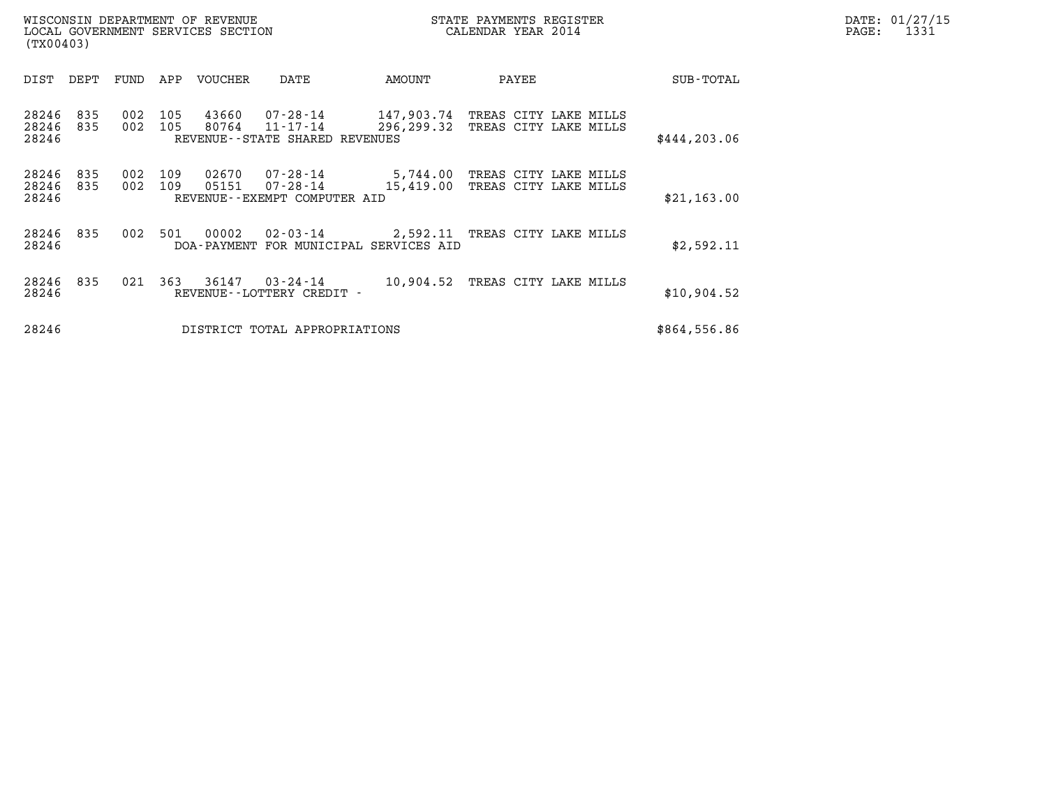| WISCONSIN DEPARTMENT OF REVENUE<br>LOCAL GOVERNMENT SERVICES SECTION<br>(TX00403) |            |            |            |                |                                                                                            |            | STATE PAYMENTS REGISTER<br>CALENDAR YEAR 2014 | DATE: 01/27/15<br>PAGE:<br>1331                         |              |  |
|-----------------------------------------------------------------------------------|------------|------------|------------|----------------|--------------------------------------------------------------------------------------------|------------|-----------------------------------------------|---------------------------------------------------------|--------------|--|
|                                                                                   | DIST DEPT  | FUND       | APP        | VOUCHER        | DATE                                                                                       | AMOUNT     | PAYEE                                         |                                                         | SUB-TOTAL    |  |
| 28246<br>28246<br>28246                                                           | 835<br>835 | 002<br>002 | 105<br>105 | 43660<br>80764 | 07-28-14 147,903.74 TREAS CITY LAKE MILLS<br>11-17-14<br>REVENUE - - STATE SHARED REVENUES | 296,299.32 |                                               | TREAS CITY LAKE MILLS                                   | \$444,203.06 |  |
| 28246<br>28246<br>28246                                                           | 835<br>835 | 002<br>002 | 109<br>109 | 02670<br>05151 | 07-28-14<br>$07 - 28 - 14$ 15,419.00<br>REVENUE--EXEMPT COMPUTER AID                       |            |                                               | 5,744.00 TREAS CITY LAKE MILLS<br>TREAS CITY LAKE MILLS | \$21,163.00  |  |
| 28246<br>28246                                                                    | 835        | 002        | 501        | 00002          | 02-03-14 2,592.11 TREAS CITY LAKE MILLS<br>DOA-PAYMENT FOR MUNICIPAL SERVICES AID          |            |                                               |                                                         | \$2,592.11   |  |
| 28246<br>28246                                                                    | 835        | 021        | 363        |                | 36147 03-24-14<br>REVENUE - - LOTTERY CREDIT -                                             |            |                                               | 10,904.52 TREAS CITY LAKE MILLS                         | \$10,904.52  |  |
| 28246                                                                             |            |            |            |                | DISTRICT TOTAL APPROPRIATIONS                                                              |            |                                               |                                                         | \$864,556.86 |  |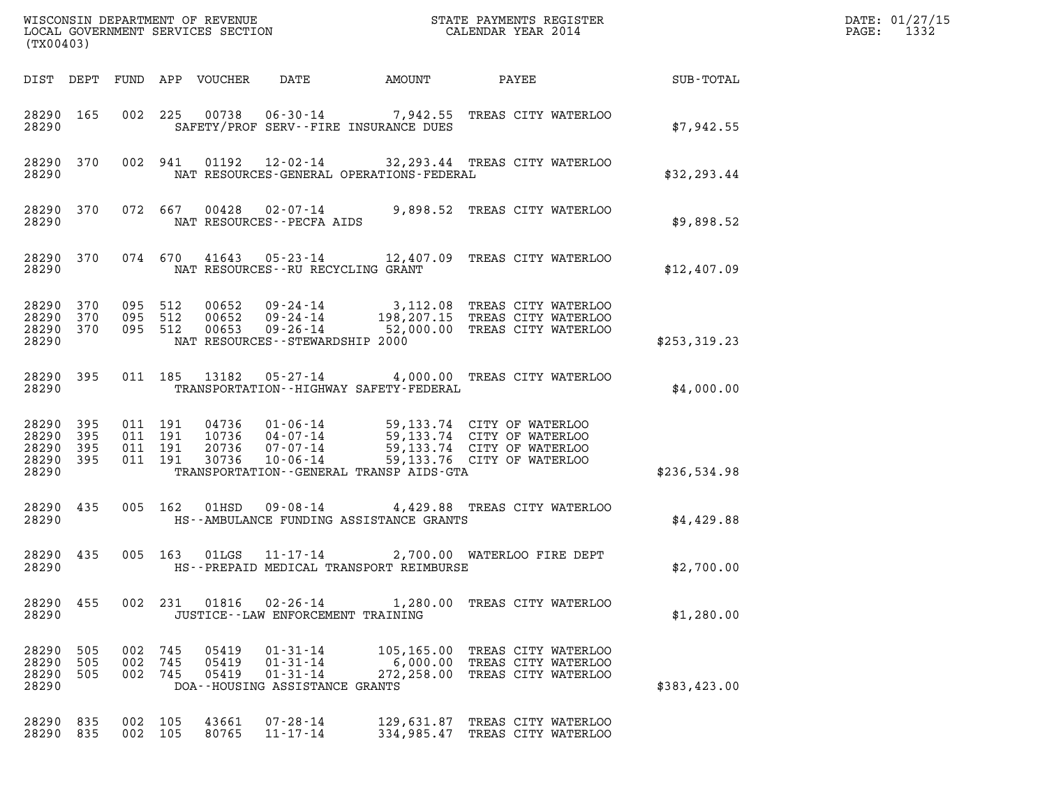| (TX00403)                                             |                   |                                          |            |                            |                                                                                      |                        |                                                                                                                                                                                  |              | DATE: 01/27/15<br>$\mathtt{PAGE:}$<br>1332 |
|-------------------------------------------------------|-------------------|------------------------------------------|------------|----------------------------|--------------------------------------------------------------------------------------|------------------------|----------------------------------------------------------------------------------------------------------------------------------------------------------------------------------|--------------|--------------------------------------------|
|                                                       |                   |                                          |            | DIST DEPT FUND APP VOUCHER | DATE                                                                                 | AMOUNT                 | PAYEE                                                                                                                                                                            | SUB-TOTAL    |                                            |
| 28290                                                 | 28290 165         |                                          |            |                            | SAFETY/PROF SERV--FIRE INSURANCE DUES                                                |                        | 002 225 00738 06-30-14 7,942.55 TREAS CITY WATERLOO                                                                                                                              | \$7.942.55   |                                            |
| 28290                                                 | 28290 370         |                                          | 002 941    |                            | NAT RESOURCES-GENERAL OPERATIONS-FEDERAL                                             |                        | 01192  12-02-14  32, 293.44  TREAS CITY WATERLOO                                                                                                                                 | \$32, 293.44 |                                            |
| 28290                                                 | 28290 370         |                                          |            |                            | NAT RESOURCES--PECFA AIDS                                                            |                        | 072 667 00428 02-07-14 9,898.52 TREAS CITY WATERLOO                                                                                                                              | \$9,898.52   |                                            |
| 28290                                                 | 28290 370         |                                          |            |                            | NAT RESOURCES--RU RECYCLING GRANT                                                    |                        | 074 670 41643 05-23-14 12,407.09 TREAS CITY WATERLOO                                                                                                                             | \$12,407.09  |                                            |
| 28290 370<br>28290 370<br>28290                       | 28290 370         | 095 512<br>095 512<br>095 512            |            |                            | NAT RESOURCES - - STEWARDSHIP 2000                                                   |                        | 00652  09-24-14  3,112.08 TREAS CITY WATERLOO<br>00652  09-24-14  198,207.15 TREAS CITY WATERLOO<br>00653  09-26-14  52,000.00 TREAS CITY WATERLOO                               | \$253,319.23 |                                            |
| 28290 395<br>28290                                    |                   |                                          |            |                            | TRANSPORTATION - - HIGHWAY SAFETY - FEDERAL                                          |                        | 011 185 13182 05-27-14 4,000.00 TREAS CITY WATERLOO                                                                                                                              | \$4,000.00   |                                            |
| 28290 395<br>28290<br>28290 395<br>28290 395<br>28290 | 395               | 011 191<br>011 191<br>011 191<br>011 191 |            |                            | TRANSPORTATION--GENERAL TRANSP AIDS-GTA                                              |                        | 04736 01-06-14 59,133.74 CITY OF WATERLOO<br>10736 04-07-14 59,133.74 CITY OF WATERLOO<br>20736 07-07-14 59,133.74 CITY OF WATERLOO<br>30736 10-06-14 59,133.76 CITY OF WATERLOO | \$236,534.98 |                                            |
| 28290 435<br>28290                                    |                   |                                          |            |                            | HS--AMBULANCE FUNDING ASSISTANCE GRANTS                                              |                        | 005 162 01HSD 09-08-14 4,429.88 TREAS CITY WATERLOO                                                                                                                              | \$4,429.88   |                                            |
| 28290 435<br>28290                                    |                   |                                          |            |                            | 005 163 01LGS 11-17-14<br>HS--PREPAID MEDICAL TRANSPORT REIMBURSE                    |                        | 2,700.00 WATERLOO FIRE DEPT                                                                                                                                                      | \$2,700.00   |                                            |
| 28290 455<br>28290                                    |                   |                                          | 002 231    | 01816                      | 02-26-14<br>JUSTICE - - LAW ENFORCEMENT TRAINING                                     |                        | 1,280.00 TREAS CITY WATERLOO                                                                                                                                                     | \$1,280.00   |                                            |
| 28290<br>28290<br>28290<br>28290                      | 505<br>505<br>505 | 002<br>002<br>002 745                    | 745<br>745 | 05419<br>05419<br>05419    | $01 - 31 - 14$<br>$01 - 31 - 14$<br>$01 - 31 - 14$<br>DOA--HOUSING ASSISTANCE GRANTS | 6,000.00<br>272,258.00 | 105,165.00 TREAS CITY WATERLOO<br>TREAS CITY WATERLOO<br>TREAS CITY WATERLOO                                                                                                     | \$383,423.00 |                                            |
| 28290<br>28290 835                                    | 835               | 002 105<br>002 105                       |            | 43661<br>80765             | $07 - 28 - 14$<br>$11 - 17 - 14$                                                     |                        | 129,631.87 TREAS CITY WATERLOO<br>334,985.47 TREAS CITY WATERLOO                                                                                                                 |              |                                            |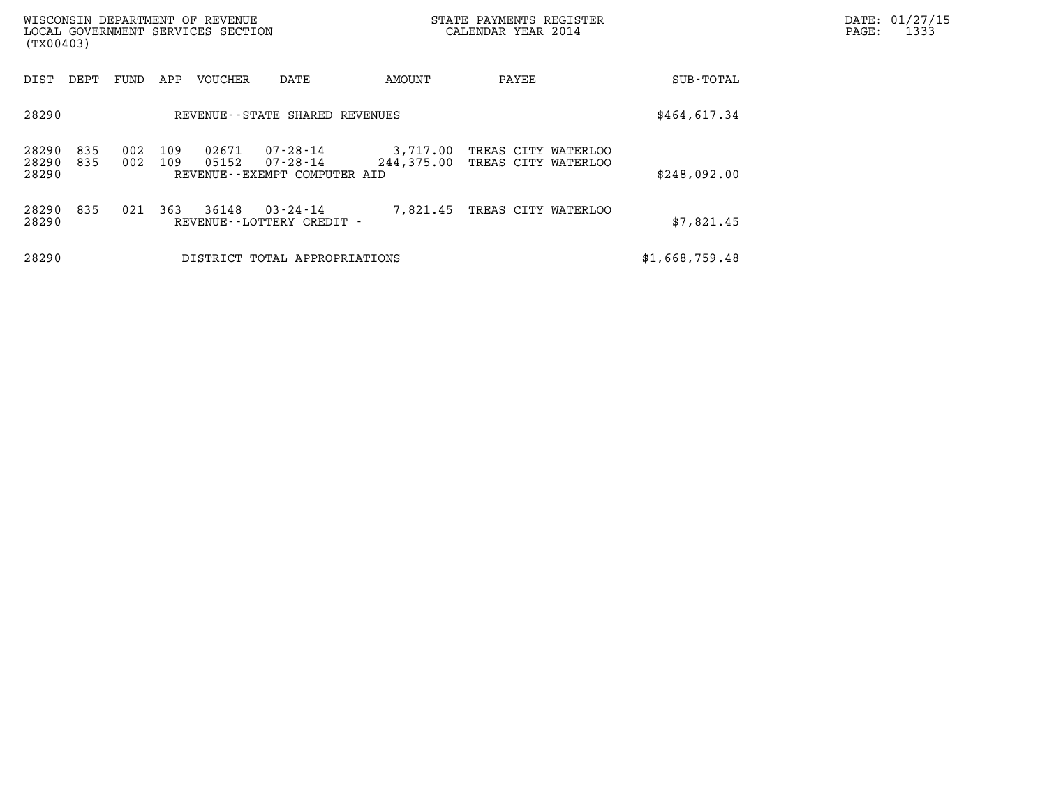| (TX00403)               |                                   |            |            | WISCONSIN DEPARTMENT OF REVENUE<br>LOCAL GOVERNMENT SERVICES SECTION |                                                      |                        | STATE PAYMENTS REGISTER<br>CALENDAR YEAR 2014 | DATE: 01/27/15<br>PAGE:<br>1333 |  |
|-------------------------|-----------------------------------|------------|------------|----------------------------------------------------------------------|------------------------------------------------------|------------------------|-----------------------------------------------|---------------------------------|--|
| DIST                    | DEPT                              | FUND       | APP        | <b>VOUCHER</b>                                                       | DATE                                                 | AMOUNT                 | PAYEE                                         | SUB-TOTAL                       |  |
| 28290                   | REVENUE - - STATE SHARED REVENUES |            |            |                                                                      |                                                      |                        |                                               |                                 |  |
| 28290<br>28290<br>28290 | 835<br>835                        | 002<br>002 | 109<br>109 | 02671<br>05152                                                       | 07-28-14<br>07-28-14<br>REVENUE--EXEMPT COMPUTER AID | 3,717.00<br>244,375.00 | TREAS CITY WATERLOO<br>TREAS CITY WATERLOO    | \$248,092.00                    |  |
| 28290<br>28290          | 835                               | 021        | 363        | 36148                                                                | 03-24-14<br>REVENUE--LOTTERY CREDIT -                | 7,821.45               | TREAS CITY WATERLOO                           | \$7,821.45                      |  |
| 28290                   |                                   |            |            |                                                                      | DISTRICT TOTAL APPROPRIATIONS                        | \$1,668,759.48         |                                               |                                 |  |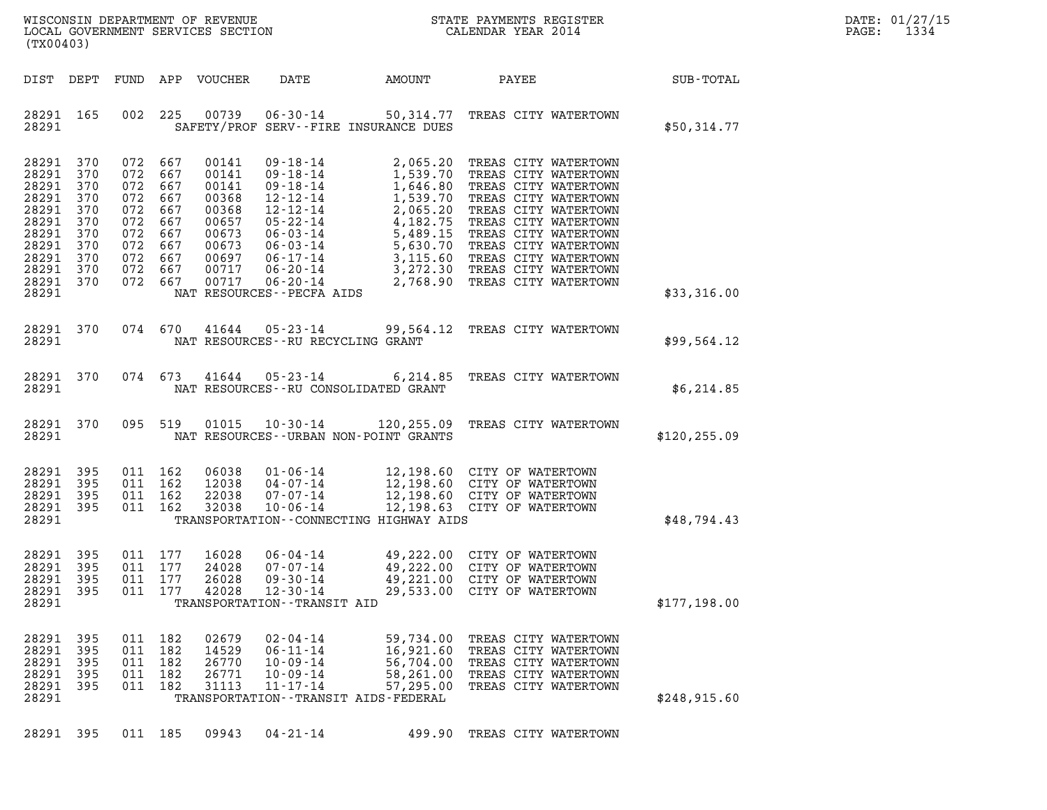| DATE:             | 01/27/15 |
|-------------------|----------|
| $\mathtt{PAGE}$ : | 1334     |

| %WISCONSIN DEPARTMENT OF REVENUE $$\tt STATE~PAYMENTS~REGISTER~LOCALSONSTR~QOVERNMENT~SERVICES~SECTION~CALENDAR~YEAR~2014$<br>(TX00403)                                                                                                                                                                                       |                                                                                                                                                                                                                       |                 | DATE: 01/27/15<br>1334<br>$\mathtt{PAGE:}$ |
|-------------------------------------------------------------------------------------------------------------------------------------------------------------------------------------------------------------------------------------------------------------------------------------------------------------------------------|-----------------------------------------------------------------------------------------------------------------------------------------------------------------------------------------------------------------------|-----------------|--------------------------------------------|
| DIST DEPT FUND APP VOUCHER                                                                                                                                                                                                                                                                                                    | DATE AMOUNT                                                                                                                                                                                                           | PAYEE SUB-TOTAL |                                            |
| 28291 165<br>002 225<br>28291<br>SAFETY/PROF SERV--FIRE INSURANCE DUES                                                                                                                                                                                                                                                        | 00739  06-30-14  50,314.77  TREAS CITY WATERTOWN                                                                                                                                                                      | \$50,314.77     |                                            |
| 28291 370<br>072 667<br>28291<br>370<br>072<br>28291 370<br>072 667<br>28291 370<br>072<br>28291 370<br>072 667<br>28291 370<br>072<br>28291 370<br>072 667<br>28291 370<br>072<br>28291 370<br>072 667<br>28291 370<br>072<br>28291 370<br>072 667<br>28291                                                                  |                                                                                                                                                                                                                       | \$33,316.00     |                                            |
| 28291 370 074 670 41644 05-23-14 99,564.12 TREAS CITY WATERTOWN<br>28291<br>NAT RESOURCES--RU RECYCLING GRANT                                                                                                                                                                                                                 |                                                                                                                                                                                                                       | \$99,564.12     |                                            |
| 28291 370 074 673 41644 05-23-14 6,214.85 TREAS CITY WATERTOWN<br>28291<br>NAT RESOURCES--RU CONSOLIDATED GRANT                                                                                                                                                                                                               |                                                                                                                                                                                                                       | \$6,214.85      |                                            |
| 28291 370 095 519<br>28291<br>NAT RESOURCES - - URBAN NON - POINT GRANTS                                                                                                                                                                                                                                                      | 01015  10-30-14  120,255.09  TREAS CITY WATERTOWN                                                                                                                                                                     | \$120, 255.09   |                                            |
| 28291 395<br>011 162<br>06038<br>28291<br>395<br>011 162<br>12038<br>28291 395<br>011 162<br>22038<br>28291 395<br>011 162<br>32038<br>28291<br>TRANSPORTATION--CONNECTING HIGHWAY AIDS                                                                                                                                       | 01-06-14<br>04-07-14<br>07-07-14<br>07-07-14<br>12,198.60<br>07-07-14<br>12,198.60<br>07-07-14<br>12,198.63<br>07-07-14<br>12,198.60<br>07-07-14<br>12,198.60<br>07-07-14<br>07-06-14<br>12,198.60<br>07-07 MATERTOWN | \$48,794.43     |                                            |
| 395<br>011 177<br>16028<br>06-04-14<br>28291<br>28291 395<br>011 177<br>24028<br>07-07-14<br>28291 395<br>011<br>177<br>26028<br>$09 - 30 - 14$<br>28291 395<br>011 177<br>42028<br>$12 - 30 - 14$<br>28291<br>TRANSPORTATION - - TRANSIT AID                                                                                 | 49,222.00 CITY OF WATERTOWN<br>49,222.00 CITY OF WATERTOWN<br>49,221.00 CITY OF WATERTOWN<br>29,533.00 CITY OF WATERTOWN                                                                                              | \$177,198.00    |                                            |
| $02 - 04 - 14$<br>28291 395<br>011 182<br>02679<br>$06 - 11 - 14$<br>28291<br>395<br>011<br>182<br>14529<br>28291 395<br>011 182<br>26770<br>$10 - 09 - 14$<br>28291<br>395<br>011<br>182<br>26771<br>$10 - 09 - 14$<br>28291 395<br>011 182<br>31113<br>$11 - 17 - 14$<br>28291<br>TRANSPORTATION - - TRANSIT AIDS - FEDERAL | 59,734.00<br>TREAS CITY WATERTOWN<br>16,921.60<br>TREAS CITY WATERTOWN<br>56,704.00<br>TREAS CITY WATERTOWN<br>58,261.00<br>TREAS CITY WATERTOWN<br>57,295.00<br>TREAS CITY WATERTOWN                                 | \$248,915.60    |                                            |
| 28291 395<br>011 185<br>09943<br>$04 - 21 - 14$                                                                                                                                                                                                                                                                               | 499.90 TREAS CITY WATERTOWN                                                                                                                                                                                           |                 |                                            |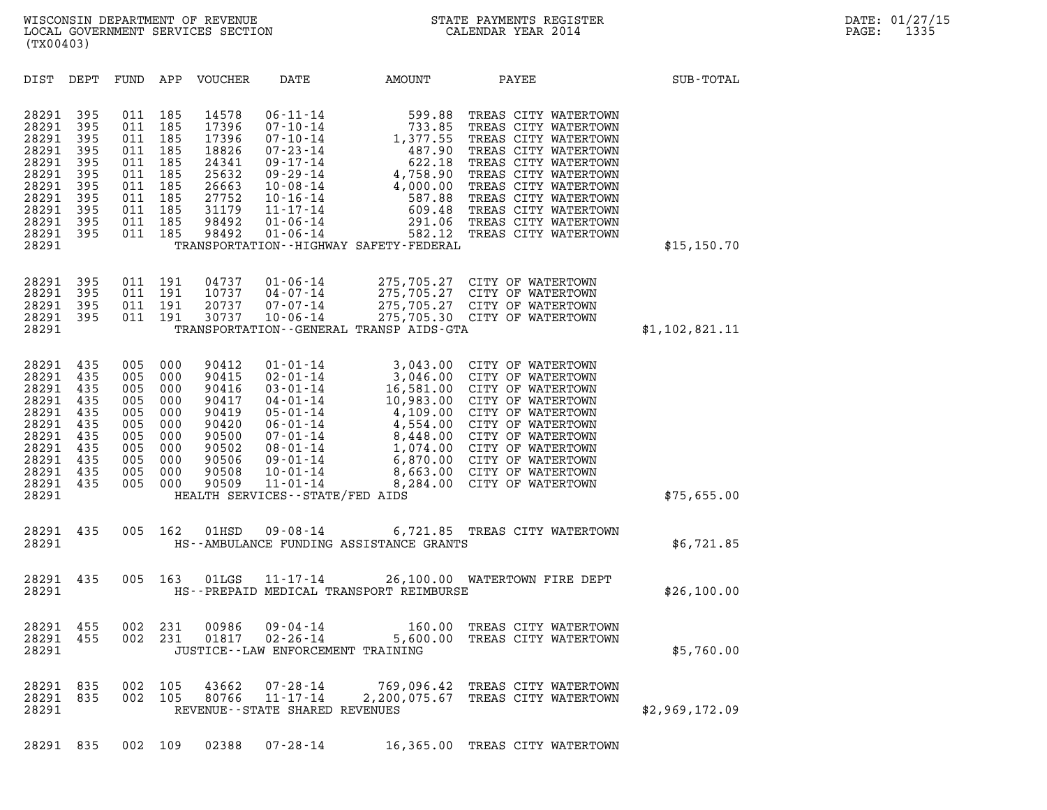| (TX00403)                                                                                                |                                                                           |                                                                           |                                                                           |                                                                                                 |                                                                                                                                                                                                                       |                                                                                                                                                                                                                           |                                                                                                                                                                                                                                                                                           |                |  |
|----------------------------------------------------------------------------------------------------------|---------------------------------------------------------------------------|---------------------------------------------------------------------------|---------------------------------------------------------------------------|-------------------------------------------------------------------------------------------------|-----------------------------------------------------------------------------------------------------------------------------------------------------------------------------------------------------------------------|---------------------------------------------------------------------------------------------------------------------------------------------------------------------------------------------------------------------------|-------------------------------------------------------------------------------------------------------------------------------------------------------------------------------------------------------------------------------------------------------------------------------------------|----------------|--|
| DIST                                                                                                     | DEPT                                                                      | FUND                                                                      | APP                                                                       | VOUCHER                                                                                         | DATE                                                                                                                                                                                                                  | AMOUNT                                                                                                                                                                                                                    | PAYEE                                                                                                                                                                                                                                                                                     | SUB-TOTAL      |  |
| 28291<br>28291<br>28291<br>28291<br>28291<br>28291<br>28291<br>28291<br>28291<br>28291<br>28291<br>28291 | 395<br>395<br>395<br>395<br>395<br>395<br>395<br>395<br>395<br>395<br>395 | 011<br>011<br>011<br>011<br>011<br>011<br>011<br>011<br>011<br>011<br>011 | 185<br>185<br>185<br>185<br>185<br>185<br>185<br>185<br>185<br>185<br>185 | 14578<br>17396<br>17396<br>18826<br>24341<br>25632<br>26663<br>27752<br>31179<br>98492<br>98492 | $06 - 11 - 14$<br>$07 - 10 - 14$<br>$07 - 10 - 14$<br>$07 - 23 - 14$<br>$09 - 17 - 14$<br>09-29-14<br>$10 - 08 - 14$<br>$10 - 16 - 14$<br>$11 - 17 - 14$<br>$01 - 06 - 14$<br>$01 - 06 - 14$                          | 599.88<br>$599.88$<br>$733.85$<br>$1,377.55$<br>$487.90$<br>$622.18$<br>$4,758.90$<br>$4,000.00$<br>622.18<br>4,758.90<br>4,000.00<br>587.88<br>609.48<br>291.06<br>582.12<br>TRANSPORTATION - - HIGHWAY SAFETY - FEDERAL | TREAS CITY WATERTOWN<br>TREAS CITY WATERTOWN<br>TREAS CITY WATERTOWN<br>TREAS CITY WATERTOWN<br>TREAS CITY WATERTOWN<br>TREAS CITY WATERTOWN<br>TREAS CITY WATERTOWN<br>TREAS CITY WATERTOWN<br>TREAS CITY WATERTOWN<br>TREAS CITY WATERTOWN<br>TREAS CITY WATERTOWN                      | \$15, 150.70   |  |
| 28291<br>28291<br>28291<br>28291<br>28291                                                                | 395<br>395<br>395<br>395                                                  | 011<br>011<br>011<br>011                                                  | 191<br>191<br>191<br>191                                                  | 04737<br>10737<br>20737<br>30737                                                                | $01 - 06 - 14$<br>04-07-14<br>$07 - 07 - 14$<br>$10 - 06 - 14$                                                                                                                                                        | 275,705.27<br>TRANSPORTATION--GENERAL TRANSP AIDS-GTA                                                                                                                                                                     | CITY OF WATERTOWN<br>275,705.27 CITY OF WATERTOWN<br>275,705.27 CITY OF WATERTOWN<br>275,705.30 CITY OF WATERTOWN                                                                                                                                                                         | \$1,102,821.11 |  |
| 28291<br>28291<br>28291<br>28291<br>28291<br>28291<br>28291<br>28291<br>28291<br>28291<br>28291<br>28291 | 435<br>435<br>435<br>435<br>435<br>435<br>435<br>435<br>435<br>435<br>435 | 005<br>005<br>005<br>005<br>005<br>005<br>005<br>005<br>005<br>005<br>005 | 000<br>000<br>000<br>000<br>000<br>000<br>000<br>000<br>000<br>000<br>000 | 90412<br>90415<br>90416<br>90417<br>90419<br>90420<br>90500<br>90502<br>90506<br>90508<br>90509 | $01 - 01 - 14$<br>$02 - 01 - 14$<br>$03 - 01 - 14$<br>$04 - 01 - 14$<br>$05 - 01 - 14$<br>$06 - 01 - 14$<br>07-01-14<br>08-01-14<br>09-01-14<br>$10 - 01 - 14$<br>$11 - 01 - 14$<br>HEALTH SERVICES -- STATE/FED AIDS | 3,043.00<br>3,046.00<br>16,581.00<br>10,983.00<br>8,284.00                                                                                                                                                                | CITY OF WATERTOWN<br>CITY OF WATERTOWN<br>CITY OF WATERTOWN<br>CITY OF WATERTOWN<br>4,109.00 CITY OF WATERTOWN<br>4,554.00 CITY OF WATERTOWN<br>8,448.00 CITY OF WATERTOWN<br>1,074.00 CITY OF WATERTOWN<br>6,870.00 CITY OF WATERTOWN<br>8,663.00 CITY OF WATERTOWN<br>CITY OF WATERTOWN | \$75,655.00    |  |
| 28291<br>28291                                                                                           | 435                                                                       | 005                                                                       | 162                                                                       | 01HSD                                                                                           | 09-08-14                                                                                                                                                                                                              | HS--AMBULANCE FUNDING ASSISTANCE GRANTS                                                                                                                                                                                   | 6,721.85 TREAS CITY WATERTOWN                                                                                                                                                                                                                                                             | \$6,721.85     |  |
| 28291<br>28291                                                                                           | 435                                                                       | 005                                                                       | 163                                                                       | 01LGS                                                                                           |                                                                                                                                                                                                                       | HS--PREPAID MEDICAL TRANSPORT REIMBURSE                                                                                                                                                                                   | 11-17-14 26,100.00 WATERTOWN FIRE DEPT                                                                                                                                                                                                                                                    | \$26,100.00    |  |
| 28291<br>28291<br>28291                                                                                  | 455<br>455                                                                | 002<br>002                                                                | 231<br>231                                                                | 00986<br>01817                                                                                  | JUSTICE - - LAW ENFORCEMENT TRAINING                                                                                                                                                                                  | 09 - 04 - 14<br>02 - 26 - 14<br>5 . 600 - 00<br>5,600.00                                                                                                                                                                  | TREAS CITY WATERTOWN<br>TREAS CITY WATERTOWN                                                                                                                                                                                                                                              | \$5,760.00     |  |
| 28291<br>28291<br>28291                                                                                  | 835<br>835                                                                | 002<br>002                                                                | 105<br>105                                                                | 43662<br>80766                                                                                  | 07-28-14<br>$11 - 17 - 14$<br>REVENUE - - STATE SHARED REVENUES                                                                                                                                                       |                                                                                                                                                                                                                           | 769,096.42 TREAS CITY WATERTOWN<br>2,200,075.67 TREAS CITY WATERTOWN                                                                                                                                                                                                                      | \$2,969,172.09 |  |
|                                                                                                          |                                                                           |                                                                           |                                                                           |                                                                                                 |                                                                                                                                                                                                                       |                                                                                                                                                                                                                           |                                                                                                                                                                                                                                                                                           |                |  |

28291 835 002 109 02388 07-28-14 16,365.00 TREAS CITY WATERTOWN